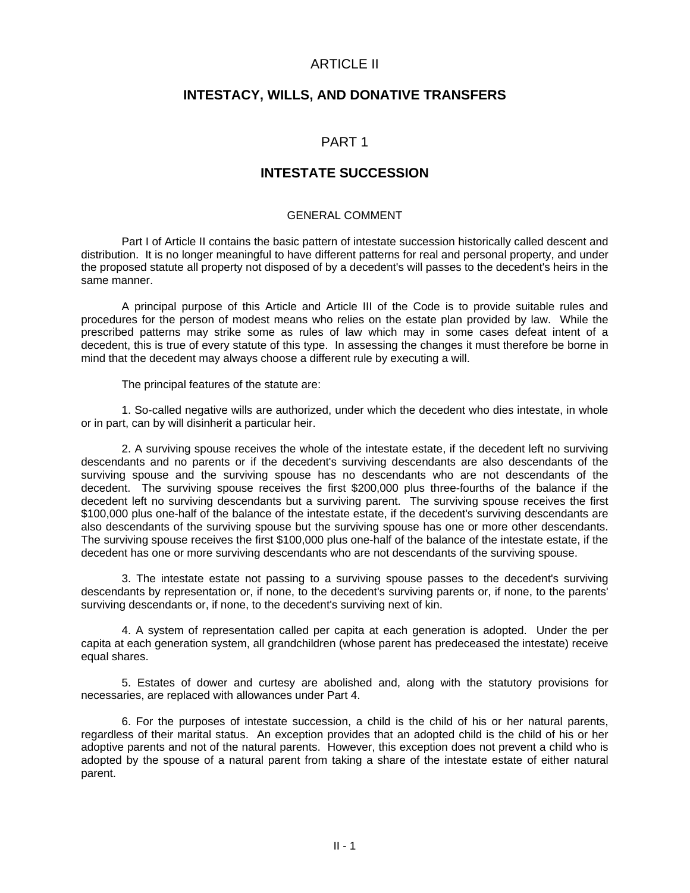## ARTICLE II

# **INTESTACY, WILLS, AND DONATIVE TRANSFERS**

## PART 1

## **INTESTATE SUCCESSION**

#### GENERAL COMMENT

 Part I of Article II contains the basic pattern of intestate succession historically called descent and distribution. It is no longer meaningful to have different patterns for real and personal property, and under the proposed statute all property not disposed of by a decedent's will passes to the decedent's heirs in the same manner.

 A principal purpose of this Article and Article III of the Code is to provide suitable rules and procedures for the person of modest means who relies on the estate plan provided by law. While the prescribed patterns may strike some as rules of law which may in some cases defeat intent of a decedent, this is true of every statute of this type. In assessing the changes it must therefore be borne in mind that the decedent may always choose a different rule by executing a will.

The principal features of the statute are:

 1. So-called negative wills are authorized, under which the decedent who dies intestate, in whole or in part, can by will disinherit a particular heir.

 2. A surviving spouse receives the whole of the intestate estate, if the decedent left no surviving descendants and no parents or if the decedent's surviving descendants are also descendants of the surviving spouse and the surviving spouse has no descendants who are not descendants of the decedent. The surviving spouse receives the first \$200,000 plus three-fourths of the balance if the decedent left no surviving descendants but a surviving parent. The surviving spouse receives the first \$100,000 plus one-half of the balance of the intestate estate, if the decedent's surviving descendants are also descendants of the surviving spouse but the surviving spouse has one or more other descendants. The surviving spouse receives the first \$100,000 plus one-half of the balance of the intestate estate, if the decedent has one or more surviving descendants who are not descendants of the surviving spouse.

 3. The intestate estate not passing to a surviving spouse passes to the decedent's surviving descendants by representation or, if none, to the decedent's surviving parents or, if none, to the parents' surviving descendants or, if none, to the decedent's surviving next of kin.

 4. A system of representation called per capita at each generation is adopted. Under the per capita at each generation system, all grandchildren (whose parent has predeceased the intestate) receive equal shares.

 5. Estates of dower and curtesy are abolished and, along with the statutory provisions for necessaries, are replaced with allowances under Part 4.

 6. For the purposes of intestate succession, a child is the child of his or her natural parents, regardless of their marital status. An exception provides that an adopted child is the child of his or her adoptive parents and not of the natural parents. However, this exception does not prevent a child who is adopted by the spouse of a natural parent from taking a share of the intestate estate of either natural parent.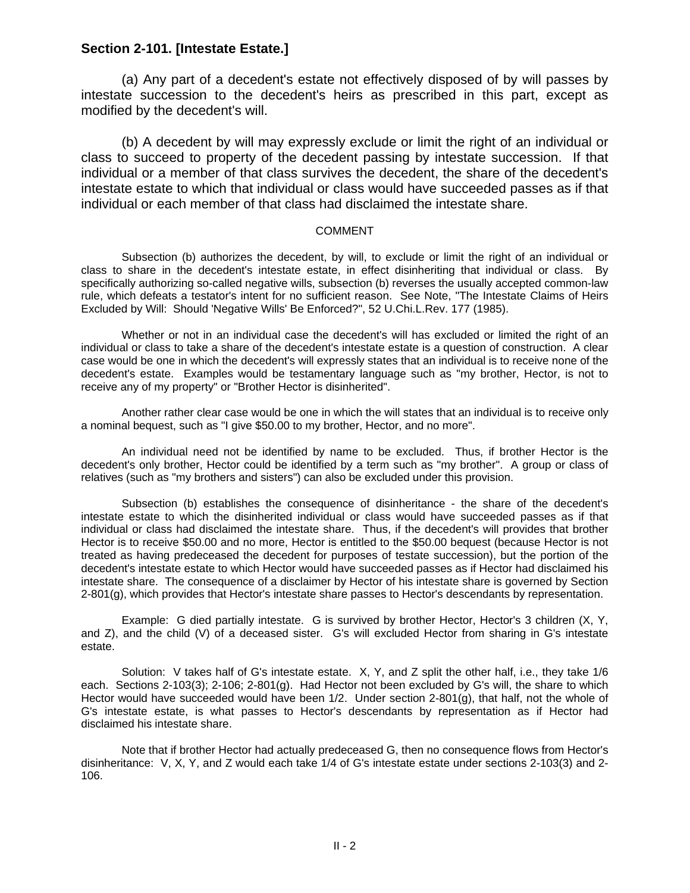## **Section 2-101. [Intestate Estate.]**

 (a) Any part of a decedent's estate not effectively disposed of by will passes by intestate succession to the decedent's heirs as prescribed in this part, except as modified by the decedent's will.

 (b) A decedent by will may expressly exclude or limit the right of an individual or class to succeed to property of the decedent passing by intestate succession. If that individual or a member of that class survives the decedent, the share of the decedent's intestate estate to which that individual or class would have succeeded passes as if that individual or each member of that class had disclaimed the intestate share.

#### COMMENT

 Subsection (b) authorizes the decedent, by will, to exclude or limit the right of an individual or class to share in the decedent's intestate estate, in effect disinheriting that individual or class. By specifically authorizing so-called negative wills, subsection (b) reverses the usually accepted common-law rule, which defeats a testator's intent for no sufficient reason. See Note, "The Intestate Claims of Heirs Excluded by Will: Should 'Negative Wills' Be Enforced?", 52 U.Chi.L.Rev. 177 (1985).

 Whether or not in an individual case the decedent's will has excluded or limited the right of an individual or class to take a share of the decedent's intestate estate is a question of construction. A clear case would be one in which the decedent's will expressly states that an individual is to receive none of the decedent's estate. Examples would be testamentary language such as "my brother, Hector, is not to receive any of my property" or "Brother Hector is disinherited".

 Another rather clear case would be one in which the will states that an individual is to receive only a nominal bequest, such as "I give \$50.00 to my brother, Hector, and no more".

 An individual need not be identified by name to be excluded. Thus, if brother Hector is the decedent's only brother, Hector could be identified by a term such as "my brother". A group or class of relatives (such as "my brothers and sisters") can also be excluded under this provision.

 Subsection (b) establishes the consequence of disinheritance - the share of the decedent's intestate estate to which the disinherited individual or class would have succeeded passes as if that individual or class had disclaimed the intestate share. Thus, if the decedent's will provides that brother Hector is to receive \$50.00 and no more, Hector is entitled to the \$50.00 bequest (because Hector is not treated as having predeceased the decedent for purposes of testate succession), but the portion of the decedent's intestate estate to which Hector would have succeeded passes as if Hector had disclaimed his intestate share. The consequence of a disclaimer by Hector of his intestate share is governed by Section 2-801(g), which provides that Hector's intestate share passes to Hector's descendants by representation.

 Example: G died partially intestate. G is survived by brother Hector, Hector's 3 children (X, Y, and Z), and the child (V) of a deceased sister. G's will excluded Hector from sharing in G's intestate estate.

 Solution: V takes half of G's intestate estate. X, Y, and Z split the other half, i.e., they take 1/6 each. Sections 2-103(3); 2-106; 2-801(g). Had Hector not been excluded by G's will, the share to which Hector would have succeeded would have been 1/2. Under section 2-801(g), that half, not the whole of G's intestate estate, is what passes to Hector's descendants by representation as if Hector had disclaimed his intestate share.

 Note that if brother Hector had actually predeceased G, then no consequence flows from Hector's disinheritance: V, X, Y, and Z would each take 1/4 of G's intestate estate under sections 2-103(3) and 2- 106.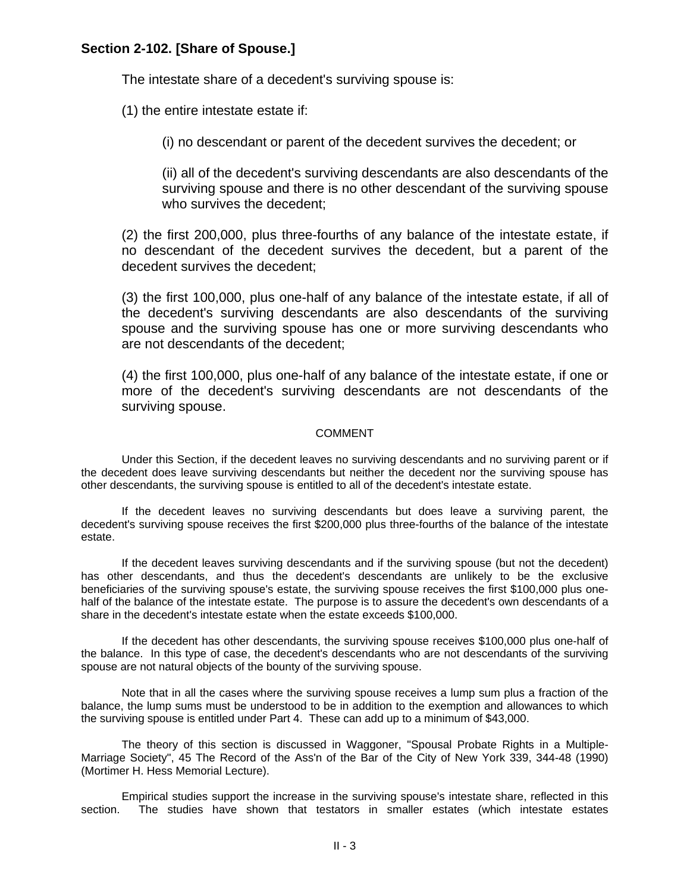# **Section 2-102. [Share of Spouse.]**

The intestate share of a decedent's surviving spouse is:

(1) the entire intestate estate if:

(i) no descendant or parent of the decedent survives the decedent; or

(ii) all of the decedent's surviving descendants are also descendants of the surviving spouse and there is no other descendant of the surviving spouse who survives the decedent;

(2) the first 200,000, plus three-fourths of any balance of the intestate estate, if no descendant of the decedent survives the decedent, but a parent of the decedent survives the decedent;

(3) the first 100,000, plus one-half of any balance of the intestate estate, if all of the decedent's surviving descendants are also descendants of the surviving spouse and the surviving spouse has one or more surviving descendants who are not descendants of the decedent;

(4) the first 100,000, plus one-half of any balance of the intestate estate, if one or more of the decedent's surviving descendants are not descendants of the surviving spouse.

#### COMMENT

 Under this Section, if the decedent leaves no surviving descendants and no surviving parent or if the decedent does leave surviving descendants but neither the decedent nor the surviving spouse has other descendants, the surviving spouse is entitled to all of the decedent's intestate estate.

 If the decedent leaves no surviving descendants but does leave a surviving parent, the decedent's surviving spouse receives the first \$200,000 plus three-fourths of the balance of the intestate estate.

 If the decedent leaves surviving descendants and if the surviving spouse (but not the decedent) has other descendants, and thus the decedent's descendants are unlikely to be the exclusive beneficiaries of the surviving spouse's estate, the surviving spouse receives the first \$100,000 plus onehalf of the balance of the intestate estate. The purpose is to assure the decedent's own descendants of a share in the decedent's intestate estate when the estate exceeds \$100,000.

 If the decedent has other descendants, the surviving spouse receives \$100,000 plus one-half of the balance. In this type of case, the decedent's descendants who are not descendants of the surviving spouse are not natural objects of the bounty of the surviving spouse.

 Note that in all the cases where the surviving spouse receives a lump sum plus a fraction of the balance, the lump sums must be understood to be in addition to the exemption and allowances to which the surviving spouse is entitled under Part 4. These can add up to a minimum of \$43,000.

 The theory of this section is discussed in Waggoner, "Spousal Probate Rights in a Multiple-Marriage Society", 45 The Record of the Ass'n of the Bar of the City of New York 339, 344-48 (1990) (Mortimer H. Hess Memorial Lecture).

 Empirical studies support the increase in the surviving spouse's intestate share, reflected in this section. The studies have shown that testators in smaller estates (which intestate estates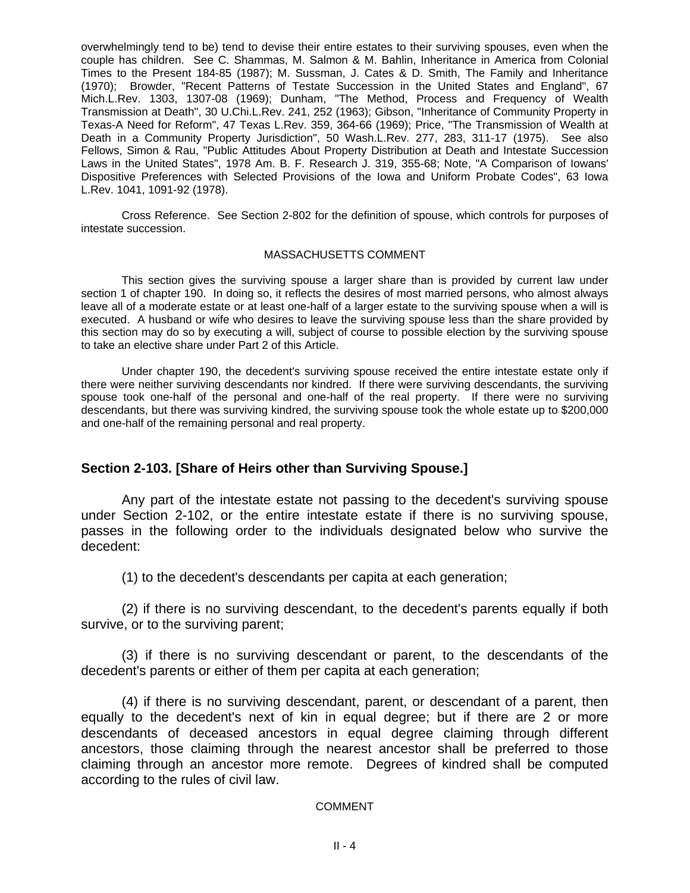overwhelmingly tend to be) tend to devise their entire estates to their surviving spouses, even when the couple has children. See C. Shammas, M. Salmon & M. Bahlin, Inheritance in America from Colonial Times to the Present 184-85 (1987); M. Sussman, J. Cates & D. Smith, The Family and Inheritance (1970); Browder, "Recent Patterns of Testate Succession in the United States and England", 67 Mich.L.Rev. 1303, 1307-08 (1969); Dunham, "The Method, Process and Frequency of Wealth Transmission at Death", 30 U.Chi.L.Rev. 241, 252 (1963); Gibson, "Inheritance of Community Property in Texas-A Need for Reform", 47 Texas L.Rev. 359, 364-66 (1969); Price, "The Transmission of Wealth at Death in a Community Property Jurisdiction", 50 Wash.L.Rev. 277, 283, 311-17 (1975). See also Fellows, Simon & Rau, "Public Attitudes About Property Distribution at Death and Intestate Succession Laws in the United States", 1978 Am. B. F. Research J. 319, 355-68; Note, "A Comparison of Iowans' Dispositive Preferences with Selected Provisions of the Iowa and Uniform Probate Codes", 63 Iowa L.Rev. 1041, 1091-92 (1978).

 Cross Reference. See Section 2-802 for the definition of spouse, which controls for purposes of intestate succession.

#### MASSACHUSETTS COMMENT

 This section gives the surviving spouse a larger share than is provided by current law under section 1 of chapter 190. In doing so, it reflects the desires of most married persons, who almost always leave all of a moderate estate or at least one-half of a larger estate to the surviving spouse when a will is executed. A husband or wife who desires to leave the surviving spouse less than the share provided by this section may do so by executing a will, subject of course to possible election by the surviving spouse to take an elective share under Part 2 of this Article.

 Under chapter 190, the decedent's surviving spouse received the entire intestate estate only if there were neither surviving descendants nor kindred. If there were surviving descendants, the surviving spouse took one-half of the personal and one-half of the real property. If there were no surviving descendants, but there was surviving kindred, the surviving spouse took the whole estate up to \$200,000 and one-half of the remaining personal and real property.

## **Section 2-103. [Share of Heirs other than Surviving Spouse.]**

 Any part of the intestate estate not passing to the decedent's surviving spouse under Section 2-102, or the entire intestate estate if there is no surviving spouse, passes in the following order to the individuals designated below who survive the decedent:

(1) to the decedent's descendants per capita at each generation;

 (2) if there is no surviving descendant, to the decedent's parents equally if both survive, or to the surviving parent;

 (3) if there is no surviving descendant or parent, to the descendants of the decedent's parents or either of them per capita at each generation;

 (4) if there is no surviving descendant, parent, or descendant of a parent, then equally to the decedent's next of kin in equal degree; but if there are 2 or more descendants of deceased ancestors in equal degree claiming through different ancestors, those claiming through the nearest ancestor shall be preferred to those claiming through an ancestor more remote. Degrees of kindred shall be computed according to the rules of civil law.

### **COMMENT**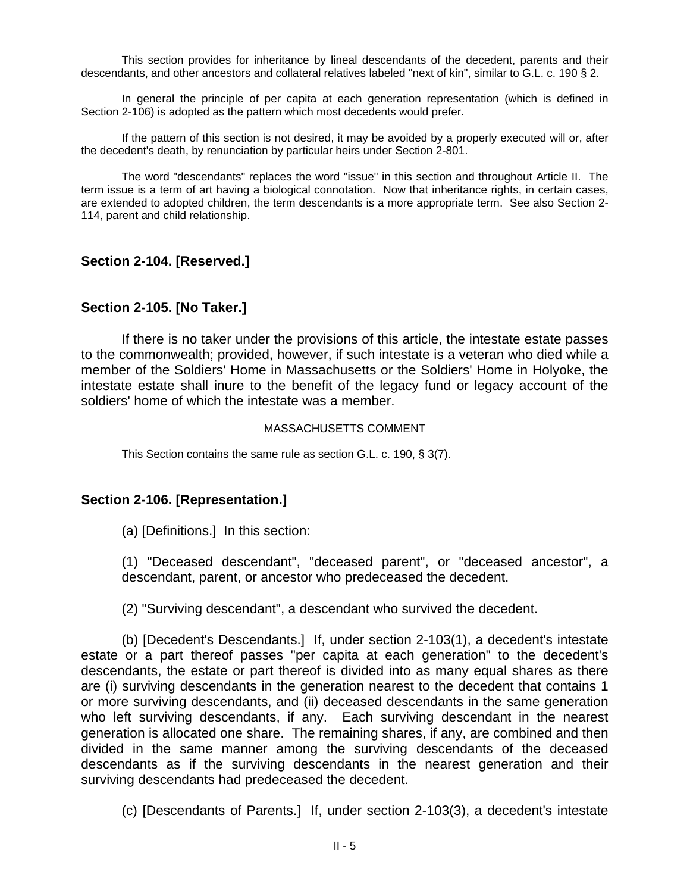This section provides for inheritance by lineal descendants of the decedent, parents and their descendants, and other ancestors and collateral relatives labeled "next of kin", similar to G.L. c. 190 § 2.

 In general the principle of per capita at each generation representation (which is defined in Section 2-106) is adopted as the pattern which most decedents would prefer.

 If the pattern of this section is not desired, it may be avoided by a properly executed will or, after the decedent's death, by renunciation by particular heirs under Section 2-801.

 The word "descendants" replaces the word "issue" in this section and throughout Article II. The term issue is a term of art having a biological connotation. Now that inheritance rights, in certain cases, are extended to adopted children, the term descendants is a more appropriate term. See also Section 2- 114, parent and child relationship.

## **Section 2-104. [Reserved.]**

## **Section 2-105. [No Taker.]**

 If there is no taker under the provisions of this article, the intestate estate passes to the commonwealth; provided, however, if such intestate is a veteran who died while a member of the Soldiers' Home in Massachusetts or the Soldiers' Home in Holyoke, the intestate estate shall inure to the benefit of the legacy fund or legacy account of the soldiers' home of which the intestate was a member.

#### MASSACHUSETTS COMMENT

This Section contains the same rule as section G.L. c. 190, § 3(7).

## **Section 2-106. [Representation.]**

(a) [Definitions.] In this section:

(1) "Deceased descendant", "deceased parent", or "deceased ancestor", a descendant, parent, or ancestor who predeceased the decedent.

(2) "Surviving descendant", a descendant who survived the decedent.

 (b) [Decedent's Descendants.] If, under section 2-103(1), a decedent's intestate estate or a part thereof passes "per capita at each generation" to the decedent's descendants, the estate or part thereof is divided into as many equal shares as there are (i) surviving descendants in the generation nearest to the decedent that contains 1 or more surviving descendants, and (ii) deceased descendants in the same generation who left surviving descendants, if any. Each surviving descendant in the nearest generation is allocated one share. The remaining shares, if any, are combined and then divided in the same manner among the surviving descendants of the deceased descendants as if the surviving descendants in the nearest generation and their surviving descendants had predeceased the decedent.

(c) [Descendants of Parents.] If, under section 2-103(3), a decedent's intestate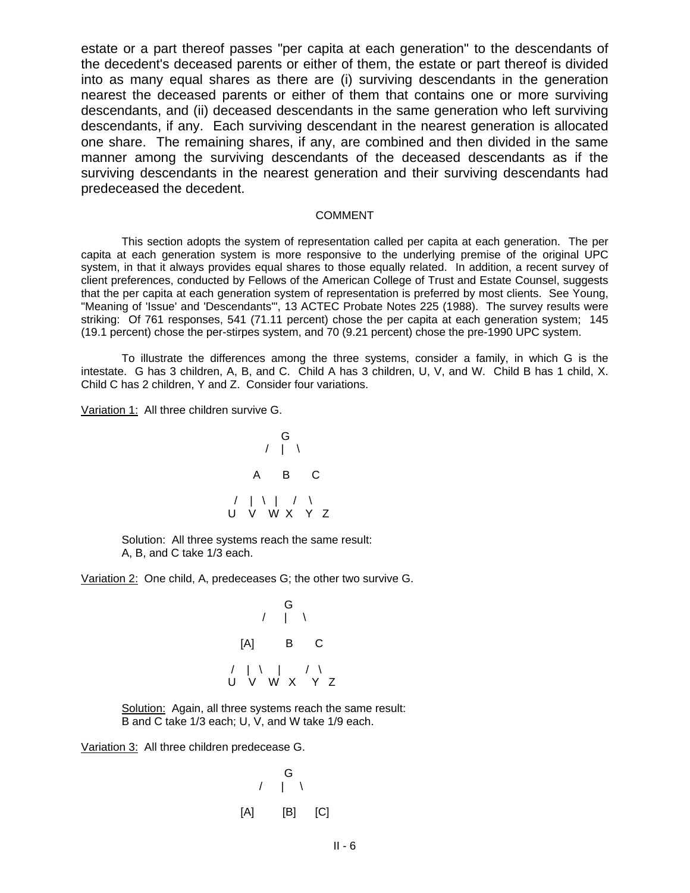estate or a part thereof passes "per capita at each generation" to the descendants of the decedent's deceased parents or either of them, the estate or part thereof is divided into as many equal shares as there are (i) surviving descendants in the generation nearest the deceased parents or either of them that contains one or more surviving descendants, and (ii) deceased descendants in the same generation who left surviving descendants, if any. Each surviving descendant in the nearest generation is allocated one share. The remaining shares, if any, are combined and then divided in the same manner among the surviving descendants of the deceased descendants as if the surviving descendants in the nearest generation and their surviving descendants had predeceased the decedent.

#### COMMENT

 This section adopts the system of representation called per capita at each generation. The per capita at each generation system is more responsive to the underlying premise of the original UPC system, in that it always provides equal shares to those equally related. In addition, a recent survey of client preferences, conducted by Fellows of the American College of Trust and Estate Counsel, suggests that the per capita at each generation system of representation is preferred by most clients. See Young, "Meaning of 'Issue' and 'Descendants'", 13 ACTEC Probate Notes 225 (1988). The survey results were striking: Of 761 responses, 541 (71.11 percent) chose the per capita at each generation system; 145 (19.1 percent) chose the per-stirpes system, and 70 (9.21 percent) chose the pre-1990 UPC system.

 To illustrate the differences among the three systems, consider a family, in which G is the intestate. G has 3 children, A, B, and C. Child A has 3 children, U, V, and W. Child B has 1 child, X. Child C has 2 children, Y and Z. Consider four variations.

Variation 1: All three children survive G.

$$
\begin{array}{c}\nG \\
\downarrow \\
\downarrow \\
A\nB\nC\n\end{array}
$$
\n
$$
\begin{array}{c}\nG \\
\downarrow \\
\downarrow \\
U\nV\nW\nX\nY\nZ\n\end{array}
$$

Solution: All three systems reach the same result: A, B, and C take 1/3 each.

Variation 2: One child, A, predeceases G; the other two survive G.

$$
\begin{array}{c}\nG \\
\downarrow \\
[A] \quad B \quad C \\
\downarrow \\
U \quad V \quad W \quad X \quad Y \quad Z\n\end{array}
$$

Solution: Again, all three systems reach the same result: B and C take 1/3 each; U, V, and W take 1/9 each.

Variation 3: All three children predecease G.

$$
\begin{array}{c}\nG \\
\downarrow \\
\downarrow \\
[A]\n\end{array}
$$
 [B] [C]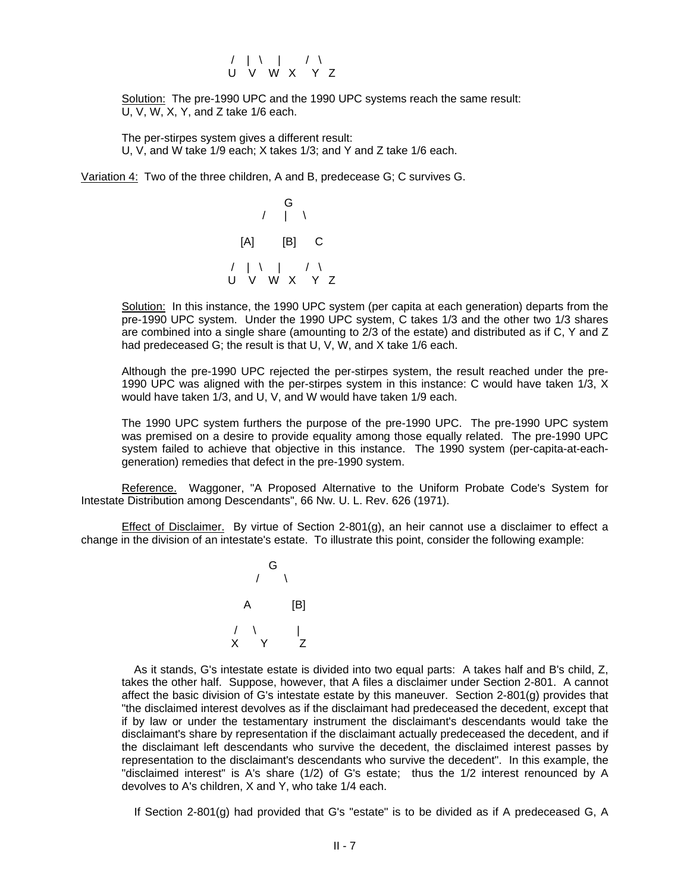$$
\begin{array}{c|c|c|c|c|c|c|c} & & & & & & \wedge \\ \hline & & & & & & \wedge \\ \hline & & & & & & \wedge \\ \hline & & & & & & \wedge \end{array}
$$

Solution: The pre-1990 UPC and the 1990 UPC systems reach the same result: U, V, W, X, Y, and Z take 1/6 each.

The per-stirpes system gives a different result: U, V, and W take 1/9 each; X takes 1/3; and Y and Z take 1/6 each.

Variation 4: Two of the three children, A and B, predecease G; C survives G.

**GREET CONSTRUCTION CONSTRUCTION**  $\sqrt{2}$  [A] [B] C / | \ | / \ U V W X Y Z

Solution: In this instance, the 1990 UPC system (per capita at each generation) departs from the pre-1990 UPC system. Under the 1990 UPC system, C takes 1/3 and the other two 1/3 shares are combined into a single share (amounting to 2/3 of the estate) and distributed as if C, Y and Z had predeceased G; the result is that U, V, W, and X take 1/6 each.

Although the pre-1990 UPC rejected the per-stirpes system, the result reached under the pre-1990 UPC was aligned with the per-stirpes system in this instance: C would have taken 1/3, X would have taken 1/3, and U, V, and W would have taken 1/9 each.

The 1990 UPC system furthers the purpose of the pre-1990 UPC. The pre-1990 UPC system was premised on a desire to provide equality among those equally related. The pre-1990 UPC system failed to achieve that objective in this instance. The 1990 system (per-capita-at-eachgeneration) remedies that defect in the pre-1990 system.

Reference. Waggoner, "A Proposed Alternative to the Uniform Probate Code's System for Intestate Distribution among Descendants", 66 Nw. U. L. Rev. 626 (1971).

Effect of Disclaimer. By virtue of Section 2-801(g), an heir cannot use a disclaimer to effect a change in the division of an intestate's estate. To illustrate this point, consider the following example:



 As it stands, G's intestate estate is divided into two equal parts: A takes half and B's child, Z, takes the other half. Suppose, however, that A files a disclaimer under Section 2-801. A cannot affect the basic division of G's intestate estate by this maneuver. Section 2-801(g) provides that "the disclaimed interest devolves as if the disclaimant had predeceased the decedent, except that if by law or under the testamentary instrument the disclaimant's descendants would take the disclaimant's share by representation if the disclaimant actually predeceased the decedent, and if the disclaimant left descendants who survive the decedent, the disclaimed interest passes by representation to the disclaimant's descendants who survive the decedent". In this example, the "disclaimed interest" is A's share (1/2) of G's estate; thus the 1/2 interest renounced by A devolves to A's children, X and Y, who take 1/4 each.

If Section 2-801(g) had provided that G's "estate" is to be divided as if A predeceased G, A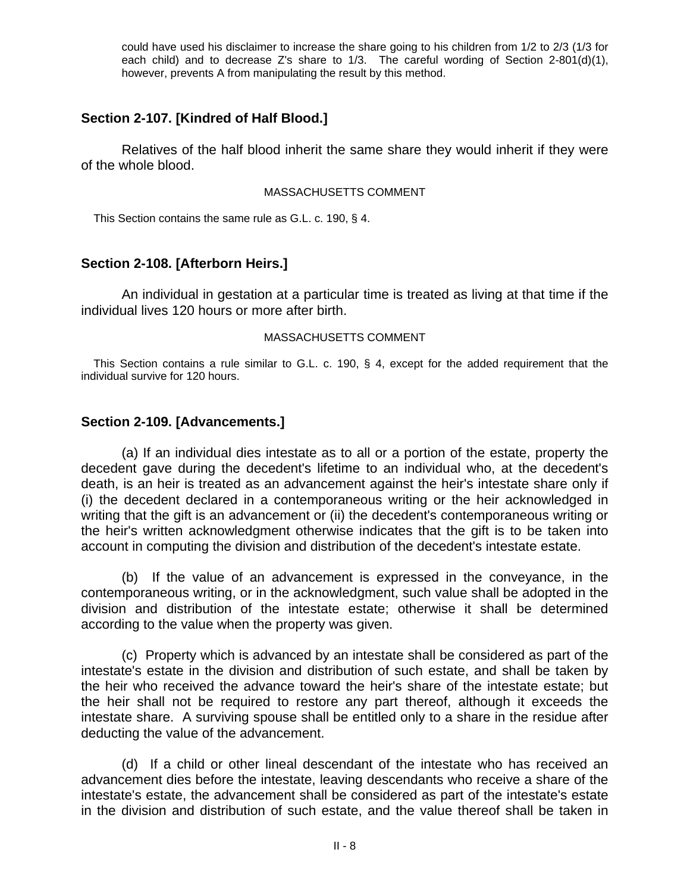could have used his disclaimer to increase the share going to his children from 1/2 to 2/3 (1/3 for each child) and to decrease Z's share to 1/3. The careful wording of Section 2-801(d)(1), however, prevents A from manipulating the result by this method.

# **Section 2-107. [Kindred of Half Blood.]**

 Relatives of the half blood inherit the same share they would inherit if they were of the whole blood.

## MASSACHUSETTS COMMENT

This Section contains the same rule as G.L. c. 190, § 4.

# **Section 2-108. [Afterborn Heirs.]**

 An individual in gestation at a particular time is treated as living at that time if the individual lives 120 hours or more after birth.

## MASSACHUSETTS COMMENT

 This Section contains a rule similar to G.L. c. 190, § 4, except for the added requirement that the individual survive for 120 hours.

# **Section 2-109. [Advancements.]**

 (a) If an individual dies intestate as to all or a portion of the estate, property the decedent gave during the decedent's lifetime to an individual who, at the decedent's death, is an heir is treated as an advancement against the heir's intestate share only if (i) the decedent declared in a contemporaneous writing or the heir acknowledged in writing that the gift is an advancement or (ii) the decedent's contemporaneous writing or the heir's written acknowledgment otherwise indicates that the gift is to be taken into account in computing the division and distribution of the decedent's intestate estate.

 (b) If the value of an advancement is expressed in the conveyance, in the contemporaneous writing, or in the acknowledgment, such value shall be adopted in the division and distribution of the intestate estate; otherwise it shall be determined according to the value when the property was given.

 (c) Property which is advanced by an intestate shall be considered as part of the intestate's estate in the division and distribution of such estate, and shall be taken by the heir who received the advance toward the heir's share of the intestate estate; but the heir shall not be required to restore any part thereof, although it exceeds the intestate share. A surviving spouse shall be entitled only to a share in the residue after deducting the value of the advancement.

 (d) If a child or other lineal descendant of the intestate who has received an advancement dies before the intestate, leaving descendants who receive a share of the intestate's estate, the advancement shall be considered as part of the intestate's estate in the division and distribution of such estate, and the value thereof shall be taken in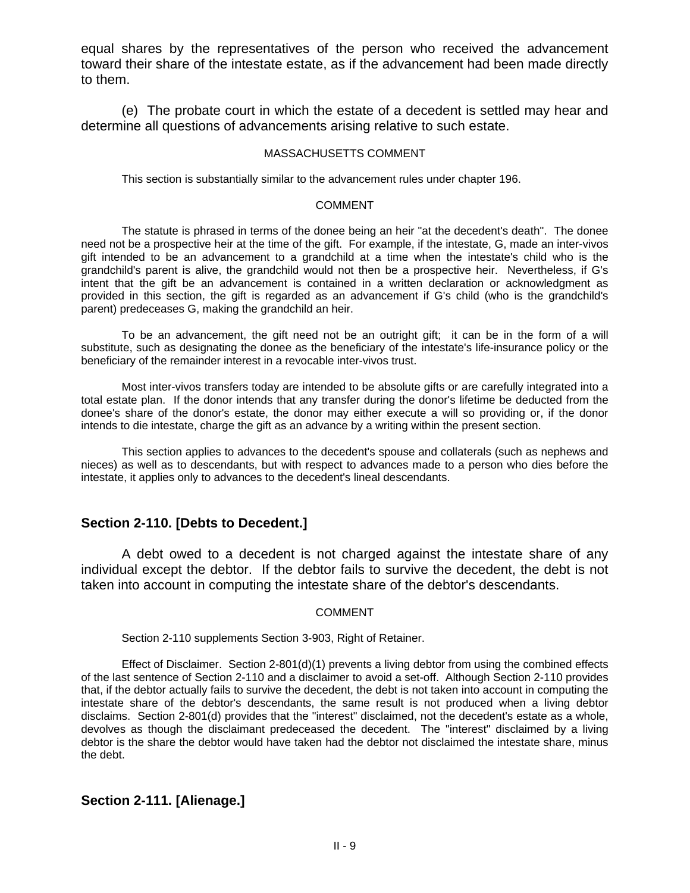equal shares by the representatives of the person who received the advancement toward their share of the intestate estate, as if the advancement had been made directly to them.

 (e) The probate court in which the estate of a decedent is settled may hear and determine all questions of advancements arising relative to such estate.

#### MASSACHUSETTS COMMENT

This section is substantially similar to the advancement rules under chapter 196.

#### COMMENT

 The statute is phrased in terms of the donee being an heir "at the decedent's death". The donee need not be a prospective heir at the time of the gift. For example, if the intestate, G, made an inter-vivos gift intended to be an advancement to a grandchild at a time when the intestate's child who is the grandchild's parent is alive, the grandchild would not then be a prospective heir. Nevertheless, if G's intent that the gift be an advancement is contained in a written declaration or acknowledgment as provided in this section, the gift is regarded as an advancement if G's child (who is the grandchild's parent) predeceases G, making the grandchild an heir.

 To be an advancement, the gift need not be an outright gift; it can be in the form of a will substitute, such as designating the donee as the beneficiary of the intestate's life-insurance policy or the beneficiary of the remainder interest in a revocable inter-vivos trust.

 Most inter-vivos transfers today are intended to be absolute gifts or are carefully integrated into a total estate plan. If the donor intends that any transfer during the donor's lifetime be deducted from the donee's share of the donor's estate, the donor may either execute a will so providing or, if the donor intends to die intestate, charge the gift as an advance by a writing within the present section.

 This section applies to advances to the decedent's spouse and collaterals (such as nephews and nieces) as well as to descendants, but with respect to advances made to a person who dies before the intestate, it applies only to advances to the decedent's lineal descendants.

## **Section 2-110. [Debts to Decedent.]**

 A debt owed to a decedent is not charged against the intestate share of any individual except the debtor. If the debtor fails to survive the decedent, the debt is not taken into account in computing the intestate share of the debtor's descendants.

### **COMMENT**

Section 2-110 supplements Section 3-903, Right of Retainer.

 Effect of Disclaimer. Section 2-801(d)(1) prevents a living debtor from using the combined effects of the last sentence of Section 2-110 and a disclaimer to avoid a set-off. Although Section 2-110 provides that, if the debtor actually fails to survive the decedent, the debt is not taken into account in computing the intestate share of the debtor's descendants, the same result is not produced when a living debtor disclaims. Section 2-801(d) provides that the "interest" disclaimed, not the decedent's estate as a whole, devolves as though the disclaimant predeceased the decedent. The "interest" disclaimed by a living debtor is the share the debtor would have taken had the debtor not disclaimed the intestate share, minus the debt.

# **Section 2-111. [Alienage.]**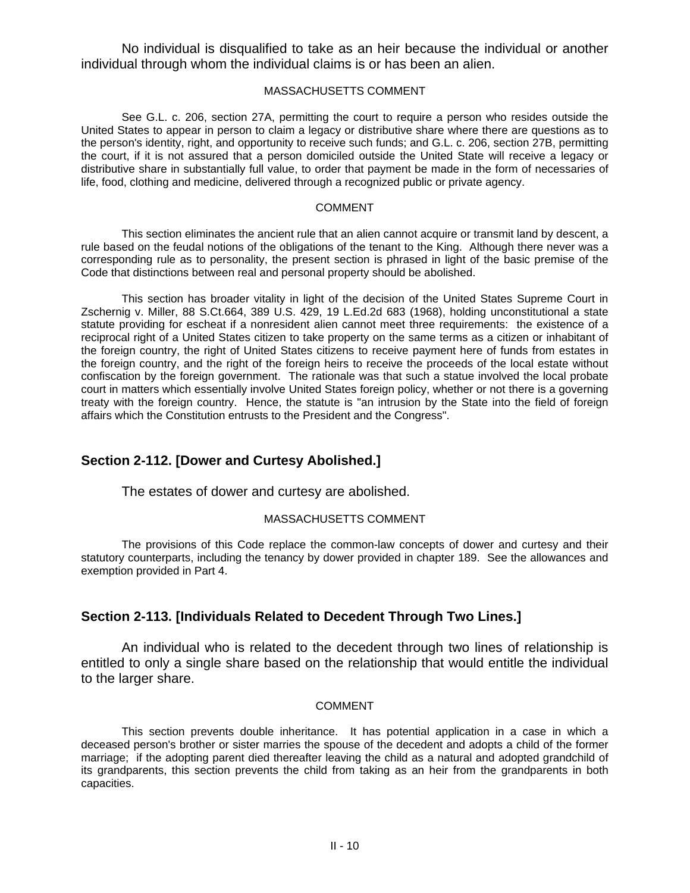No individual is disqualified to take as an heir because the individual or another individual through whom the individual claims is or has been an alien.

#### MASSACHUSETTS COMMENT

 See G.L. c. 206, section 27A, permitting the court to require a person who resides outside the United States to appear in person to claim a legacy or distributive share where there are questions as to the person's identity, right, and opportunity to receive such funds; and G.L. c. 206, section 27B, permitting the court, if it is not assured that a person domiciled outside the United State will receive a legacy or distributive share in substantially full value, to order that payment be made in the form of necessaries of life, food, clothing and medicine, delivered through a recognized public or private agency.

#### COMMENT

 This section eliminates the ancient rule that an alien cannot acquire or transmit land by descent, a rule based on the feudal notions of the obligations of the tenant to the King. Although there never was a corresponding rule as to personality, the present section is phrased in light of the basic premise of the Code that distinctions between real and personal property should be abolished.

 This section has broader vitality in light of the decision of the United States Supreme Court in Zschernig v. Miller, 88 S.Ct.664, 389 U.S. 429, 19 L.Ed.2d 683 (1968), holding unconstitutional a state statute providing for escheat if a nonresident alien cannot meet three requirements: the existence of a reciprocal right of a United States citizen to take property on the same terms as a citizen or inhabitant of the foreign country, the right of United States citizens to receive payment here of funds from estates in the foreign country, and the right of the foreign heirs to receive the proceeds of the local estate without confiscation by the foreign government. The rationale was that such a statue involved the local probate court in matters which essentially involve United States foreign policy, whether or not there is a governing treaty with the foreign country. Hence, the statute is "an intrusion by the State into the field of foreign affairs which the Constitution entrusts to the President and the Congress".

# **Section 2-112. [Dower and Curtesy Abolished.]**

The estates of dower and curtesy are abolished.

### MASSACHUSETTS COMMENT

 The provisions of this Code replace the common-law concepts of dower and curtesy and their statutory counterparts, including the tenancy by dower provided in chapter 189. See the allowances and exemption provided in Part 4.

## **Section 2-113. [Individuals Related to Decedent Through Two Lines.]**

 An individual who is related to the decedent through two lines of relationship is entitled to only a single share based on the relationship that would entitle the individual to the larger share.

#### **COMMENT**

 This section prevents double inheritance. It has potential application in a case in which a deceased person's brother or sister marries the spouse of the decedent and adopts a child of the former marriage; if the adopting parent died thereafter leaving the child as a natural and adopted grandchild of its grandparents, this section prevents the child from taking as an heir from the grandparents in both capacities.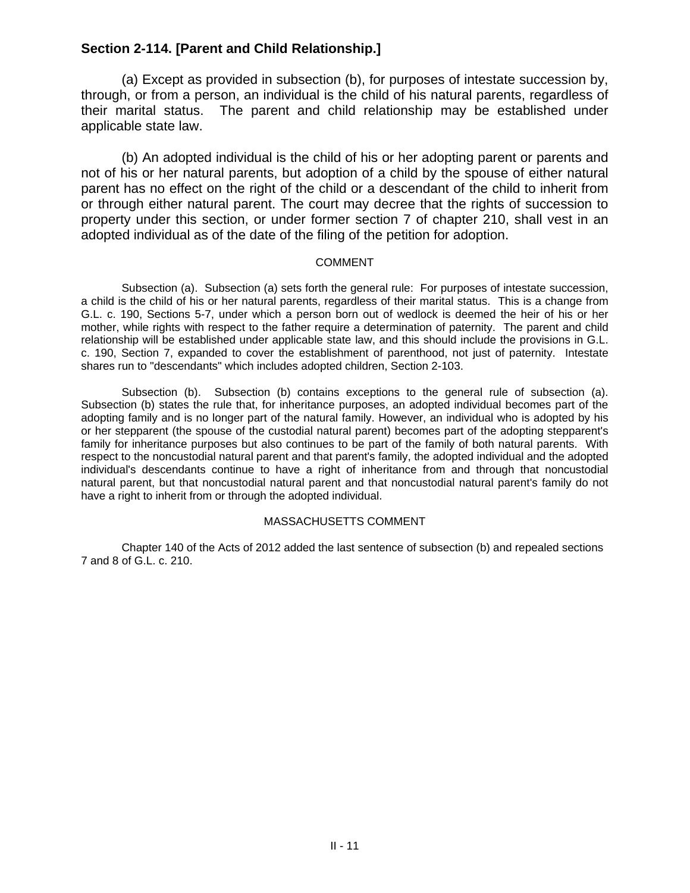# **Section 2-114. [Parent and Child Relationship.]**

 (a) Except as provided in subsection (b), for purposes of intestate succession by, through, or from a person, an individual is the child of his natural parents, regardless of their marital status. The parent and child relationship may be established under applicable state law.

 (b) An adopted individual is the child of his or her adopting parent or parents and not of his or her natural parents, but adoption of a child by the spouse of either natural parent has no effect on the right of the child or a descendant of the child to inherit from or through either natural parent. The court may decree that the rights of succession to property under this section, or under former section 7 of chapter 210, shall vest in an adopted individual as of the date of the filing of the petition for adoption.

#### COMMENT

 Subsection (a). Subsection (a) sets forth the general rule: For purposes of intestate succession, a child is the child of his or her natural parents, regardless of their marital status. This is a change from G.L. c. 190, Sections 5-7, under which a person born out of wedlock is deemed the heir of his or her mother, while rights with respect to the father require a determination of paternity. The parent and child relationship will be established under applicable state law, and this should include the provisions in G.L. c. 190, Section 7, expanded to cover the establishment of parenthood, not just of paternity. Intestate shares run to "descendants" which includes adopted children, Section 2-103.

 Subsection (b). Subsection (b) contains exceptions to the general rule of subsection (a). Subsection (b) states the rule that, for inheritance purposes, an adopted individual becomes part of the adopting family and is no longer part of the natural family. However, an individual who is adopted by his or her stepparent (the spouse of the custodial natural parent) becomes part of the adopting stepparent's family for inheritance purposes but also continues to be part of the family of both natural parents. With respect to the noncustodial natural parent and that parent's family, the adopted individual and the adopted individual's descendants continue to have a right of inheritance from and through that noncustodial natural parent, but that noncustodial natural parent and that noncustodial natural parent's family do not have a right to inherit from or through the adopted individual.

### MASSACHUSETTS COMMENT

 Chapter 140 of the Acts of 2012 added the last sentence of subsection (b) and repealed sections 7 and 8 of G.L. c. 210.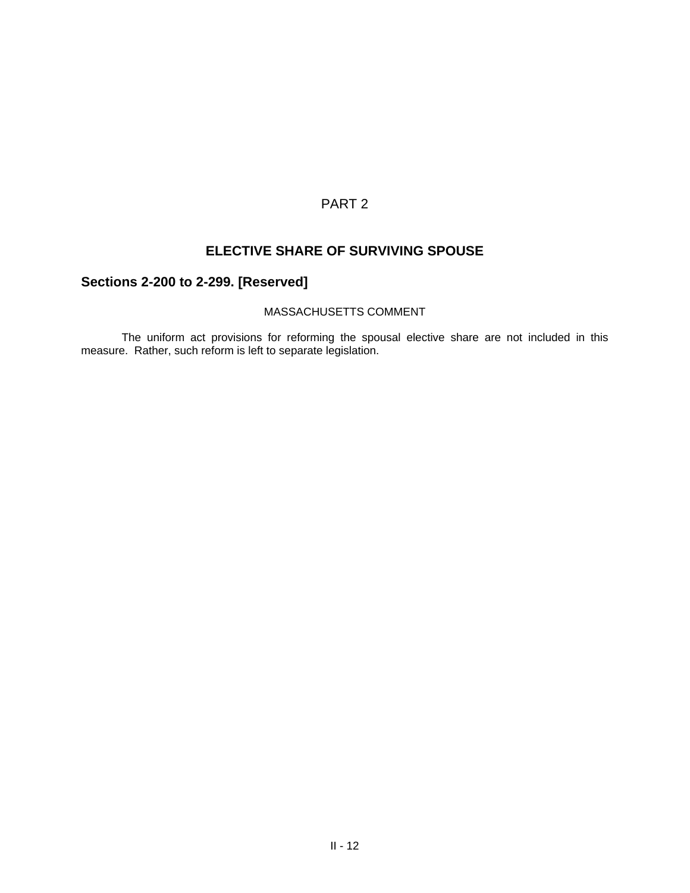# PART 2

# **ELECTIVE SHARE OF SURVIVING SPOUSE**

# **Sections 2-200 to 2-299. [Reserved]**

## MASSACHUSETTS COMMENT

 The uniform act provisions for reforming the spousal elective share are not included in this measure. Rather, such reform is left to separate legislation.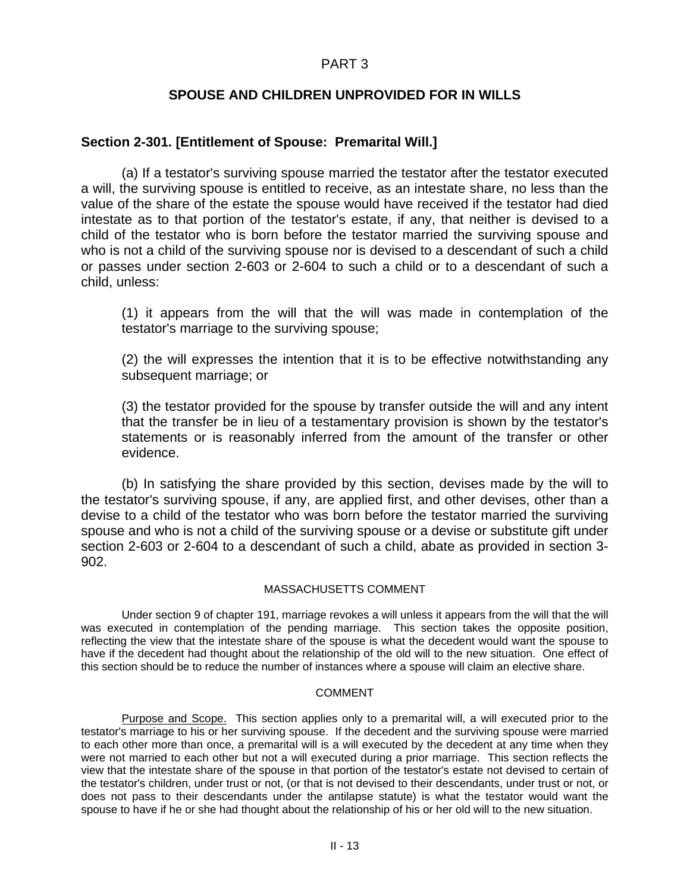# **SPOUSE AND CHILDREN UNPROVIDED FOR IN WILLS**

# **Section 2-301. [Entitlement of Spouse: Premarital Will.]**

 (a) If a testator's surviving spouse married the testator after the testator executed a will, the surviving spouse is entitled to receive, as an intestate share, no less than the value of the share of the estate the spouse would have received if the testator had died intestate as to that portion of the testator's estate, if any, that neither is devised to a child of the testator who is born before the testator married the surviving spouse and who is not a child of the surviving spouse nor is devised to a descendant of such a child or passes under section 2-603 or 2-604 to such a child or to a descendant of such a child, unless:

(1) it appears from the will that the will was made in contemplation of the testator's marriage to the surviving spouse;

(2) the will expresses the intention that it is to be effective notwithstanding any subsequent marriage; or

(3) the testator provided for the spouse by transfer outside the will and any intent that the transfer be in lieu of a testamentary provision is shown by the testator's statements or is reasonably inferred from the amount of the transfer or other evidence.

 (b) In satisfying the share provided by this section, devises made by the will to the testator's surviving spouse, if any, are applied first, and other devises, other than a devise to a child of the testator who was born before the testator married the surviving spouse and who is not a child of the surviving spouse or a devise or substitute gift under section 2-603 or 2-604 to a descendant of such a child, abate as provided in section 3- 902.

### MASSACHUSETTS COMMENT

 Under section 9 of chapter 191, marriage revokes a will unless it appears from the will that the will was executed in contemplation of the pending marriage. This section takes the opposite position, reflecting the view that the intestate share of the spouse is what the decedent would want the spouse to have if the decedent had thought about the relationship of the old will to the new situation. One effect of this section should be to reduce the number of instances where a spouse will claim an elective share.

### COMMENT

Purpose and Scope. This section applies only to a premarital will, a will executed prior to the testator's marriage to his or her surviving spouse. If the decedent and the surviving spouse were married to each other more than once, a premarital will is a will executed by the decedent at any time when they were not married to each other but not a will executed during a prior marriage. This section reflects the view that the intestate share of the spouse in that portion of the testator's estate not devised to certain of the testator's children, under trust or not, (or that is not devised to their descendants, under trust or not, or does not pass to their descendants under the antilapse statute) is what the testator would want the spouse to have if he or she had thought about the relationship of his or her old will to the new situation.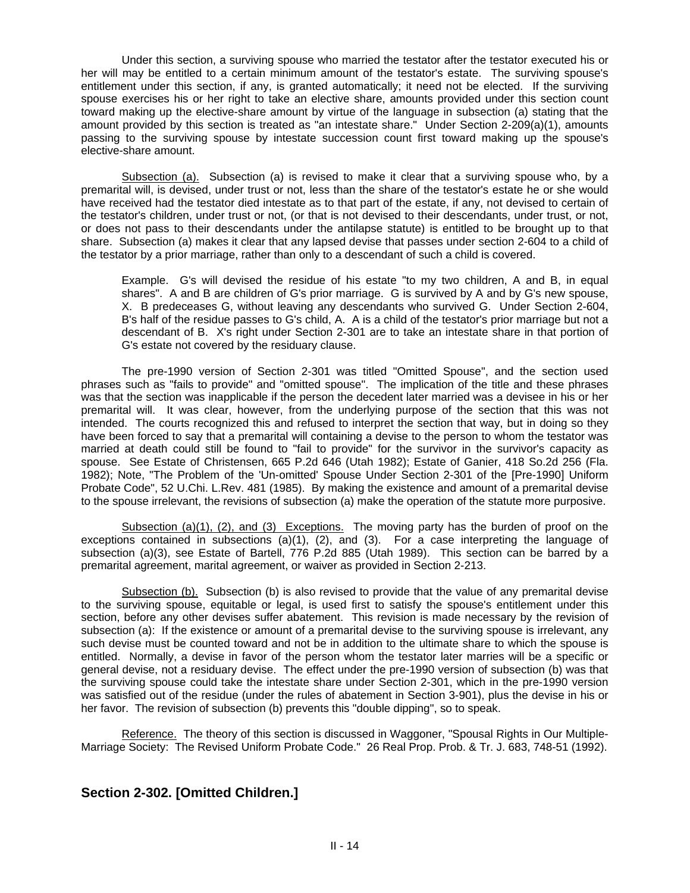Under this section, a surviving spouse who married the testator after the testator executed his or her will may be entitled to a certain minimum amount of the testator's estate. The surviving spouse's entitlement under this section, if any, is granted automatically; it need not be elected. If the surviving spouse exercises his or her right to take an elective share, amounts provided under this section count toward making up the elective-share amount by virtue of the language in subsection (a) stating that the amount provided by this section is treated as "an intestate share." Under Section 2-209(a)(1), amounts passing to the surviving spouse by intestate succession count first toward making up the spouse's elective-share amount.

Subsection (a). Subsection (a) is revised to make it clear that a surviving spouse who, by a premarital will, is devised, under trust or not, less than the share of the testator's estate he or she would have received had the testator died intestate as to that part of the estate, if any, not devised to certain of the testator's children, under trust or not, (or that is not devised to their descendants, under trust, or not, or does not pass to their descendants under the antilapse statute) is entitled to be brought up to that share. Subsection (a) makes it clear that any lapsed devise that passes under section 2-604 to a child of the testator by a prior marriage, rather than only to a descendant of such a child is covered.

Example. G's will devised the residue of his estate "to my two children, A and B, in equal shares". A and B are children of G's prior marriage. G is survived by A and by G's new spouse, X. B predeceases G, without leaving any descendants who survived G. Under Section 2-604, B's half of the residue passes to G's child, A. A is a child of the testator's prior marriage but not a descendant of B. X's right under Section 2-301 are to take an intestate share in that portion of G's estate not covered by the residuary clause.

 The pre-1990 version of Section 2-301 was titled "Omitted Spouse", and the section used phrases such as "fails to provide" and "omitted spouse". The implication of the title and these phrases was that the section was inapplicable if the person the decedent later married was a devisee in his or her premarital will. It was clear, however, from the underlying purpose of the section that this was not intended. The courts recognized this and refused to interpret the section that way, but in doing so they have been forced to say that a premarital will containing a devise to the person to whom the testator was married at death could still be found to "fail to provide" for the survivor in the survivor's capacity as spouse. See Estate of Christensen, 665 P.2d 646 (Utah 1982); Estate of Ganier, 418 So.2d 256 (Fla. 1982); Note, "The Problem of the 'Un-omitted' Spouse Under Section 2-301 of the [Pre-1990] Uniform Probate Code", 52 U.Chi. L.Rev. 481 (1985). By making the existence and amount of a premarital devise to the spouse irrelevant, the revisions of subsection (a) make the operation of the statute more purposive.

Subsection (a)(1), (2), and (3) Exceptions. The moving party has the burden of proof on the exceptions contained in subsections (a)(1), (2), and (3). For a case interpreting the language of subsection (a)(3), see Estate of Bartell, 776 P.2d 885 (Utah 1989). This section can be barred by a premarital agreement, marital agreement, or waiver as provided in Section 2-213.

Subsection (b). Subsection (b) is also revised to provide that the value of any premarital devise to the surviving spouse, equitable or legal, is used first to satisfy the spouse's entitlement under this section, before any other devises suffer abatement. This revision is made necessary by the revision of subsection (a): If the existence or amount of a premarital devise to the surviving spouse is irrelevant, any such devise must be counted toward and not be in addition to the ultimate share to which the spouse is entitled. Normally, a devise in favor of the person whom the testator later marries will be a specific or general devise, not a residuary devise. The effect under the pre-1990 version of subsection (b) was that the surviving spouse could take the intestate share under Section 2-301, which in the pre-1990 version was satisfied out of the residue (under the rules of abatement in Section 3-901), plus the devise in his or her favor. The revision of subsection (b) prevents this "double dipping", so to speak.

Reference. The theory of this section is discussed in Waggoner, "Spousal Rights in Our Multiple-Marriage Society: The Revised Uniform Probate Code." 26 Real Prop. Prob. & Tr. J. 683, 748-51 (1992).

# **Section 2-302. [Omitted Children.]**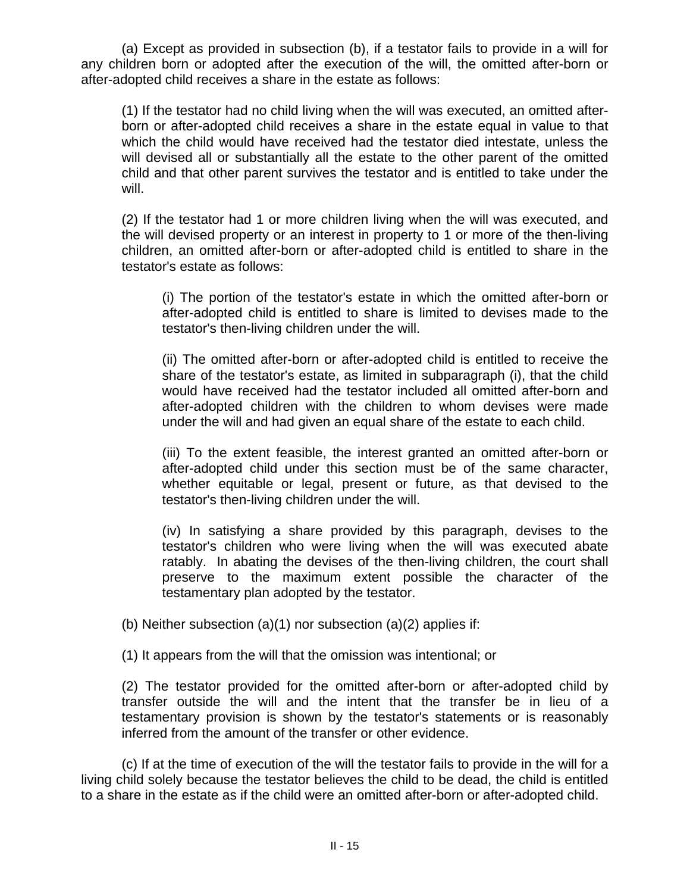(a) Except as provided in subsection (b), if a testator fails to provide in a will for any children born or adopted after the execution of the will, the omitted after-born or after-adopted child receives a share in the estate as follows:

(1) If the testator had no child living when the will was executed, an omitted afterborn or after-adopted child receives a share in the estate equal in value to that which the child would have received had the testator died intestate, unless the will devised all or substantially all the estate to the other parent of the omitted child and that other parent survives the testator and is entitled to take under the will.

(2) If the testator had 1 or more children living when the will was executed, and the will devised property or an interest in property to 1 or more of the then-living children, an omitted after-born or after-adopted child is entitled to share in the testator's estate as follows:

(i) The portion of the testator's estate in which the omitted after-born or after-adopted child is entitled to share is limited to devises made to the testator's then-living children under the will.

(ii) The omitted after-born or after-adopted child is entitled to receive the share of the testator's estate, as limited in subparagraph (i), that the child would have received had the testator included all omitted after-born and after-adopted children with the children to whom devises were made under the will and had given an equal share of the estate to each child.

(iii) To the extent feasible, the interest granted an omitted after-born or after-adopted child under this section must be of the same character, whether equitable or legal, present or future, as that devised to the testator's then-living children under the will.

(iv) In satisfying a share provided by this paragraph, devises to the testator's children who were living when the will was executed abate ratably. In abating the devises of the then-living children, the court shall preserve to the maximum extent possible the character of the testamentary plan adopted by the testator.

(b) Neither subsection  $(a)(1)$  nor subsection  $(a)(2)$  applies if:

(1) It appears from the will that the omission was intentional; or

(2) The testator provided for the omitted after-born or after-adopted child by transfer outside the will and the intent that the transfer be in lieu of a testamentary provision is shown by the testator's statements or is reasonably inferred from the amount of the transfer or other evidence.

 (c) If at the time of execution of the will the testator fails to provide in the will for a living child solely because the testator believes the child to be dead, the child is entitled to a share in the estate as if the child were an omitted after-born or after-adopted child.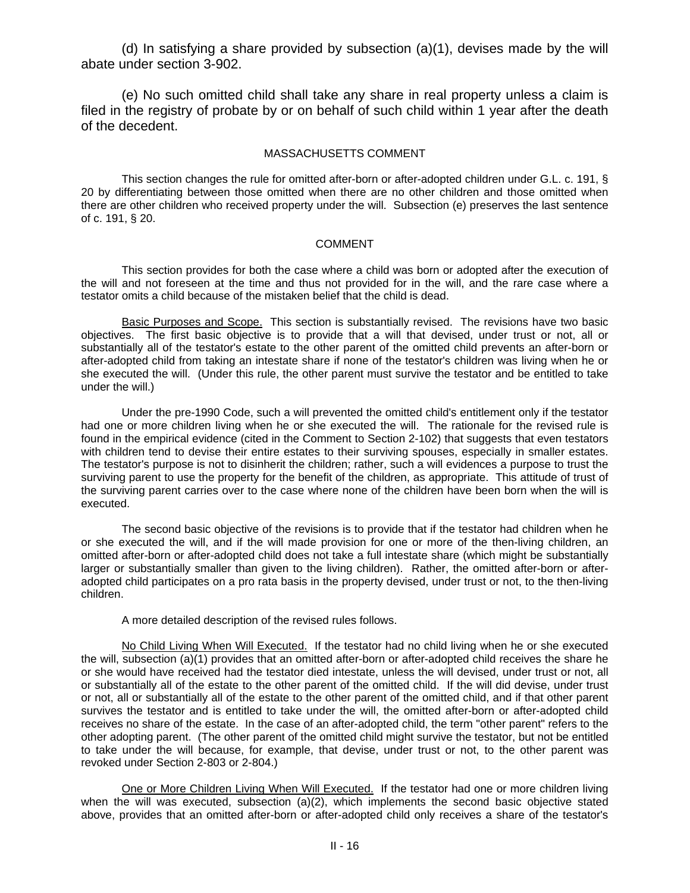(d) In satisfying a share provided by subsection (a)(1), devises made by the will abate under section 3-902.

 (e) No such omitted child shall take any share in real property unless a claim is filed in the registry of probate by or on behalf of such child within 1 year after the death of the decedent.

#### MASSACHUSETTS COMMENT

 This section changes the rule for omitted after-born or after-adopted children under G.L. c. 191, § 20 by differentiating between those omitted when there are no other children and those omitted when there are other children who received property under the will. Subsection (e) preserves the last sentence of c. 191, § 20.

#### COMMENT

 This section provides for both the case where a child was born or adopted after the execution of the will and not foreseen at the time and thus not provided for in the will, and the rare case where a testator omits a child because of the mistaken belief that the child is dead.

Basic Purposes and Scope. This section is substantially revised. The revisions have two basic objectives. The first basic objective is to provide that a will that devised, under trust or not, all or substantially all of the testator's estate to the other parent of the omitted child prevents an after-born or after-adopted child from taking an intestate share if none of the testator's children was living when he or she executed the will. (Under this rule, the other parent must survive the testator and be entitled to take under the will.)

 Under the pre-1990 Code, such a will prevented the omitted child's entitlement only if the testator had one or more children living when he or she executed the will. The rationale for the revised rule is found in the empirical evidence (cited in the Comment to Section 2-102) that suggests that even testators with children tend to devise their entire estates to their surviving spouses, especially in smaller estates. The testator's purpose is not to disinherit the children; rather, such a will evidences a purpose to trust the surviving parent to use the property for the benefit of the children, as appropriate. This attitude of trust of the surviving parent carries over to the case where none of the children have been born when the will is executed.

 The second basic objective of the revisions is to provide that if the testator had children when he or she executed the will, and if the will made provision for one or more of the then-living children, an omitted after-born or after-adopted child does not take a full intestate share (which might be substantially larger or substantially smaller than given to the living children). Rather, the omitted after-born or afteradopted child participates on a pro rata basis in the property devised, under trust or not, to the then-living children.

A more detailed description of the revised rules follows.

No Child Living When Will Executed. If the testator had no child living when he or she executed the will, subsection (a)(1) provides that an omitted after-born or after-adopted child receives the share he or she would have received had the testator died intestate, unless the will devised, under trust or not, all or substantially all of the estate to the other parent of the omitted child. If the will did devise, under trust or not, all or substantially all of the estate to the other parent of the omitted child, and if that other parent survives the testator and is entitled to take under the will, the omitted after-born or after-adopted child receives no share of the estate. In the case of an after-adopted child, the term "other parent" refers to the other adopting parent. (The other parent of the omitted child might survive the testator, but not be entitled to take under the will because, for example, that devise, under trust or not, to the other parent was revoked under Section 2-803 or 2-804.)

One or More Children Living When Will Executed. If the testator had one or more children living when the will was executed, subsection  $(a)(2)$ , which implements the second basic objective stated above, provides that an omitted after-born or after-adopted child only receives a share of the testator's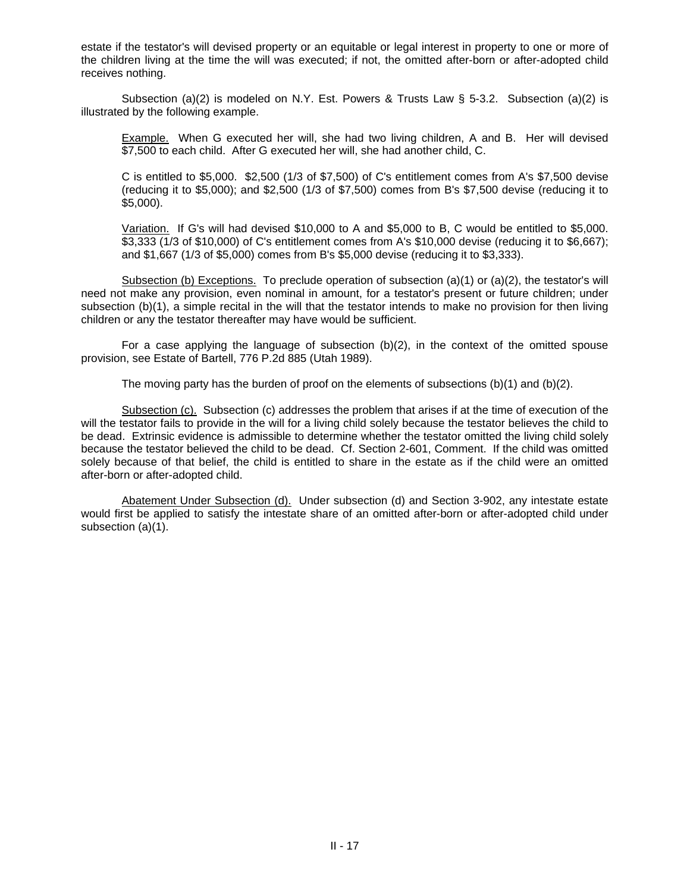estate if the testator's will devised property or an equitable or legal interest in property to one or more of the children living at the time the will was executed; if not, the omitted after-born or after-adopted child receives nothing.

 Subsection (a)(2) is modeled on N.Y. Est. Powers & Trusts Law § 5-3.2. Subsection (a)(2) is illustrated by the following example.

Example. When G executed her will, she had two living children, A and B. Her will devised \$7,500 to each child. After G executed her will, she had another child, C.

C is entitled to \$5,000. \$2,500 (1/3 of \$7,500) of C's entitlement comes from A's \$7,500 devise (reducing it to \$5,000); and \$2,500 (1/3 of \$7,500) comes from B's \$7,500 devise (reducing it to \$5,000).

Variation. If G's will had devised \$10,000 to A and \$5,000 to B, C would be entitled to \$5,000. \$3,333 (1/3 of \$10,000) of C's entitlement comes from A's \$10,000 devise (reducing it to \$6,667); and \$1,667 (1/3 of \$5,000) comes from B's \$5,000 devise (reducing it to \$3,333).

Subsection (b) Exceptions. To preclude operation of subsection  $(a)(1)$  or  $(a)(2)$ , the testator's will need not make any provision, even nominal in amount, for a testator's present or future children; under subsection (b)(1), a simple recital in the will that the testator intends to make no provision for then living children or any the testator thereafter may have would be sufficient.

 For a case applying the language of subsection (b)(2), in the context of the omitted spouse provision, see Estate of Bartell, 776 P.2d 885 (Utah 1989).

The moving party has the burden of proof on the elements of subsections  $(b)(1)$  and  $(b)(2)$ .

Subsection (c). Subsection (c) addresses the problem that arises if at the time of execution of the will the testator fails to provide in the will for a living child solely because the testator believes the child to be dead. Extrinsic evidence is admissible to determine whether the testator omitted the living child solely because the testator believed the child to be dead. Cf. Section 2-601, Comment. If the child was omitted solely because of that belief, the child is entitled to share in the estate as if the child were an omitted after-born or after-adopted child.

Abatement Under Subsection (d). Under subsection (d) and Section 3-902, any intestate estate would first be applied to satisfy the intestate share of an omitted after-born or after-adopted child under subsection (a)(1).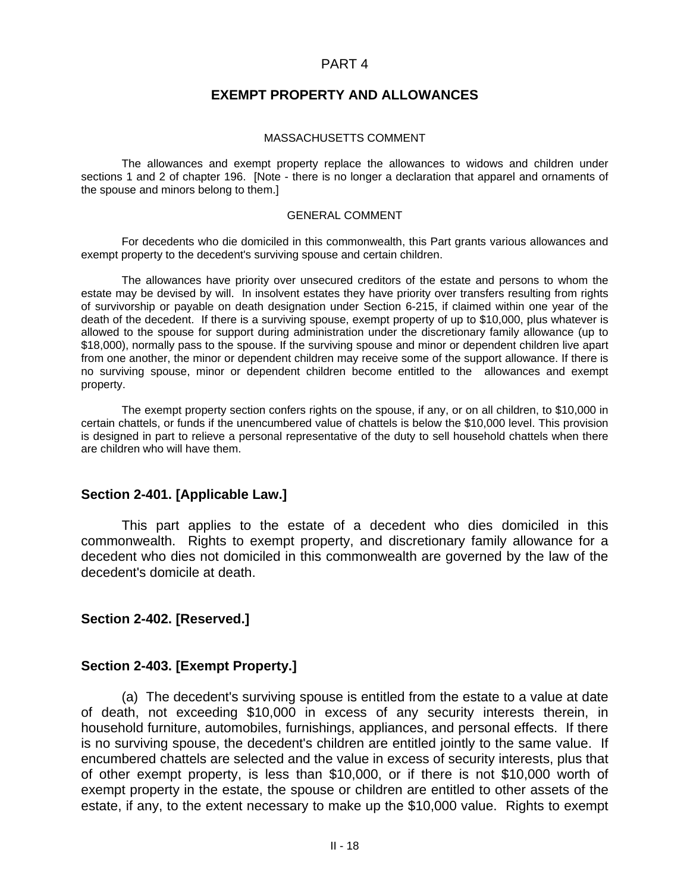## PART 4

# **EXEMPT PROPERTY AND ALLOWANCES**

#### MASSACHUSETTS COMMENT

 The allowances and exempt property replace the allowances to widows and children under sections 1 and 2 of chapter 196. [Note - there is no longer a declaration that apparel and ornaments of the spouse and minors belong to them.]

#### GENERAL COMMENT

 For decedents who die domiciled in this commonwealth, this Part grants various allowances and exempt property to the decedent's surviving spouse and certain children.

 The allowances have priority over unsecured creditors of the estate and persons to whom the estate may be devised by will. In insolvent estates they have priority over transfers resulting from rights of survivorship or payable on death designation under Section 6-215, if claimed within one year of the death of the decedent. If there is a surviving spouse, exempt property of up to \$10,000, plus whatever is allowed to the spouse for support during administration under the discretionary family allowance (up to \$18,000), normally pass to the spouse. If the surviving spouse and minor or dependent children live apart from one another, the minor or dependent children may receive some of the support allowance. If there is no surviving spouse, minor or dependent children become entitled to the allowances and exempt property.

 The exempt property section confers rights on the spouse, if any, or on all children, to \$10,000 in certain chattels, or funds if the unencumbered value of chattels is below the \$10,000 level. This provision is designed in part to relieve a personal representative of the duty to sell household chattels when there are children who will have them.

## **Section 2-401. [Applicable Law.]**

 This part applies to the estate of a decedent who dies domiciled in this commonwealth. Rights to exempt property, and discretionary family allowance for a decedent who dies not domiciled in this commonwealth are governed by the law of the decedent's domicile at death.

# **Section 2-402. [Reserved.]**

## **Section 2-403. [Exempt Property.]**

 (a) The decedent's surviving spouse is entitled from the estate to a value at date of death, not exceeding \$10,000 in excess of any security interests therein, in household furniture, automobiles, furnishings, appliances, and personal effects. If there is no surviving spouse, the decedent's children are entitled jointly to the same value. If encumbered chattels are selected and the value in excess of security interests, plus that of other exempt property, is less than \$10,000, or if there is not \$10,000 worth of exempt property in the estate, the spouse or children are entitled to other assets of the estate, if any, to the extent necessary to make up the \$10,000 value. Rights to exempt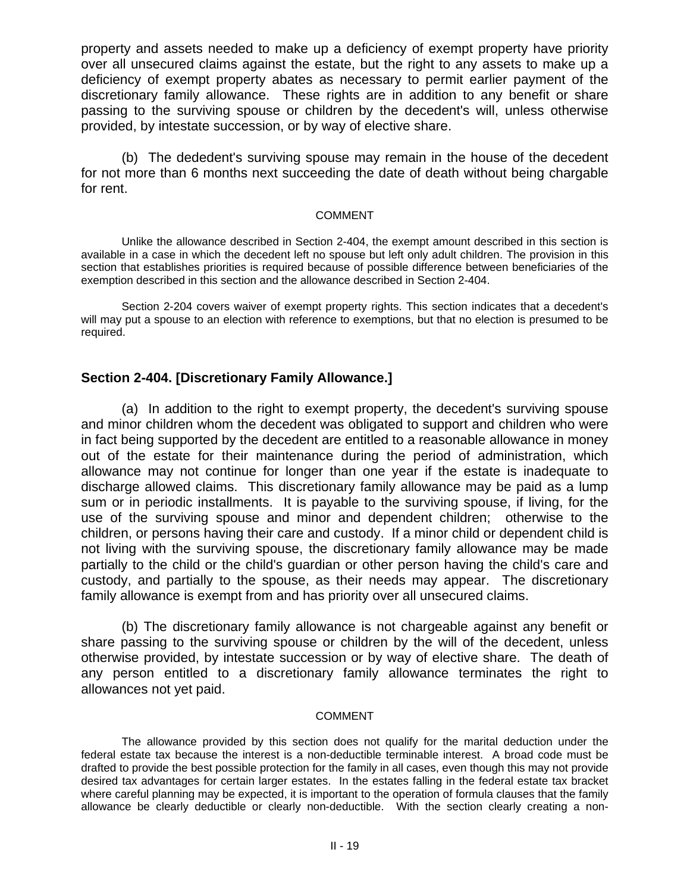property and assets needed to make up a deficiency of exempt property have priority over all unsecured claims against the estate, but the right to any assets to make up a deficiency of exempt property abates as necessary to permit earlier payment of the discretionary family allowance. These rights are in addition to any benefit or share passing to the surviving spouse or children by the decedent's will, unless otherwise provided, by intestate succession, or by way of elective share.

 (b) The dededent's surviving spouse may remain in the house of the decedent for not more than 6 months next succeeding the date of death without being chargable for rent.

### COMMENT

 Unlike the allowance described in Section 2-404, the exempt amount described in this section is available in a case in which the decedent left no spouse but left only adult children. The provision in this section that establishes priorities is required because of possible difference between beneficiaries of the exemption described in this section and the allowance described in Section 2-404.

 Section 2-204 covers waiver of exempt property rights. This section indicates that a decedent's will may put a spouse to an election with reference to exemptions, but that no election is presumed to be required.

## **Section 2-404. [Discretionary Family Allowance.]**

 (a) In addition to the right to exempt property, the decedent's surviving spouse and minor children whom the decedent was obligated to support and children who were in fact being supported by the decedent are entitled to a reasonable allowance in money out of the estate for their maintenance during the period of administration, which allowance may not continue for longer than one year if the estate is inadequate to discharge allowed claims. This discretionary family allowance may be paid as a lump sum or in periodic installments. It is payable to the surviving spouse, if living, for the use of the surviving spouse and minor and dependent children; otherwise to the children, or persons having their care and custody. If a minor child or dependent child is not living with the surviving spouse, the discretionary family allowance may be made partially to the child or the child's guardian or other person having the child's care and custody, and partially to the spouse, as their needs may appear. The discretionary family allowance is exempt from and has priority over all unsecured claims.

 (b) The discretionary family allowance is not chargeable against any benefit or share passing to the surviving spouse or children by the will of the decedent, unless otherwise provided, by intestate succession or by way of elective share. The death of any person entitled to a discretionary family allowance terminates the right to allowances not yet paid.

### COMMENT

 The allowance provided by this section does not qualify for the marital deduction under the federal estate tax because the interest is a non-deductible terminable interest. A broad code must be drafted to provide the best possible protection for the family in all cases, even though this may not provide desired tax advantages for certain larger estates. In the estates falling in the federal estate tax bracket where careful planning may be expected, it is important to the operation of formula clauses that the family allowance be clearly deductible or clearly non-deductible. With the section clearly creating a non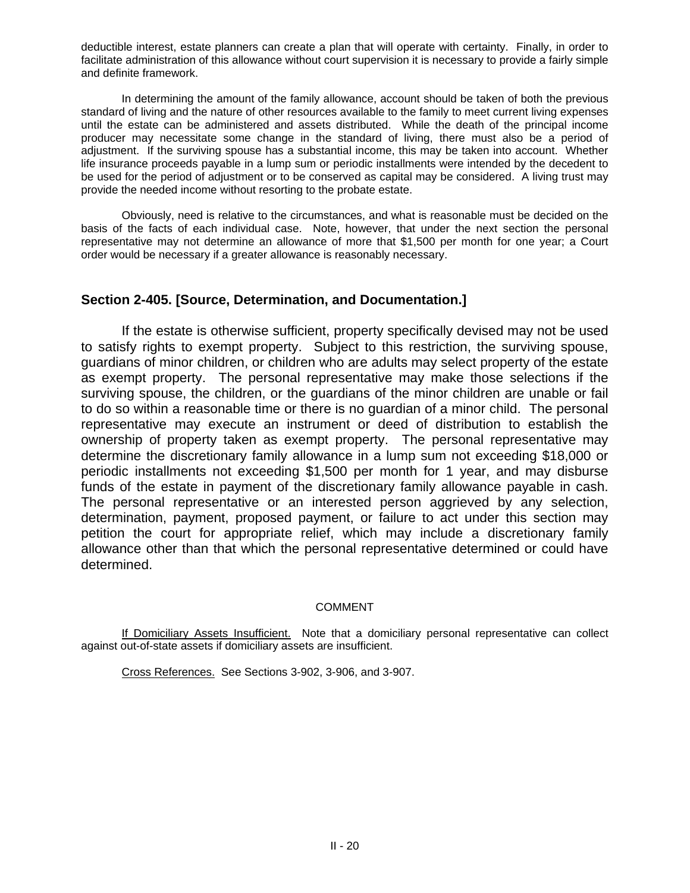deductible interest, estate planners can create a plan that will operate with certainty. Finally, in order to facilitate administration of this allowance without court supervision it is necessary to provide a fairly simple and definite framework.

 In determining the amount of the family allowance, account should be taken of both the previous standard of living and the nature of other resources available to the family to meet current living expenses until the estate can be administered and assets distributed. While the death of the principal income producer may necessitate some change in the standard of living, there must also be a period of adjustment. If the surviving spouse has a substantial income, this may be taken into account. Whether life insurance proceeds payable in a lump sum or periodic installments were intended by the decedent to be used for the period of adjustment or to be conserved as capital may be considered. A living trust may provide the needed income without resorting to the probate estate.

 Obviously, need is relative to the circumstances, and what is reasonable must be decided on the basis of the facts of each individual case. Note, however, that under the next section the personal representative may not determine an allowance of more that \$1,500 per month for one year; a Court order would be necessary if a greater allowance is reasonably necessary.

## **Section 2-405. [Source, Determination, and Documentation.]**

 If the estate is otherwise sufficient, property specifically devised may not be used to satisfy rights to exempt property. Subject to this restriction, the surviving spouse, guardians of minor children, or children who are adults may select property of the estate as exempt property. The personal representative may make those selections if the surviving spouse, the children, or the guardians of the minor children are unable or fail to do so within a reasonable time or there is no guardian of a minor child. The personal representative may execute an instrument or deed of distribution to establish the ownership of property taken as exempt property. The personal representative may determine the discretionary family allowance in a lump sum not exceeding \$18,000 or periodic installments not exceeding \$1,500 per month for 1 year, and may disburse funds of the estate in payment of the discretionary family allowance payable in cash. The personal representative or an interested person aggrieved by any selection, determination, payment, proposed payment, or failure to act under this section may petition the court for appropriate relief, which may include a discretionary family allowance other than that which the personal representative determined or could have determined.

### COMMENT

If Domiciliary Assets Insufficient. Note that a domiciliary personal representative can collect against out-of-state assets if domiciliary assets are insufficient.

Cross References. See Sections 3-902, 3-906, and 3-907.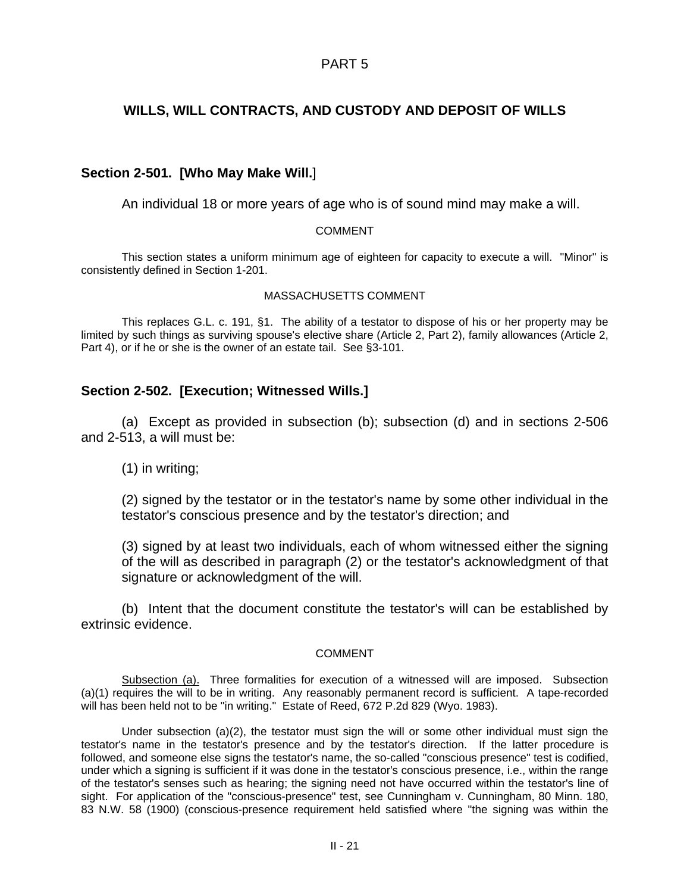# PART 5

# **WILLS, WILL CONTRACTS, AND CUSTODY AND DEPOSIT OF WILLS**

## **Section 2-501. [Who May Make Will.**]

An individual 18 or more years of age who is of sound mind may make a will.

#### COMMENT

 This section states a uniform minimum age of eighteen for capacity to execute a will. "Minor" is consistently defined in Section 1-201.

#### MASSACHUSETTS COMMENT

 This replaces G.L. c. 191, §1. The ability of a testator to dispose of his or her property may be limited by such things as surviving spouse's elective share (Article 2, Part 2), family allowances (Article 2, Part 4), or if he or she is the owner of an estate tail. See §3-101.

## **Section 2-502. [Execution; Witnessed Wills.]**

 (a) Except as provided in subsection (b); subsection (d) and in sections 2-506 and 2-513, a will must be:

(1) in writing;

(2) signed by the testator or in the testator's name by some other individual in the testator's conscious presence and by the testator's direction; and

(3) signed by at least two individuals, each of whom witnessed either the signing of the will as described in paragraph (2) or the testator's acknowledgment of that signature or acknowledgment of the will.

 (b) Intent that the document constitute the testator's will can be established by extrinsic evidence.

### COMMENT

Subsection (a). Three formalities for execution of a witnessed will are imposed. Subsection (a)(1) requires the will to be in writing. Any reasonably permanent record is sufficient. A tape-recorded will has been held not to be "in writing." Estate of Reed, 672 P.2d 829 (Wyo. 1983).

 Under subsection (a)(2), the testator must sign the will or some other individual must sign the testator's name in the testator's presence and by the testator's direction. If the latter procedure is followed, and someone else signs the testator's name, the so-called "conscious presence" test is codified, under which a signing is sufficient if it was done in the testator's conscious presence, i.e., within the range of the testator's senses such as hearing; the signing need not have occurred within the testator's line of sight. For application of the "conscious-presence" test, see Cunningham v. Cunningham, 80 Minn. 180, 83 N.W. 58 (1900) (conscious-presence requirement held satisfied where "the signing was within the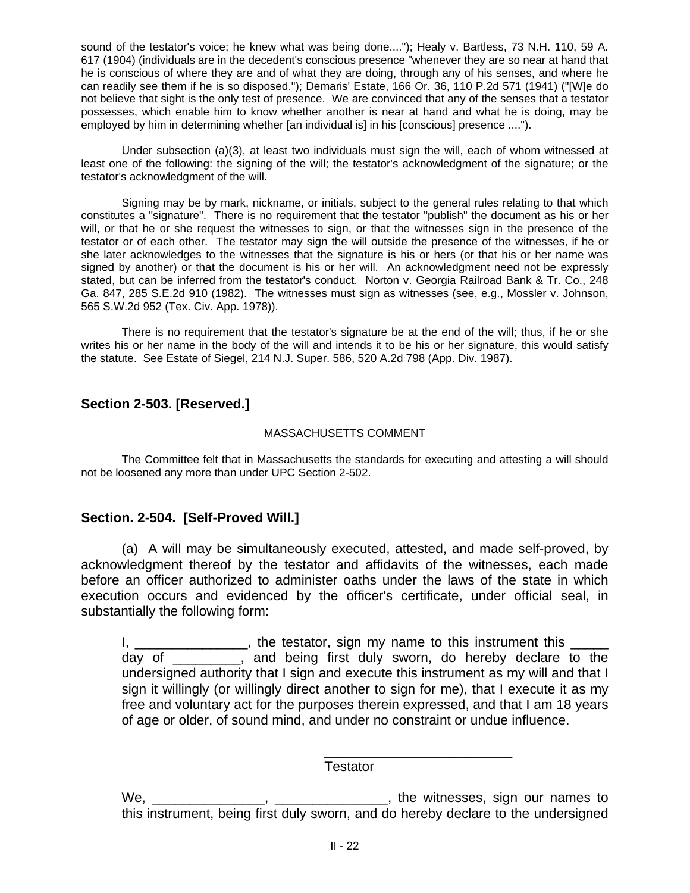sound of the testator's voice; he knew what was being done...."); Healy v. Bartless, 73 N.H. 110, 59 A. 617 (1904) (individuals are in the decedent's conscious presence "whenever they are so near at hand that he is conscious of where they are and of what they are doing, through any of his senses, and where he can readily see them if he is so disposed."); Demaris' Estate, 166 Or. 36, 110 P.2d 571 (1941) ("[W]e do not believe that sight is the only test of presence. We are convinced that any of the senses that a testator possesses, which enable him to know whether another is near at hand and what he is doing, may be employed by him in determining whether [an individual is] in his [conscious] presence ....").

 Under subsection (a)(3), at least two individuals must sign the will, each of whom witnessed at least one of the following: the signing of the will; the testator's acknowledgment of the signature; or the testator's acknowledgment of the will.

 Signing may be by mark, nickname, or initials, subject to the general rules relating to that which constitutes a "signature". There is no requirement that the testator "publish" the document as his or her will, or that he or she request the witnesses to sign, or that the witnesses sign in the presence of the testator or of each other. The testator may sign the will outside the presence of the witnesses, if he or she later acknowledges to the witnesses that the signature is his or hers (or that his or her name was signed by another) or that the document is his or her will. An acknowledgment need not be expressly stated, but can be inferred from the testator's conduct. Norton v. Georgia Railroad Bank & Tr. Co., 248 Ga. 847, 285 S.E.2d 910 (1982). The witnesses must sign as witnesses (see, e.g., Mossler v. Johnson, 565 S.W.2d 952 (Tex. Civ. App. 1978)).

 There is no requirement that the testator's signature be at the end of the will; thus, if he or she writes his or her name in the body of the will and intends it to be his or her signature, this would satisfy the statute. See Estate of Siegel, 214 N.J. Super. 586, 520 A.2d 798 (App. Div. 1987).

# **Section 2-503. [Reserved.]**

### MASSACHUSETTS COMMENT

 The Committee felt that in Massachusetts the standards for executing and attesting a will should not be loosened any more than under UPC Section 2-502.

# **Section. 2-504. [Self-Proved Will.]**

 (a) A will may be simultaneously executed, attested, and made self-proved, by acknowledgment thereof by the testator and affidavits of the witnesses, each made before an officer authorized to administer oaths under the laws of the state in which execution occurs and evidenced by the officer's certificate, under official seal, in substantially the following form:

I, \_\_\_\_\_\_\_\_\_\_\_\_\_\_\_, the testator, sign my name to this instrument this \_\_\_\_\_ day of \_\_\_\_\_\_\_\_\_, and being first duly sworn, do hereby declare to the undersigned authority that I sign and execute this instrument as my will and that I sign it willingly (or willingly direct another to sign for me), that I execute it as my free and voluntary act for the purposes therein expressed, and that I am 18 years of age or older, of sound mind, and under no constraint or undue influence.

# **Testator**

 $\frac{1}{\sqrt{2}}$  , and the contract of the contract of the contract of the contract of the contract of the contract of the contract of the contract of the contract of the contract of the contract of the contract of the contra

We, \_\_\_\_\_\_\_\_\_\_\_\_\_\_, \_\_\_\_\_\_\_\_\_\_\_\_\_\_, the witnesses, sign our names to this instrument, being first duly sworn, and do hereby declare to the undersigned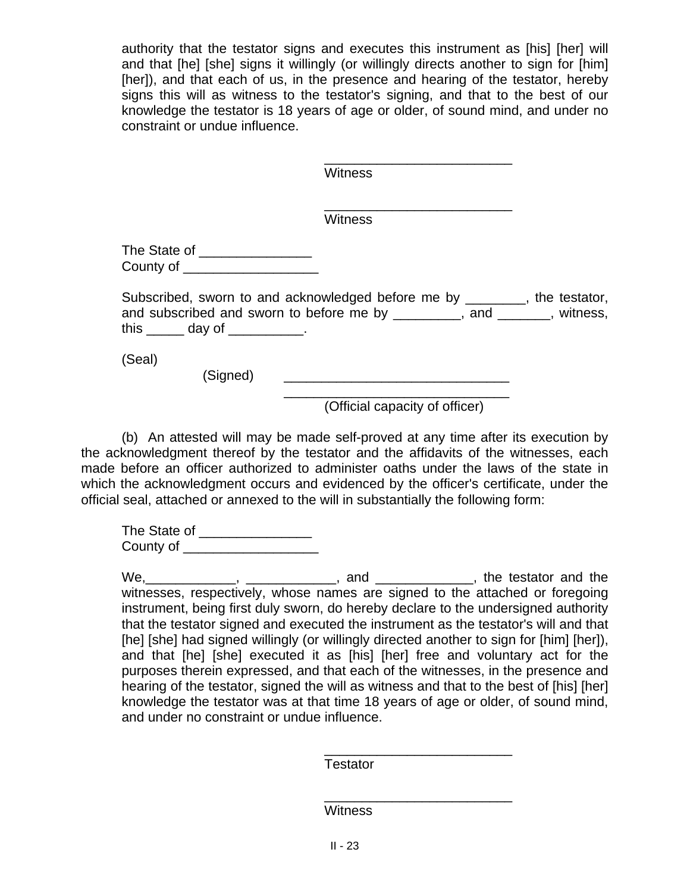authority that the testator signs and executes this instrument as [his] [her] will and that [he] [she] signs it willingly (or willingly directs another to sign for [him] [her]), and that each of us, in the presence and hearing of the testator, hereby signs this will as witness to the testator's signing, and that to the best of our knowledge the testator is 18 years of age or older, of sound mind, and under no constraint or undue influence.

|                                                                          | <b>Witness</b>                                                                                                                                      |  |
|--------------------------------------------------------------------------|-----------------------------------------------------------------------------------------------------------------------------------------------------|--|
|                                                                          | <b>Witness</b>                                                                                                                                      |  |
| The State of __________________<br>County of <u>____________________</u> |                                                                                                                                                     |  |
|                                                                          |                                                                                                                                                     |  |
| this day of filling the day of                                           | Subscribed, sworn to and acknowledged before me by _______, the testator,<br>and subscribed and sworn to before me by ________, and _____, witness, |  |
| (Seal)<br>(Signed)                                                       |                                                                                                                                                     |  |

 (b) An attested will may be made self-proved at any time after its execution by the acknowledgment thereof by the testator and the affidavits of the witnesses, each made before an officer authorized to administer oaths under the laws of the state in which the acknowledgment occurs and evidenced by the officer's certificate, under the official seal, attached or annexed to the will in substantially the following form:

The State of \_\_\_\_\_\_\_\_\_\_\_\_\_\_\_\_\_ County of **Exercise 20** 

We, \_\_\_\_\_\_\_\_\_\_\_\_\_, \_\_\_\_\_\_\_\_\_\_\_\_\_, and \_\_\_\_\_\_\_\_\_\_\_\_\_\_, the testator and the witnesses, respectively, whose names are signed to the attached or foregoing instrument, being first duly sworn, do hereby declare to the undersigned authority that the testator signed and executed the instrument as the testator's will and that [he] [she] had signed willingly (or willingly directed another to sign for [him] [her]). and that [he] [she] executed it as [his] [her] free and voluntary act for the purposes therein expressed, and that each of the witnesses, in the presence and hearing of the testator, signed the will as witness and that to the best of [his] [her] knowledge the testator was at that time 18 years of age or older, of sound mind, and under no constraint or undue influence.

Testator

 $\frac{1}{\sqrt{2\pi}}$  , and the contract of the contract of the contract of the contract of the contract of the contract of the contract of the contract of the contract of the contract of the contract of the contract of the cont

 $\frac{1}{\sqrt{2}}$  , and the contract of the contract of the contract of the contract of the contract of the contract of the contract of the contract of the contract of the contract of the contract of the contract of the contra Witness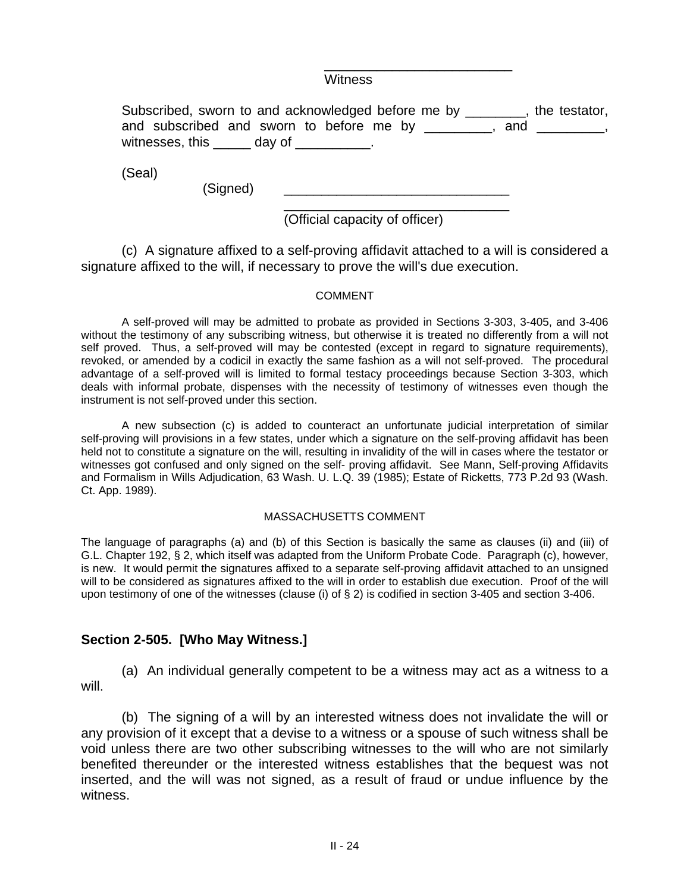## **Witness**

 $\frac{1}{\sqrt{2\pi}}$  , and the contract of the contract of the contract of the contract of the contract of the contract of the contract of the contract of the contract of the contract of the contract of the contract of the cont

 Subscribed, sworn to and acknowledged before me by \_\_\_\_\_\_\_\_, the testator, and subscribed and sworn to before me by \_\_\_\_\_\_\_\_, and \_\_\_\_\_\_\_\_, witnesses, this day of

(Seal)

 $(Signed)$ 

 $\frac{1}{\sqrt{2}}$  ,  $\frac{1}{\sqrt{2}}$  ,  $\frac{1}{\sqrt{2}}$  ,  $\frac{1}{\sqrt{2}}$  ,  $\frac{1}{\sqrt{2}}$  ,  $\frac{1}{\sqrt{2}}$  ,  $\frac{1}{\sqrt{2}}$  ,  $\frac{1}{\sqrt{2}}$  ,  $\frac{1}{\sqrt{2}}$  ,  $\frac{1}{\sqrt{2}}$  ,  $\frac{1}{\sqrt{2}}$  ,  $\frac{1}{\sqrt{2}}$  ,  $\frac{1}{\sqrt{2}}$  ,  $\frac{1}{\sqrt{2}}$  ,  $\frac{1}{\sqrt{2}}$ (Official capacity of officer)

 (c) A signature affixed to a self-proving affidavit attached to a will is considered a signature affixed to the will, if necessary to prove the will's due execution.

### COMMENT

 A self-proved will may be admitted to probate as provided in Sections 3-303, 3-405, and 3-406 without the testimony of any subscribing witness, but otherwise it is treated no differently from a will not self proved. Thus, a self-proved will may be contested (except in regard to signature requirements), revoked, or amended by a codicil in exactly the same fashion as a will not self-proved. The procedural advantage of a self-proved will is limited to formal testacy proceedings because Section 3-303, which deals with informal probate, dispenses with the necessity of testimony of witnesses even though the instrument is not self-proved under this section.

 A new subsection (c) is added to counteract an unfortunate judicial interpretation of similar self-proving will provisions in a few states, under which a signature on the self-proving affidavit has been held not to constitute a signature on the will, resulting in invalidity of the will in cases where the testator or witnesses got confused and only signed on the self- proving affidavit. See Mann, Self-proving Affidavits and Formalism in Wills Adjudication, 63 Wash. U. L.Q. 39 (1985); Estate of Ricketts, 773 P.2d 93 (Wash. Ct. App. 1989).

## MASSACHUSETTS COMMENT

The language of paragraphs (a) and (b) of this Section is basically the same as clauses (ii) and (iii) of G.L. Chapter 192, § 2, which itself was adapted from the Uniform Probate Code. Paragraph (c), however, is new. It would permit the signatures affixed to a separate self-proving affidavit attached to an unsigned will to be considered as signatures affixed to the will in order to establish due execution. Proof of the will upon testimony of one of the witnesses (clause (i) of § 2) is codified in section 3-405 and section 3-406.

## **Section 2-505. [Who May Witness.]**

 (a) An individual generally competent to be a witness may act as a witness to a will.

 (b) The signing of a will by an interested witness does not invalidate the will or any provision of it except that a devise to a witness or a spouse of such witness shall be void unless there are two other subscribing witnesses to the will who are not similarly benefited thereunder or the interested witness establishes that the bequest was not inserted, and the will was not signed, as a result of fraud or undue influence by the witness.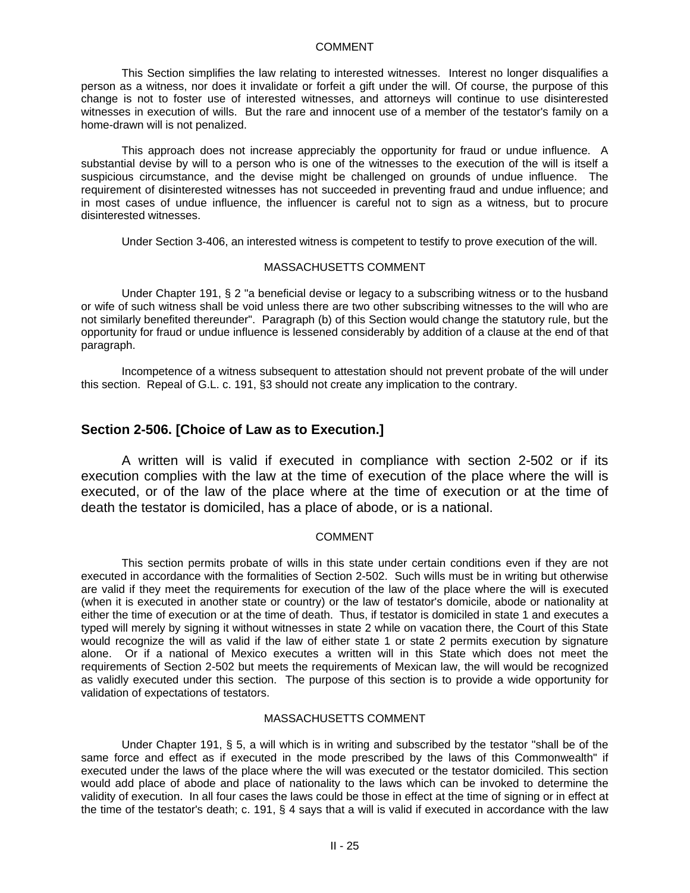#### COMMENT

 This Section simplifies the law relating to interested witnesses. Interest no longer disqualifies a person as a witness, nor does it invalidate or forfeit a gift under the will. Of course, the purpose of this change is not to foster use of interested witnesses, and attorneys will continue to use disinterested witnesses in execution of wills. But the rare and innocent use of a member of the testator's family on a home-drawn will is not penalized.

 This approach does not increase appreciably the opportunity for fraud or undue influence. A substantial devise by will to a person who is one of the witnesses to the execution of the will is itself a suspicious circumstance, and the devise might be challenged on grounds of undue influence. The requirement of disinterested witnesses has not succeeded in preventing fraud and undue influence; and in most cases of undue influence, the influencer is careful not to sign as a witness, but to procure disinterested witnesses.

Under Section 3-406, an interested witness is competent to testify to prove execution of the will.

#### MASSACHUSETTS COMMENT

 Under Chapter 191, § 2 "a beneficial devise or legacy to a subscribing witness or to the husband or wife of such witness shall be void unless there are two other subscribing witnesses to the will who are not similarly benefited thereunder". Paragraph (b) of this Section would change the statutory rule, but the opportunity for fraud or undue influence is lessened considerably by addition of a clause at the end of that paragraph.

 Incompetence of a witness subsequent to attestation should not prevent probate of the will under this section. Repeal of G.L. c. 191, §3 should not create any implication to the contrary.

## **Section 2-506. [Choice of Law as to Execution.]**

 A written will is valid if executed in compliance with section 2-502 or if its execution complies with the law at the time of execution of the place where the will is executed, or of the law of the place where at the time of execution or at the time of death the testator is domiciled, has a place of abode, or is a national.

#### COMMENT

 This section permits probate of wills in this state under certain conditions even if they are not executed in accordance with the formalities of Section 2-502. Such wills must be in writing but otherwise are valid if they meet the requirements for execution of the law of the place where the will is executed (when it is executed in another state or country) or the law of testator's domicile, abode or nationality at either the time of execution or at the time of death. Thus, if testator is domiciled in state 1 and executes a typed will merely by signing it without witnesses in state 2 while on vacation there, the Court of this State would recognize the will as valid if the law of either state 1 or state 2 permits execution by signature alone. Or if a national of Mexico executes a written will in this State which does not meet the requirements of Section 2-502 but meets the requirements of Mexican law, the will would be recognized as validly executed under this section. The purpose of this section is to provide a wide opportunity for validation of expectations of testators.

#### MASSACHUSETTS COMMENT

 Under Chapter 191, § 5, a will which is in writing and subscribed by the testator "shall be of the same force and effect as if executed in the mode prescribed by the laws of this Commonwealth" if executed under the laws of the place where the will was executed or the testator domiciled. This section would add place of abode and place of nationality to the laws which can be invoked to determine the validity of execution. In all four cases the laws could be those in effect at the time of signing or in effect at the time of the testator's death; c. 191, § 4 says that a will is valid if executed in accordance with the law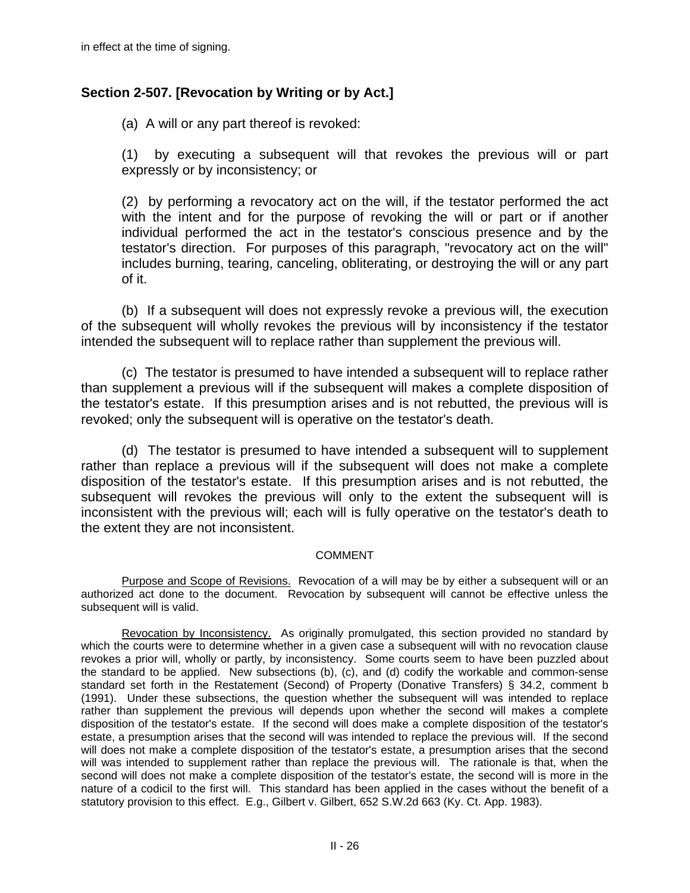# **Section 2-507. [Revocation by Writing or by Act.]**

(a) A will or any part thereof is revoked:

(1) by executing a subsequent will that revokes the previous will or part expressly or by inconsistency; or

(2) by performing a revocatory act on the will, if the testator performed the act with the intent and for the purpose of revoking the will or part or if another individual performed the act in the testator's conscious presence and by the testator's direction. For purposes of this paragraph, "revocatory act on the will" includes burning, tearing, canceling, obliterating, or destroying the will or any part of it.

 (b) If a subsequent will does not expressly revoke a previous will, the execution of the subsequent will wholly revokes the previous will by inconsistency if the testator intended the subsequent will to replace rather than supplement the previous will.

 (c) The testator is presumed to have intended a subsequent will to replace rather than supplement a previous will if the subsequent will makes a complete disposition of the testator's estate. If this presumption arises and is not rebutted, the previous will is revoked; only the subsequent will is operative on the testator's death.

 (d) The testator is presumed to have intended a subsequent will to supplement rather than replace a previous will if the subsequent will does not make a complete disposition of the testator's estate. If this presumption arises and is not rebutted, the subsequent will revokes the previous will only to the extent the subsequent will is inconsistent with the previous will; each will is fully operative on the testator's death to the extent they are not inconsistent.

### **COMMENT**

Purpose and Scope of Revisions. Revocation of a will may be by either a subsequent will or an authorized act done to the document. Revocation by subsequent will cannot be effective unless the subsequent will is valid.

Revocation by Inconsistency. As originally promulgated, this section provided no standard by which the courts were to determine whether in a given case a subsequent will with no revocation clause revokes a prior will, wholly or partly, by inconsistency. Some courts seem to have been puzzled about the standard to be applied. New subsections (b), (c), and (d) codify the workable and common-sense standard set forth in the Restatement (Second) of Property (Donative Transfers) § 34.2, comment b (1991). Under these subsections, the question whether the subsequent will was intended to replace rather than supplement the previous will depends upon whether the second will makes a complete disposition of the testator's estate. If the second will does make a complete disposition of the testator's estate, a presumption arises that the second will was intended to replace the previous will. If the second will does not make a complete disposition of the testator's estate, a presumption arises that the second will was intended to supplement rather than replace the previous will. The rationale is that, when the second will does not make a complete disposition of the testator's estate, the second will is more in the nature of a codicil to the first will. This standard has been applied in the cases without the benefit of a statutory provision to this effect. E.g., Gilbert v. Gilbert, 652 S.W.2d 663 (Ky. Ct. App. 1983).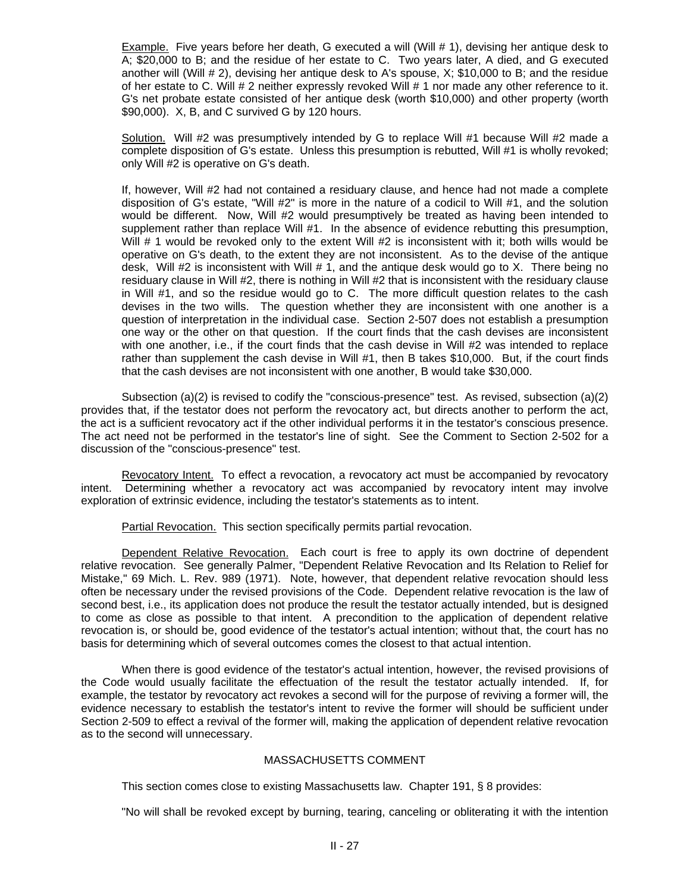Example. Five years before her death, G executed a will (Will # 1), devising her antique desk to A; \$20,000 to B; and the residue of her estate to C. Two years later, A died, and G executed another will (Will # 2), devising her antique desk to A's spouse, X; \$10,000 to B; and the residue of her estate to C. Will # 2 neither expressly revoked Will # 1 nor made any other reference to it. G's net probate estate consisted of her antique desk (worth \$10,000) and other property (worth \$90,000). X, B, and C survived G by 120 hours.

Solution. Will #2 was presumptively intended by G to replace Will #1 because Will #2 made a complete disposition of G's estate. Unless this presumption is rebutted, Will #1 is wholly revoked; only Will #2 is operative on G's death.

If, however, Will #2 had not contained a residuary clause, and hence had not made a complete disposition of G's estate, "Will #2" is more in the nature of a codicil to Will #1, and the solution would be different. Now, Will #2 would presumptively be treated as having been intended to supplement rather than replace Will #1. In the absence of evidence rebutting this presumption, Will # 1 would be revoked only to the extent Will #2 is inconsistent with it; both wills would be operative on G's death, to the extent they are not inconsistent. As to the devise of the antique desk, Will #2 is inconsistent with Will # 1, and the antique desk would go to X. There being no residuary clause in Will #2, there is nothing in Will #2 that is inconsistent with the residuary clause in Will #1, and so the residue would go to C. The more difficult question relates to the cash devises in the two wills. The question whether they are inconsistent with one another is a question of interpretation in the individual case. Section 2-507 does not establish a presumption one way or the other on that question. If the court finds that the cash devises are inconsistent with one another, i.e., if the court finds that the cash devise in Will #2 was intended to replace rather than supplement the cash devise in Will #1, then B takes \$10,000. But, if the court finds that the cash devises are not inconsistent with one another, B would take \$30,000.

 Subsection (a)(2) is revised to codify the "conscious-presence" test. As revised, subsection (a)(2) provides that, if the testator does not perform the revocatory act, but directs another to perform the act, the act is a sufficient revocatory act if the other individual performs it in the testator's conscious presence. The act need not be performed in the testator's line of sight. See the Comment to Section 2-502 for a discussion of the "conscious-presence" test.

Revocatory Intent. To effect a revocation, a revocatory act must be accompanied by revocatory intent. Determining whether a revocatory act was accompanied by revocatory intent may involve exploration of extrinsic evidence, including the testator's statements as to intent.

Partial Revocation. This section specifically permits partial revocation.

Dependent Relative Revocation. Each court is free to apply its own doctrine of dependent relative revocation. See generally Palmer, "Dependent Relative Revocation and Its Relation to Relief for Mistake," 69 Mich. L. Rev. 989 (1971). Note, however, that dependent relative revocation should less often be necessary under the revised provisions of the Code. Dependent relative revocation is the law of second best, i.e., its application does not produce the result the testator actually intended, but is designed to come as close as possible to that intent. A precondition to the application of dependent relative revocation is, or should be, good evidence of the testator's actual intention; without that, the court has no basis for determining which of several outcomes comes the closest to that actual intention.

 When there is good evidence of the testator's actual intention, however, the revised provisions of the Code would usually facilitate the effectuation of the result the testator actually intended. If, for example, the testator by revocatory act revokes a second will for the purpose of reviving a former will, the evidence necessary to establish the testator's intent to revive the former will should be sufficient under Section 2-509 to effect a revival of the former will, making the application of dependent relative revocation as to the second will unnecessary.

### MASSACHUSETTS COMMENT

This section comes close to existing Massachusetts law. Chapter 191, § 8 provides:

"No will shall be revoked except by burning, tearing, canceling or obliterating it with the intention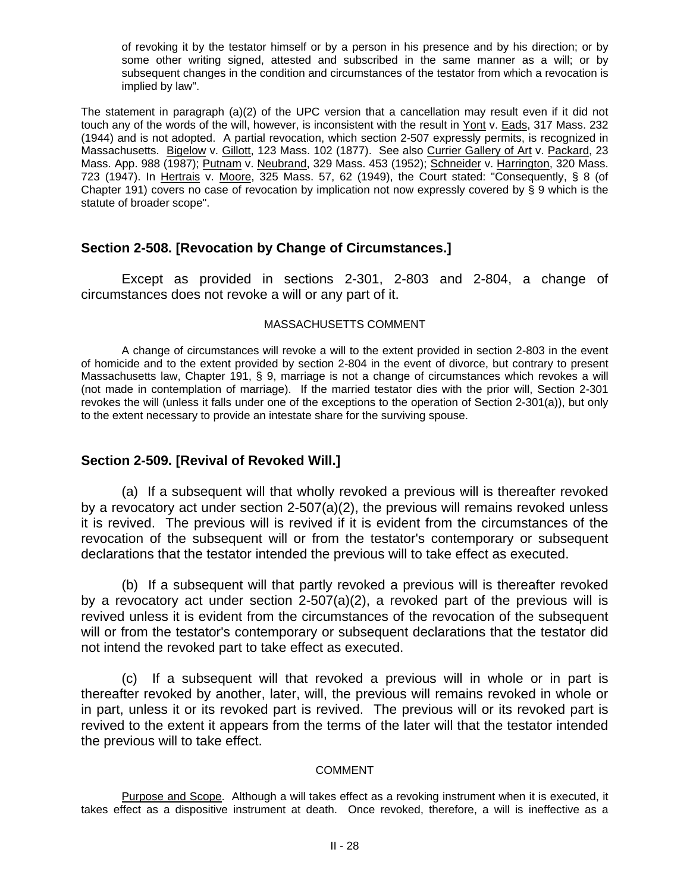of revoking it by the testator himself or by a person in his presence and by his direction; or by some other writing signed, attested and subscribed in the same manner as a will; or by subsequent changes in the condition and circumstances of the testator from which a revocation is implied by law".

The statement in paragraph (a)(2) of the UPC version that a cancellation may result even if it did not touch any of the words of the will, however, is inconsistent with the result in Yont v. Eads, 317 Mass. 232 (1944) and is not adopted. A partial revocation, which section 2-507 expressly permits, is recognized in Massachusetts. Bigelow v. Gillott, 123 Mass. 102 (1877). See also Currier Gallery of Art v. Packard, 23 Mass. App. 988 (1987); Putnam v. Neubrand, 329 Mass. 453 (1952); Schneider v. Harrington, 320 Mass. 723 (1947). In Hertrais v. Moore, 325 Mass. 57, 62 (1949), the Court stated: "Consequently, § 8 (of Chapter 191) covers no case of revocation by implication not now expressly covered by § 9 which is the statute of broader scope".

# **Section 2-508. [Revocation by Change of Circumstances.]**

 Except as provided in sections 2-301, 2-803 and 2-804, a change of circumstances does not revoke a will or any part of it.

## MASSACHUSETTS COMMENT

 A change of circumstances will revoke a will to the extent provided in section 2-803 in the event of homicide and to the extent provided by section 2-804 in the event of divorce, but contrary to present Massachusetts law, Chapter 191, § 9, marriage is not a change of circumstances which revokes a will (not made in contemplation of marriage). If the married testator dies with the prior will, Section 2-301 revokes the will (unless it falls under one of the exceptions to the operation of Section 2-301(a)), but only to the extent necessary to provide an intestate share for the surviving spouse.

# **Section 2-509. [Revival of Revoked Will.]**

 (a) If a subsequent will that wholly revoked a previous will is thereafter revoked by a revocatory act under section  $2-507(a)(2)$ , the previous will remains revoked unless it is revived. The previous will is revived if it is evident from the circumstances of the revocation of the subsequent will or from the testator's contemporary or subsequent declarations that the testator intended the previous will to take effect as executed.

 (b) If a subsequent will that partly revoked a previous will is thereafter revoked by a revocatory act under section 2-507(a)(2), a revoked part of the previous will is revived unless it is evident from the circumstances of the revocation of the subsequent will or from the testator's contemporary or subsequent declarations that the testator did not intend the revoked part to take effect as executed.

 (c) If a subsequent will that revoked a previous will in whole or in part is thereafter revoked by another, later, will, the previous will remains revoked in whole or in part, unless it or its revoked part is revived. The previous will or its revoked part is revived to the extent it appears from the terms of the later will that the testator intended the previous will to take effect.

## COMMENT

Purpose and Scope. Although a will takes effect as a revoking instrument when it is executed, it takes effect as a dispositive instrument at death. Once revoked, therefore, a will is ineffective as a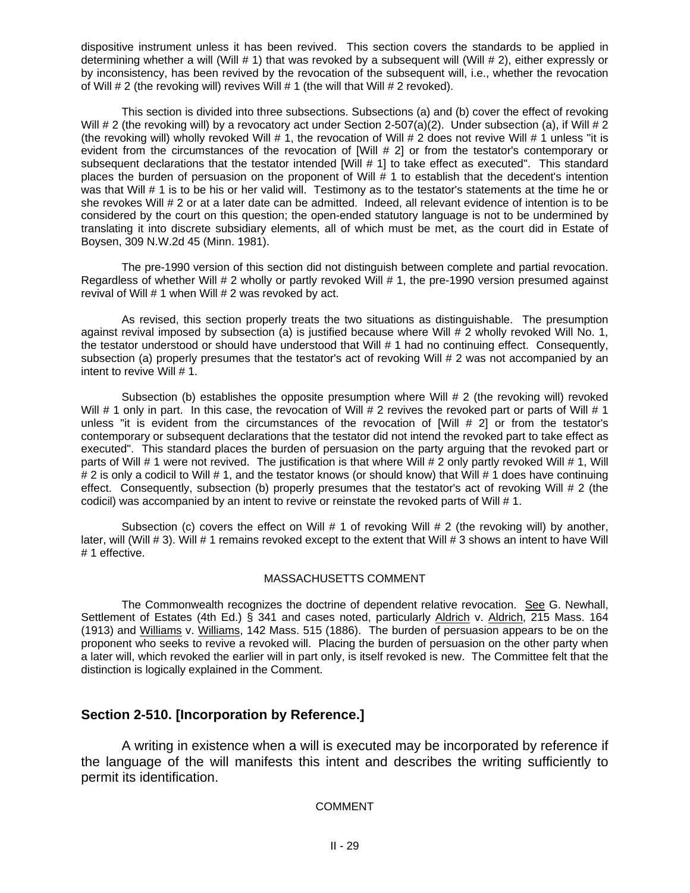dispositive instrument unless it has been revived. This section covers the standards to be applied in determining whether a will (Will # 1) that was revoked by a subsequent will (Will # 2), either expressly or by inconsistency, has been revived by the revocation of the subsequent will, i.e., whether the revocation of Will # 2 (the revoking will) revives Will # 1 (the will that Will # 2 revoked).

 This section is divided into three subsections. Subsections (a) and (b) cover the effect of revoking Will # 2 (the revoking will) by a revocatory act under Section 2-507(a)(2). Under subsection (a), if Will # 2 (the revoking will) wholly revoked Will # 1, the revocation of Will # 2 does not revive Will # 1 unless "it is evident from the circumstances of the revocation of [Will # 2] or from the testator's contemporary or subsequent declarations that the testator intended [Will # 1] to take effect as executed". This standard places the burden of persuasion on the proponent of Will # 1 to establish that the decedent's intention was that Will # 1 is to be his or her valid will. Testimony as to the testator's statements at the time he or she revokes Will # 2 or at a later date can be admitted. Indeed, all relevant evidence of intention is to be considered by the court on this question; the open-ended statutory language is not to be undermined by translating it into discrete subsidiary elements, all of which must be met, as the court did in Estate of Boysen, 309 N.W.2d 45 (Minn. 1981).

 The pre-1990 version of this section did not distinguish between complete and partial revocation. Regardless of whether Will # 2 wholly or partly revoked Will # 1, the pre-1990 version presumed against revival of Will # 1 when Will # 2 was revoked by act.

 As revised, this section properly treats the two situations as distinguishable. The presumption against revival imposed by subsection (a) is justified because where Will # 2 wholly revoked Will No. 1, the testator understood or should have understood that Will # 1 had no continuing effect. Consequently, subsection (a) properly presumes that the testator's act of revoking Will # 2 was not accompanied by an intent to revive Will # 1.

 Subsection (b) establishes the opposite presumption where Will # 2 (the revoking will) revoked Will # 1 only in part. In this case, the revocation of Will # 2 revives the revoked part or parts of Will # 1 unless "it is evident from the circumstances of the revocation of [Will # 2] or from the testator's contemporary or subsequent declarations that the testator did not intend the revoked part to take effect as executed". This standard places the burden of persuasion on the party arguing that the revoked part or parts of Will # 1 were not revived. The justification is that where Will # 2 only partly revoked Will # 1, Will # 2 is only a codicil to Will # 1, and the testator knows (or should know) that Will # 1 does have continuing effect. Consequently, subsection (b) properly presumes that the testator's act of revoking Will # 2 (the codicil) was accompanied by an intent to revive or reinstate the revoked parts of Will # 1.

Subsection (c) covers the effect on Will  $# 1$  of revoking Will  $# 2$  (the revoking will) by another, later, will (Will # 3). Will # 1 remains revoked except to the extent that Will # 3 shows an intent to have Will # 1 effective.

### MASSACHUSETTS COMMENT

 The Commonwealth recognizes the doctrine of dependent relative revocation. See G. Newhall, Settlement of Estates (4th Ed.) § 341 and cases noted, particularly Aldrich v. Aldrich, 215 Mass. 164 (1913) and Williams v. Williams, 142 Mass. 515 (1886). The burden of persuasion appears to be on the proponent who seeks to revive a revoked will. Placing the burden of persuasion on the other party when a later will, which revoked the earlier will in part only, is itself revoked is new. The Committee felt that the distinction is logically explained in the Comment.

# **Section 2-510. [Incorporation by Reference.]**

 A writing in existence when a will is executed may be incorporated by reference if the language of the will manifests this intent and describes the writing sufficiently to permit its identification.

### COMMENT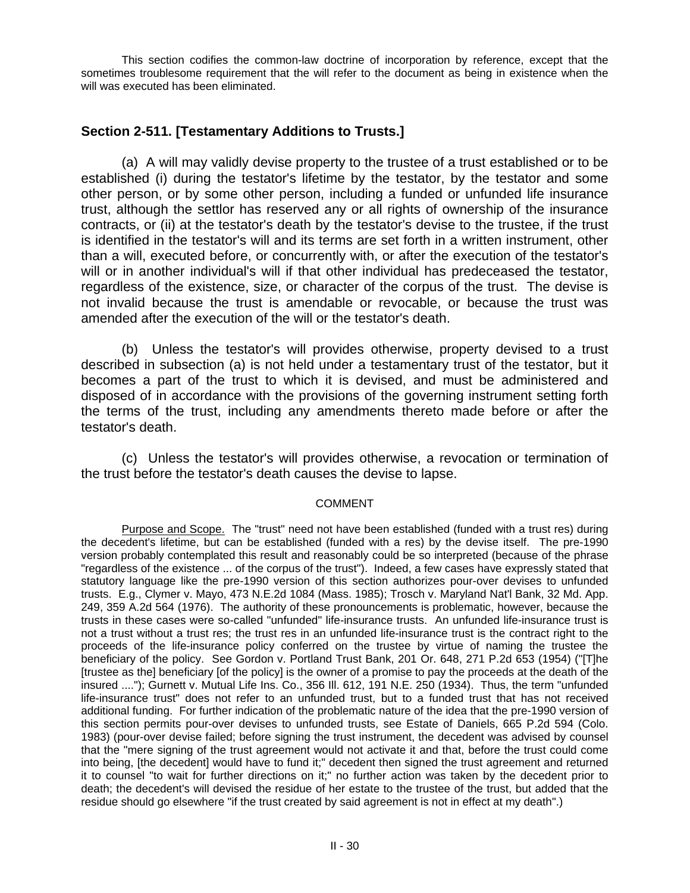This section codifies the common-law doctrine of incorporation by reference, except that the sometimes troublesome requirement that the will refer to the document as being in existence when the will was executed has been eliminated.

# **Section 2-511. [Testamentary Additions to Trusts.]**

 (a) A will may validly devise property to the trustee of a trust established or to be established (i) during the testator's lifetime by the testator, by the testator and some other person, or by some other person, including a funded or unfunded life insurance trust, although the settlor has reserved any or all rights of ownership of the insurance contracts, or (ii) at the testator's death by the testator's devise to the trustee, if the trust is identified in the testator's will and its terms are set forth in a written instrument, other than a will, executed before, or concurrently with, or after the execution of the testator's will or in another individual's will if that other individual has predeceased the testator, regardless of the existence, size, or character of the corpus of the trust. The devise is not invalid because the trust is amendable or revocable, or because the trust was amended after the execution of the will or the testator's death.

 (b) Unless the testator's will provides otherwise, property devised to a trust described in subsection (a) is not held under a testamentary trust of the testator, but it becomes a part of the trust to which it is devised, and must be administered and disposed of in accordance with the provisions of the governing instrument setting forth the terms of the trust, including any amendments thereto made before or after the testator's death.

 (c) Unless the testator's will provides otherwise, a revocation or termination of the trust before the testator's death causes the devise to lapse.

### COMMENT

Purpose and Scope. The "trust" need not have been established (funded with a trust res) during the decedent's lifetime, but can be established (funded with a res) by the devise itself. The pre-1990 version probably contemplated this result and reasonably could be so interpreted (because of the phrase "regardless of the existence ... of the corpus of the trust"). Indeed, a few cases have expressly stated that statutory language like the pre-1990 version of this section authorizes pour-over devises to unfunded trusts. E.g., Clymer v. Mayo, 473 N.E.2d 1084 (Mass. 1985); Trosch v. Maryland Nat'l Bank, 32 Md. App. 249, 359 A.2d 564 (1976). The authority of these pronouncements is problematic, however, because the trusts in these cases were so-called "unfunded" life-insurance trusts. An unfunded life-insurance trust is not a trust without a trust res; the trust res in an unfunded life-insurance trust is the contract right to the proceeds of the life-insurance policy conferred on the trustee by virtue of naming the trustee the beneficiary of the policy. See Gordon v. Portland Trust Bank, 201 Or. 648, 271 P.2d 653 (1954) ("[T]he [trustee as the] beneficiary [of the policy] is the owner of a promise to pay the proceeds at the death of the insured ...."); Gurnett v. Mutual Life Ins. Co., 356 Ill. 612, 191 N.E. 250 (1934). Thus, the term "unfunded life-insurance trust" does not refer to an unfunded trust, but to a funded trust that has not received additional funding. For further indication of the problematic nature of the idea that the pre-1990 version of this section permits pour-over devises to unfunded trusts, see Estate of Daniels, 665 P.2d 594 (Colo. 1983) (pour-over devise failed; before signing the trust instrument, the decedent was advised by counsel that the "mere signing of the trust agreement would not activate it and that, before the trust could come into being, [the decedent] would have to fund it;" decedent then signed the trust agreement and returned it to counsel "to wait for further directions on it;" no further action was taken by the decedent prior to death; the decedent's will devised the residue of her estate to the trustee of the trust, but added that the residue should go elsewhere "if the trust created by said agreement is not in effect at my death".)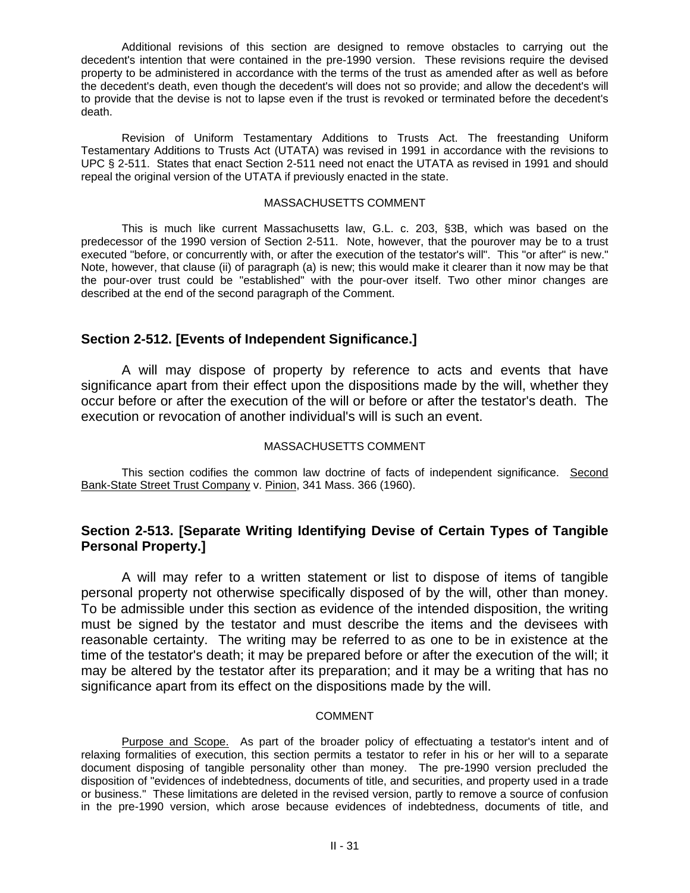Additional revisions of this section are designed to remove obstacles to carrying out the decedent's intention that were contained in the pre-1990 version. These revisions require the devised property to be administered in accordance with the terms of the trust as amended after as well as before the decedent's death, even though the decedent's will does not so provide; and allow the decedent's will to provide that the devise is not to lapse even if the trust is revoked or terminated before the decedent's death.

 Revision of Uniform Testamentary Additions to Trusts Act. The freestanding Uniform Testamentary Additions to Trusts Act (UTATA) was revised in 1991 in accordance with the revisions to UPC § 2-511. States that enact Section 2-511 need not enact the UTATA as revised in 1991 and should repeal the original version of the UTATA if previously enacted in the state.

### MASSACHUSETTS COMMENT

 This is much like current Massachusetts law, G.L. c. 203, §3B, which was based on the predecessor of the 1990 version of Section 2-511. Note, however, that the pourover may be to a trust executed "before, or concurrently with, or after the execution of the testator's will". This "or after" is new." Note, however, that clause (ii) of paragraph (a) is new; this would make it clearer than it now may be that the pour-over trust could be "established" with the pour-over itself. Two other minor changes are described at the end of the second paragraph of the Comment.

## **Section 2-512. [Events of Independent Significance.]**

 A will may dispose of property by reference to acts and events that have significance apart from their effect upon the dispositions made by the will, whether they occur before or after the execution of the will or before or after the testator's death. The execution or revocation of another individual's will is such an event.

## MASSACHUSETTS COMMENT

 This section codifies the common law doctrine of facts of independent significance. Second Bank-State Street Trust Company v. Pinion, 341 Mass. 366 (1960).

# **Section 2-513. [Separate Writing Identifying Devise of Certain Types of Tangible Personal Property.]**

 A will may refer to a written statement or list to dispose of items of tangible personal property not otherwise specifically disposed of by the will, other than money. To be admissible under this section as evidence of the intended disposition, the writing must be signed by the testator and must describe the items and the devisees with reasonable certainty. The writing may be referred to as one to be in existence at the time of the testator's death; it may be prepared before or after the execution of the will; it may be altered by the testator after its preparation; and it may be a writing that has no significance apart from its effect on the dispositions made by the will.

### **COMMENT**

Purpose and Scope. As part of the broader policy of effectuating a testator's intent and of relaxing formalities of execution, this section permits a testator to refer in his or her will to a separate document disposing of tangible personality other than money. The pre-1990 version precluded the disposition of "evidences of indebtedness, documents of title, and securities, and property used in a trade or business." These limitations are deleted in the revised version, partly to remove a source of confusion in the pre-1990 version, which arose because evidences of indebtedness, documents of title, and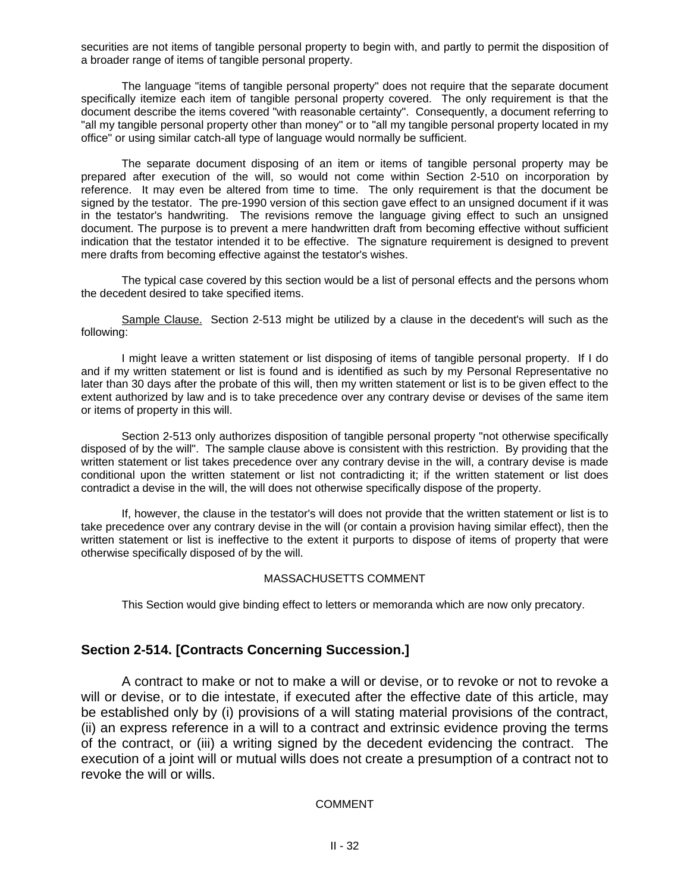securities are not items of tangible personal property to begin with, and partly to permit the disposition of a broader range of items of tangible personal property.

 The language "items of tangible personal property" does not require that the separate document specifically itemize each item of tangible personal property covered. The only requirement is that the document describe the items covered "with reasonable certainty". Consequently, a document referring to "all my tangible personal property other than money" or to "all my tangible personal property located in my office" or using similar catch-all type of language would normally be sufficient.

 The separate document disposing of an item or items of tangible personal property may be prepared after execution of the will, so would not come within Section 2-510 on incorporation by reference. It may even be altered from time to time. The only requirement is that the document be signed by the testator. The pre-1990 version of this section gave effect to an unsigned document if it was in the testator's handwriting. The revisions remove the language giving effect to such an unsigned document. The purpose is to prevent a mere handwritten draft from becoming effective without sufficient indication that the testator intended it to be effective. The signature requirement is designed to prevent mere drafts from becoming effective against the testator's wishes.

 The typical case covered by this section would be a list of personal effects and the persons whom the decedent desired to take specified items.

Sample Clause. Section 2-513 might be utilized by a clause in the decedent's will such as the following:

 I might leave a written statement or list disposing of items of tangible personal property. If I do and if my written statement or list is found and is identified as such by my Personal Representative no later than 30 days after the probate of this will, then my written statement or list is to be given effect to the extent authorized by law and is to take precedence over any contrary devise or devises of the same item or items of property in this will.

 Section 2-513 only authorizes disposition of tangible personal property "not otherwise specifically disposed of by the will". The sample clause above is consistent with this restriction. By providing that the written statement or list takes precedence over any contrary devise in the will, a contrary devise is made conditional upon the written statement or list not contradicting it; if the written statement or list does contradict a devise in the will, the will does not otherwise specifically dispose of the property.

 If, however, the clause in the testator's will does not provide that the written statement or list is to take precedence over any contrary devise in the will (or contain a provision having similar effect), then the written statement or list is ineffective to the extent it purports to dispose of items of property that were otherwise specifically disposed of by the will.

### MASSACHUSETTS COMMENT

This Section would give binding effect to letters or memoranda which are now only precatory.

# **Section 2-514. [Contracts Concerning Succession.]**

 A contract to make or not to make a will or devise, or to revoke or not to revoke a will or devise, or to die intestate, if executed after the effective date of this article, may be established only by (i) provisions of a will stating material provisions of the contract, (ii) an express reference in a will to a contract and extrinsic evidence proving the terms of the contract, or (iii) a writing signed by the decedent evidencing the contract. The execution of a joint will or mutual wills does not create a presumption of a contract not to revoke the will or wills.

### COMMENT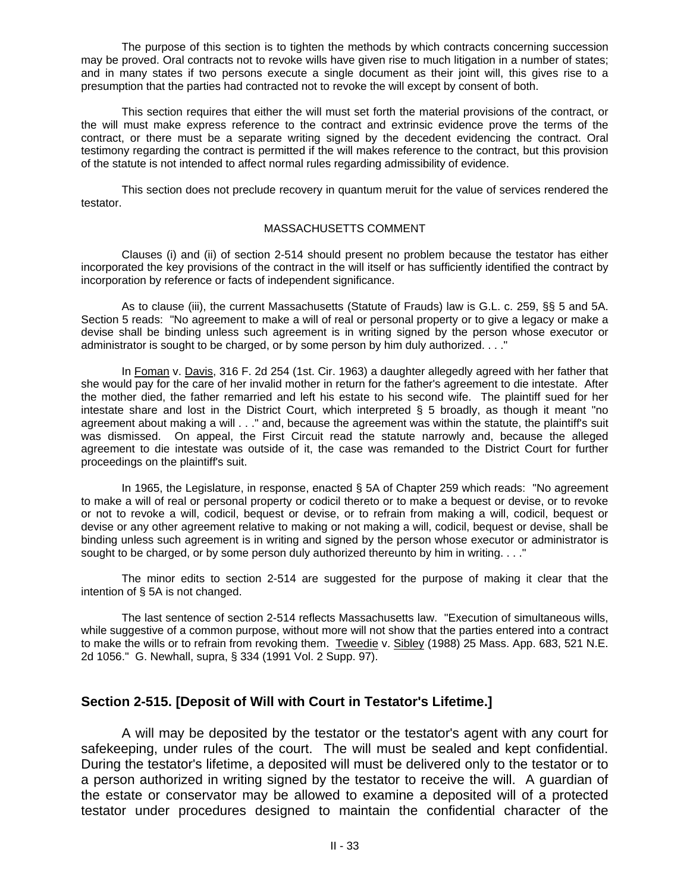The purpose of this section is to tighten the methods by which contracts concerning succession may be proved. Oral contracts not to revoke wills have given rise to much litigation in a number of states; and in many states if two persons execute a single document as their joint will, this gives rise to a presumption that the parties had contracted not to revoke the will except by consent of both.

 This section requires that either the will must set forth the material provisions of the contract, or the will must make express reference to the contract and extrinsic evidence prove the terms of the contract, or there must be a separate writing signed by the decedent evidencing the contract. Oral testimony regarding the contract is permitted if the will makes reference to the contract, but this provision of the statute is not intended to affect normal rules regarding admissibility of evidence.

 This section does not preclude recovery in quantum meruit for the value of services rendered the testator.

#### MASSACHUSETTS COMMENT

 Clauses (i) and (ii) of section 2-514 should present no problem because the testator has either incorporated the key provisions of the contract in the will itself or has sufficiently identified the contract by incorporation by reference or facts of independent significance.

 As to clause (iii), the current Massachusetts (Statute of Frauds) law is G.L. c. 259, §§ 5 and 5A. Section 5 reads: "No agreement to make a will of real or personal property or to give a legacy or make a devise shall be binding unless such agreement is in writing signed by the person whose executor or administrator is sought to be charged, or by some person by him duly authorized. . . ."

 In Foman v. Davis, 316 F. 2d 254 (1st. Cir. 1963) a daughter allegedly agreed with her father that she would pay for the care of her invalid mother in return for the father's agreement to die intestate. After the mother died, the father remarried and left his estate to his second wife. The plaintiff sued for her intestate share and lost in the District Court, which interpreted § 5 broadly, as though it meant "no agreement about making a will . . ." and, because the agreement was within the statute, the plaintiff's suit was dismissed. On appeal, the First Circuit read the statute narrowly and, because the alleged agreement to die intestate was outside of it, the case was remanded to the District Court for further proceedings on the plaintiff's suit.

 In 1965, the Legislature, in response, enacted § 5A of Chapter 259 which reads: "No agreement to make a will of real or personal property or codicil thereto or to make a bequest or devise, or to revoke or not to revoke a will, codicil, bequest or devise, or to refrain from making a will, codicil, bequest or devise or any other agreement relative to making or not making a will, codicil, bequest or devise, shall be binding unless such agreement is in writing and signed by the person whose executor or administrator is sought to be charged, or by some person duly authorized thereunto by him in writing. . . ."

 The minor edits to section 2-514 are suggested for the purpose of making it clear that the intention of § 5A is not changed.

 The last sentence of section 2-514 reflects Massachusetts law. "Execution of simultaneous wills, while suggestive of a common purpose, without more will not show that the parties entered into a contract to make the wills or to refrain from revoking them. Tweedie v. Sibley (1988) 25 Mass. App. 683, 521 N.E. 2d 1056." G. Newhall, supra, § 334 (1991 Vol. 2 Supp. 97).

## **Section 2-515. [Deposit of Will with Court in Testator's Lifetime.]**

 A will may be deposited by the testator or the testator's agent with any court for safekeeping, under rules of the court. The will must be sealed and kept confidential. During the testator's lifetime, a deposited will must be delivered only to the testator or to a person authorized in writing signed by the testator to receive the will. A guardian of the estate or conservator may be allowed to examine a deposited will of a protected testator under procedures designed to maintain the confidential character of the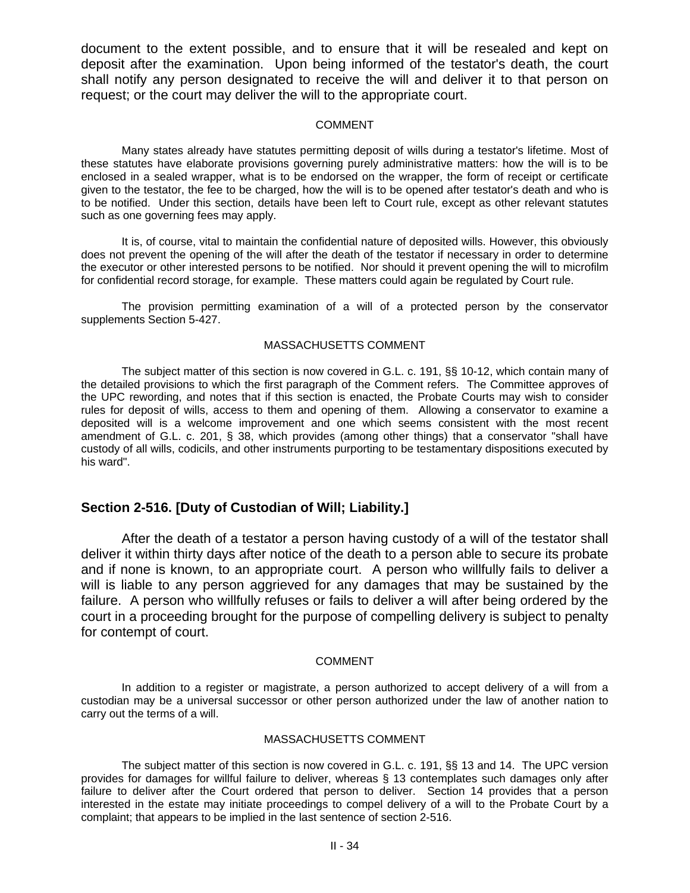document to the extent possible, and to ensure that it will be resealed and kept on deposit after the examination. Upon being informed of the testator's death, the court shall notify any person designated to receive the will and deliver it to that person on request; or the court may deliver the will to the appropriate court.

#### COMMENT

 Many states already have statutes permitting deposit of wills during a testator's lifetime. Most of these statutes have elaborate provisions governing purely administrative matters: how the will is to be enclosed in a sealed wrapper, what is to be endorsed on the wrapper, the form of receipt or certificate given to the testator, the fee to be charged, how the will is to be opened after testator's death and who is to be notified. Under this section, details have been left to Court rule, except as other relevant statutes such as one governing fees may apply.

 It is, of course, vital to maintain the confidential nature of deposited wills. However, this obviously does not prevent the opening of the will after the death of the testator if necessary in order to determine the executor or other interested persons to be notified. Nor should it prevent opening the will to microfilm for confidential record storage, for example. These matters could again be regulated by Court rule.

 The provision permitting examination of a will of a protected person by the conservator supplements Section 5-427.

#### MASSACHUSETTS COMMENT

 The subject matter of this section is now covered in G.L. c. 191, §§ 10-12, which contain many of the detailed provisions to which the first paragraph of the Comment refers. The Committee approves of the UPC rewording, and notes that if this section is enacted, the Probate Courts may wish to consider rules for deposit of wills, access to them and opening of them. Allowing a conservator to examine a deposited will is a welcome improvement and one which seems consistent with the most recent amendment of G.L. c. 201, § 38, which provides (among other things) that a conservator "shall have custody of all wills, codicils, and other instruments purporting to be testamentary dispositions executed by his ward".

# **Section 2-516. [Duty of Custodian of Will; Liability.]**

 After the death of a testator a person having custody of a will of the testator shall deliver it within thirty days after notice of the death to a person able to secure its probate and if none is known, to an appropriate court. A person who willfully fails to deliver a will is liable to any person aggrieved for any damages that may be sustained by the failure. A person who willfully refuses or fails to deliver a will after being ordered by the court in a proceeding brought for the purpose of compelling delivery is subject to penalty for contempt of court.

### COMMENT

 In addition to a register or magistrate, a person authorized to accept delivery of a will from a custodian may be a universal successor or other person authorized under the law of another nation to carry out the terms of a will.

### MASSACHUSETTS COMMENT

 The subject matter of this section is now covered in G.L. c. 191, §§ 13 and 14. The UPC version provides for damages for willful failure to deliver, whereas § 13 contemplates such damages only after failure to deliver after the Court ordered that person to deliver. Section 14 provides that a person interested in the estate may initiate proceedings to compel delivery of a will to the Probate Court by a complaint; that appears to be implied in the last sentence of section 2-516.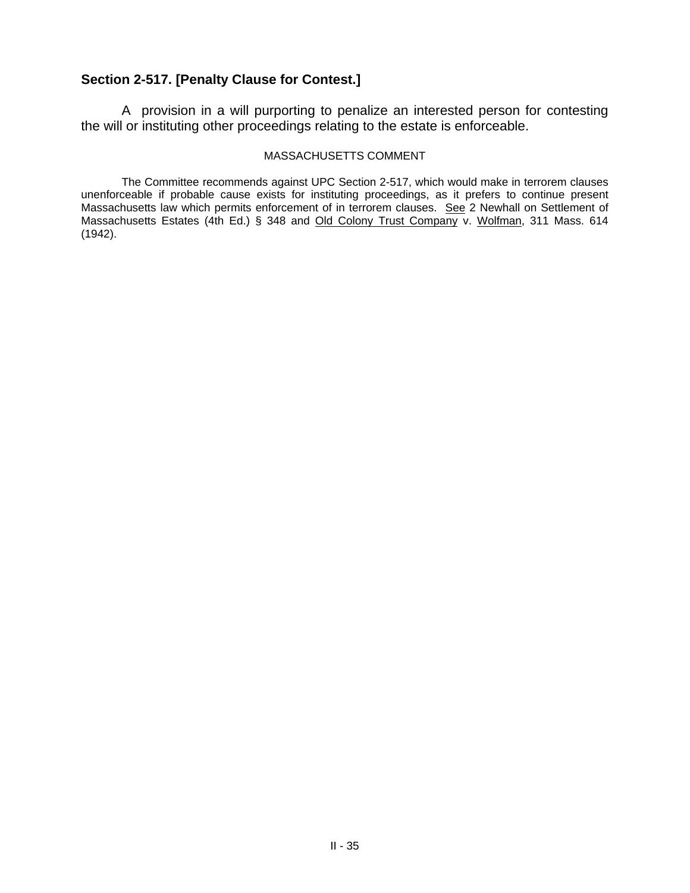# **Section 2-517. [Penalty Clause for Contest.]**

 A provision in a will purporting to penalize an interested person for contesting the will or instituting other proceedings relating to the estate is enforceable.

### MASSACHUSETTS COMMENT

 The Committee recommends against UPC Section 2-517, which would make in terrorem clauses unenforceable if probable cause exists for instituting proceedings, as it prefers to continue present Massachusetts law which permits enforcement of in terrorem clauses. See 2 Newhall on Settlement of Massachusetts Estates (4th Ed.) § 348 and Old Colony Trust Company v. Wolfman, 311 Mass. 614 (1942).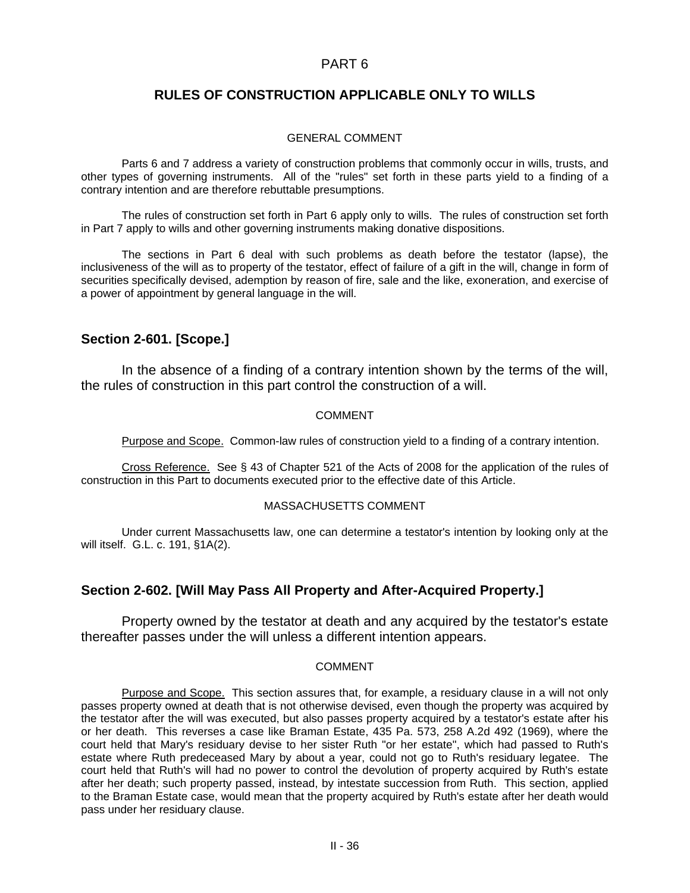## PART 6

# **RULES OF CONSTRUCTION APPLICABLE ONLY TO WILLS**

#### GENERAL COMMENT

 Parts 6 and 7 address a variety of construction problems that commonly occur in wills, trusts, and other types of governing instruments. All of the "rules" set forth in these parts yield to a finding of a contrary intention and are therefore rebuttable presumptions.

 The rules of construction set forth in Part 6 apply only to wills. The rules of construction set forth in Part 7 apply to wills and other governing instruments making donative dispositions.

 The sections in Part 6 deal with such problems as death before the testator (lapse), the inclusiveness of the will as to property of the testator, effect of failure of a gift in the will, change in form of securities specifically devised, ademption by reason of fire, sale and the like, exoneration, and exercise of a power of appointment by general language in the will.

## **Section 2-601. [Scope.]**

 In the absence of a finding of a contrary intention shown by the terms of the will, the rules of construction in this part control the construction of a will.

#### COMMENT

Purpose and Scope. Common-law rules of construction yield to a finding of a contrary intention.

Cross Reference. See § 43 of Chapter 521 of the Acts of 2008 for the application of the rules of construction in this Part to documents executed prior to the effective date of this Article.

#### MASSACHUSETTS COMMENT

 Under current Massachusetts law, one can determine a testator's intention by looking only at the will itself. G.L. c. 191, §1A(2).

## **Section 2-602. [Will May Pass All Property and After-Acquired Property.]**

 Property owned by the testator at death and any acquired by the testator's estate thereafter passes under the will unless a different intention appears.

#### COMMENT

Purpose and Scope. This section assures that, for example, a residuary clause in a will not only passes property owned at death that is not otherwise devised, even though the property was acquired by the testator after the will was executed, but also passes property acquired by a testator's estate after his or her death. This reverses a case like Braman Estate, 435 Pa. 573, 258 A.2d 492 (1969), where the court held that Mary's residuary devise to her sister Ruth "or her estate", which had passed to Ruth's estate where Ruth predeceased Mary by about a year, could not go to Ruth's residuary legatee. The court held that Ruth's will had no power to control the devolution of property acquired by Ruth's estate after her death; such property passed, instead, by intestate succession from Ruth. This section, applied to the Braman Estate case, would mean that the property acquired by Ruth's estate after her death would pass under her residuary clause.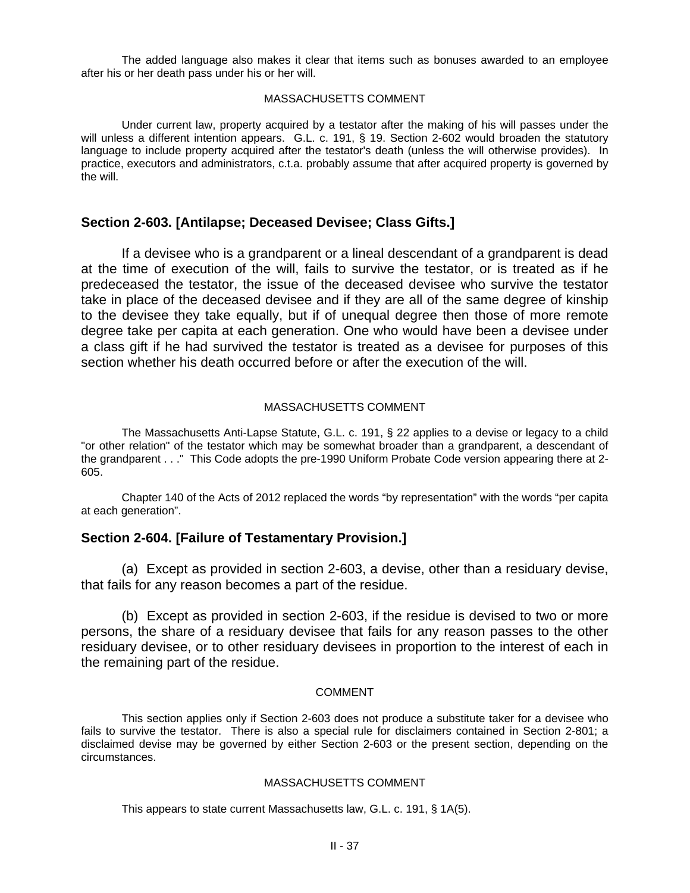The added language also makes it clear that items such as bonuses awarded to an employee after his or her death pass under his or her will.

#### MASSACHUSETTS COMMENT

 Under current law, property acquired by a testator after the making of his will passes under the will unless a different intention appears. G.L. c. 191, § 19. Section 2-602 would broaden the statutory language to include property acquired after the testator's death (unless the will otherwise provides). In practice, executors and administrators, c.t.a. probably assume that after acquired property is governed by the will.

### **Section 2-603. [Antilapse; Deceased Devisee; Class Gifts.]**

 If a devisee who is a grandparent or a lineal descendant of a grandparent is dead at the time of execution of the will, fails to survive the testator, or is treated as if he predeceased the testator, the issue of the deceased devisee who survive the testator take in place of the deceased devisee and if they are all of the same degree of kinship to the devisee they take equally, but if of unequal degree then those of more remote degree take per capita at each generation. One who would have been a devisee under a class gift if he had survived the testator is treated as a devisee for purposes of this section whether his death occurred before or after the execution of the will.

#### MASSACHUSETTS COMMENT

 The Massachusetts Anti-Lapse Statute, G.L. c. 191, § 22 applies to a devise or legacy to a child "or other relation" of the testator which may be somewhat broader than a grandparent, a descendant of the grandparent . . ." This Code adopts the pre-1990 Uniform Probate Code version appearing there at 2- 605.

 Chapter 140 of the Acts of 2012 replaced the words "by representation" with the words "per capita at each generation".

### **Section 2-604. [Failure of Testamentary Provision.]**

 (a) Except as provided in section 2-603, a devise, other than a residuary devise, that fails for any reason becomes a part of the residue.

 (b) Except as provided in section 2-603, if the residue is devised to two or more persons, the share of a residuary devisee that fails for any reason passes to the other residuary devisee, or to other residuary devisees in proportion to the interest of each in the remaining part of the residue.

#### **COMMENT**

 This section applies only if Section 2-603 does not produce a substitute taker for a devisee who fails to survive the testator. There is also a special rule for disclaimers contained in Section 2-801; a disclaimed devise may be governed by either Section 2-603 or the present section, depending on the circumstances.

#### MASSACHUSETTS COMMENT

This appears to state current Massachusetts law, G.L. c. 191, § 1A(5).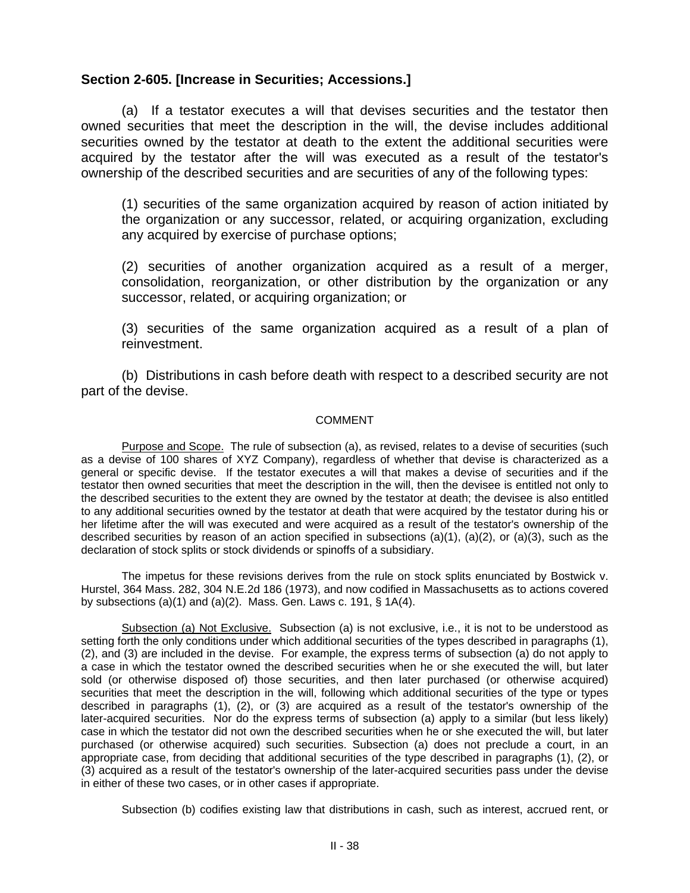### **Section 2-605. [Increase in Securities; Accessions.]**

 (a) If a testator executes a will that devises securities and the testator then owned securities that meet the description in the will, the devise includes additional securities owned by the testator at death to the extent the additional securities were acquired by the testator after the will was executed as a result of the testator's ownership of the described securities and are securities of any of the following types:

 (1) securities of the same organization acquired by reason of action initiated by the organization or any successor, related, or acquiring organization, excluding any acquired by exercise of purchase options;

 (2) securities of another organization acquired as a result of a merger, consolidation, reorganization, or other distribution by the organization or any successor, related, or acquiring organization; or

 (3) securities of the same organization acquired as a result of a plan of reinvestment.

 (b) Distributions in cash before death with respect to a described security are not part of the devise.

### COMMENT

Purpose and Scope. The rule of subsection (a), as revised, relates to a devise of securities (such as a devise of 100 shares of XYZ Company), regardless of whether that devise is characterized as a general or specific devise. If the testator executes a will that makes a devise of securities and if the testator then owned securities that meet the description in the will, then the devisee is entitled not only to the described securities to the extent they are owned by the testator at death; the devisee is also entitled to any additional securities owned by the testator at death that were acquired by the testator during his or her lifetime after the will was executed and were acquired as a result of the testator's ownership of the described securities by reason of an action specified in subsections (a)(1), (a)(2), or (a)(3), such as the declaration of stock splits or stock dividends or spinoffs of a subsidiary.

 The impetus for these revisions derives from the rule on stock splits enunciated by Bostwick v. Hurstel, 364 Mass. 282, 304 N.E.2d 186 (1973), and now codified in Massachusetts as to actions covered by subsections (a)(1) and (a)(2). Mass. Gen. Laws c. 191, § 1A(4).

Subsection (a) Not Exclusive. Subsection (a) is not exclusive, i.e., it is not to be understood as setting forth the only conditions under which additional securities of the types described in paragraphs (1), (2), and (3) are included in the devise. For example, the express terms of subsection (a) do not apply to a case in which the testator owned the described securities when he or she executed the will, but later sold (or otherwise disposed of) those securities, and then later purchased (or otherwise acquired) securities that meet the description in the will, following which additional securities of the type or types described in paragraphs (1), (2), or (3) are acquired as a result of the testator's ownership of the later-acquired securities. Nor do the express terms of subsection (a) apply to a similar (but less likely) case in which the testator did not own the described securities when he or she executed the will, but later purchased (or otherwise acquired) such securities. Subsection (a) does not preclude a court, in an appropriate case, from deciding that additional securities of the type described in paragraphs (1), (2), or (3) acquired as a result of the testator's ownership of the later-acquired securities pass under the devise in either of these two cases, or in other cases if appropriate.

Subsection (b) codifies existing law that distributions in cash, such as interest, accrued rent, or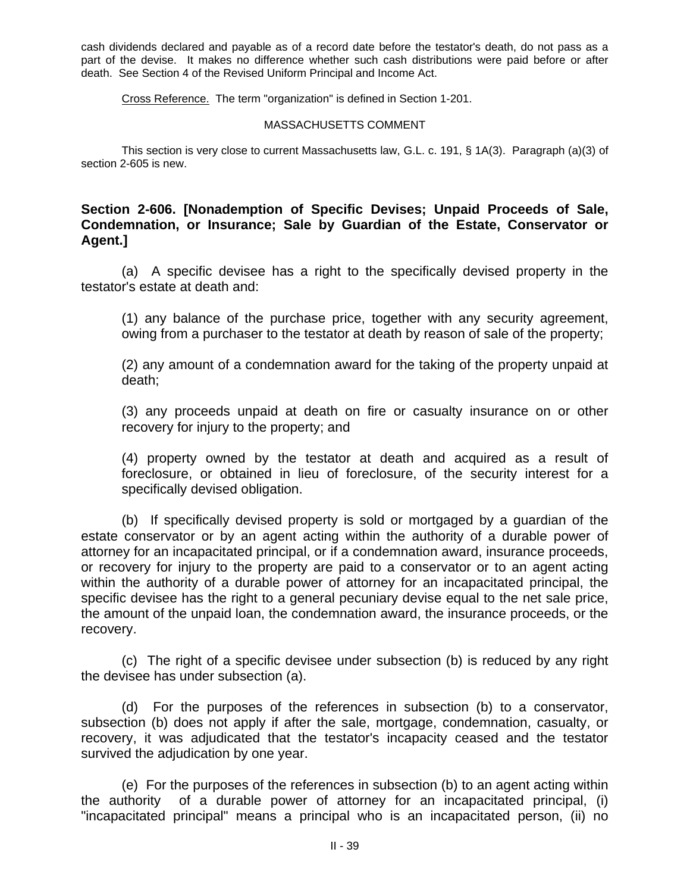cash dividends declared and payable as of a record date before the testator's death, do not pass as a part of the devise. It makes no difference whether such cash distributions were paid before or after death. See Section 4 of the Revised Uniform Principal and Income Act.

Cross Reference. The term "organization" is defined in Section 1-201.

### MASSACHUSETTS COMMENT

 This section is very close to current Massachusetts law, G.L. c. 191, § 1A(3). Paragraph (a)(3) of section 2-605 is new.

### **Section 2-606. [Nonademption of Specific Devises; Unpaid Proceeds of Sale, Condemnation, or Insurance; Sale by Guardian of the Estate, Conservator or Agent.]**

 (a) A specific devisee has a right to the specifically devised property in the testator's estate at death and:

 (1) any balance of the purchase price, together with any security agreement, owing from a purchaser to the testator at death by reason of sale of the property;

 (2) any amount of a condemnation award for the taking of the property unpaid at death;

 (3) any proceeds unpaid at death on fire or casualty insurance on or other recovery for injury to the property; and

(4) property owned by the testator at death and acquired as a result of foreclosure, or obtained in lieu of foreclosure, of the security interest for a specifically devised obligation.

 (b) If specifically devised property is sold or mortgaged by a guardian of the estate conservator or by an agent acting within the authority of a durable power of attorney for an incapacitated principal, or if a condemnation award, insurance proceeds, or recovery for injury to the property are paid to a conservator or to an agent acting within the authority of a durable power of attorney for an incapacitated principal, the specific devisee has the right to a general pecuniary devise equal to the net sale price, the amount of the unpaid loan, the condemnation award, the insurance proceeds, or the recovery.

 (c) The right of a specific devisee under subsection (b) is reduced by any right the devisee has under subsection (a).

 (d) For the purposes of the references in subsection (b) to a conservator, subsection (b) does not apply if after the sale, mortgage, condemnation, casualty, or recovery, it was adjudicated that the testator's incapacity ceased and the testator survived the adjudication by one year.

 (e) For the purposes of the references in subsection (b) to an agent acting within the authority of a durable power of attorney for an incapacitated principal, (i) "incapacitated principal" means a principal who is an incapacitated person, (ii) no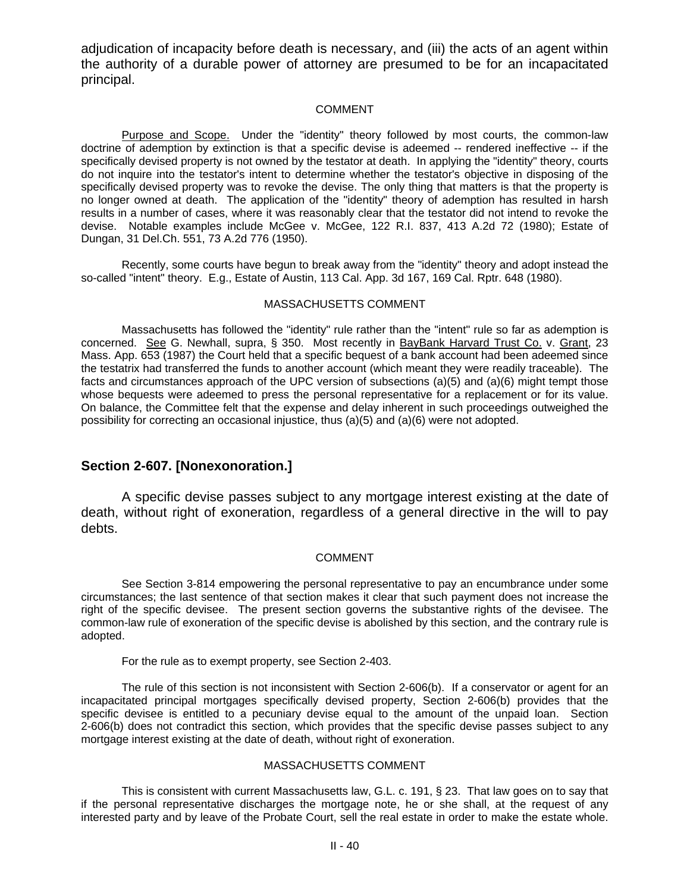adjudication of incapacity before death is necessary, and (iii) the acts of an agent within the authority of a durable power of attorney are presumed to be for an incapacitated principal.

#### COMMENT

Purpose and Scope. Under the "identity" theory followed by most courts, the common-law doctrine of ademption by extinction is that a specific devise is adeemed -- rendered ineffective -- if the specifically devised property is not owned by the testator at death. In applying the "identity" theory, courts do not inquire into the testator's intent to determine whether the testator's objective in disposing of the specifically devised property was to revoke the devise. The only thing that matters is that the property is no longer owned at death. The application of the "identity" theory of ademption has resulted in harsh results in a number of cases, where it was reasonably clear that the testator did not intend to revoke the devise. Notable examples include McGee v. McGee, 122 R.I. 837, 413 A.2d 72 (1980); Estate of Dungan, 31 Del.Ch. 551, 73 A.2d 776 (1950).

 Recently, some courts have begun to break away from the "identity" theory and adopt instead the so-called "intent" theory. E.g., Estate of Austin, 113 Cal. App. 3d 167, 169 Cal. Rptr. 648 (1980).

#### MASSACHUSETTS COMMENT

 Massachusetts has followed the "identity" rule rather than the "intent" rule so far as ademption is concerned. See G. Newhall, supra, § 350. Most recently in BayBank Harvard Trust Co. v. Grant, 23 Mass. App. 653 (1987) the Court held that a specific bequest of a bank account had been adeemed since the testatrix had transferred the funds to another account (which meant they were readily traceable). The facts and circumstances approach of the UPC version of subsections (a)(5) and (a)(6) might tempt those whose bequests were adeemed to press the personal representative for a replacement or for its value. On balance, the Committee felt that the expense and delay inherent in such proceedings outweighed the possibility for correcting an occasional injustice, thus (a)(5) and (a)(6) were not adopted.

### **Section 2-607. [Nonexonoration.]**

 A specific devise passes subject to any mortgage interest existing at the date of death, without right of exoneration, regardless of a general directive in the will to pay debts.

#### COMMENT

 See Section 3-814 empowering the personal representative to pay an encumbrance under some circumstances; the last sentence of that section makes it clear that such payment does not increase the right of the specific devisee. The present section governs the substantive rights of the devisee. The common-law rule of exoneration of the specific devise is abolished by this section, and the contrary rule is adopted.

For the rule as to exempt property, see Section 2-403.

 The rule of this section is not inconsistent with Section 2-606(b). If a conservator or agent for an incapacitated principal mortgages specifically devised property, Section 2-606(b) provides that the specific devisee is entitled to a pecuniary devise equal to the amount of the unpaid loan. Section 2-606(b) does not contradict this section, which provides that the specific devise passes subject to any mortgage interest existing at the date of death, without right of exoneration.

#### MASSACHUSETTS COMMENT

 This is consistent with current Massachusetts law, G.L. c. 191, § 23. That law goes on to say that if the personal representative discharges the mortgage note, he or she shall, at the request of any interested party and by leave of the Probate Court, sell the real estate in order to make the estate whole.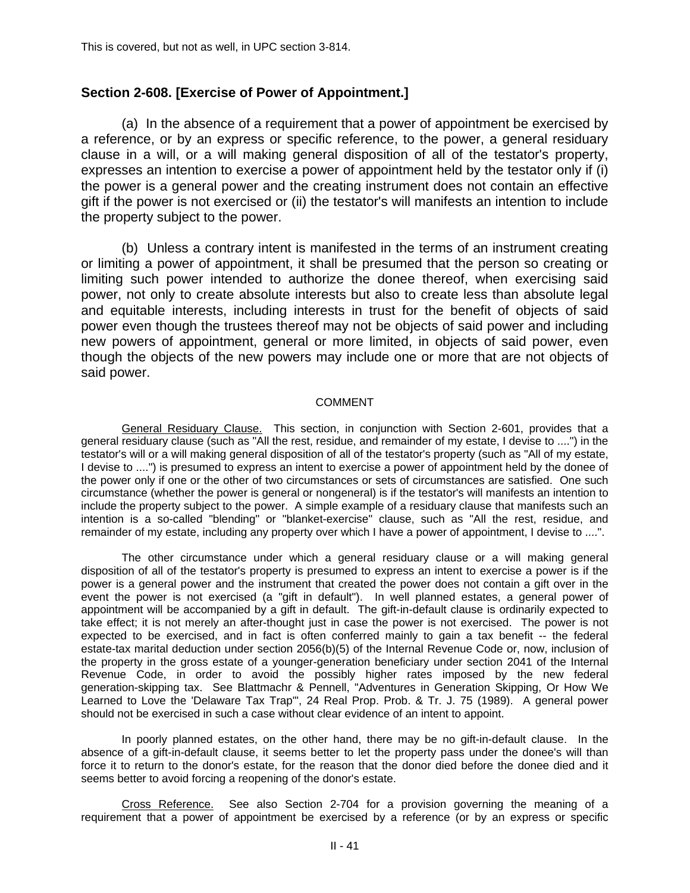This is covered, but not as well, in UPC section 3-814.

### **Section 2-608. [Exercise of Power of Appointment.]**

 (a) In the absence of a requirement that a power of appointment be exercised by a reference, or by an express or specific reference, to the power, a general residuary clause in a will, or a will making general disposition of all of the testator's property, expresses an intention to exercise a power of appointment held by the testator only if (i) the power is a general power and the creating instrument does not contain an effective gift if the power is not exercised or (ii) the testator's will manifests an intention to include the property subject to the power.

 (b) Unless a contrary intent is manifested in the terms of an instrument creating or limiting a power of appointment, it shall be presumed that the person so creating or limiting such power intended to authorize the donee thereof, when exercising said power, not only to create absolute interests but also to create less than absolute legal and equitable interests, including interests in trust for the benefit of objects of said power even though the trustees thereof may not be objects of said power and including new powers of appointment, general or more limited, in objects of said power, even though the objects of the new powers may include one or more that are not objects of said power.

#### COMMENT

General Residuary Clause. This section, in conjunction with Section 2-601, provides that a general residuary clause (such as "All the rest, residue, and remainder of my estate, I devise to ....") in the testator's will or a will making general disposition of all of the testator's property (such as "All of my estate, I devise to ....") is presumed to express an intent to exercise a power of appointment held by the donee of the power only if one or the other of two circumstances or sets of circumstances are satisfied. One such circumstance (whether the power is general or nongeneral) is if the testator's will manifests an intention to include the property subject to the power. A simple example of a residuary clause that manifests such an intention is a so-called "blending" or "blanket-exercise" clause, such as "All the rest, residue, and remainder of my estate, including any property over which I have a power of appointment, I devise to ....".

 The other circumstance under which a general residuary clause or a will making general disposition of all of the testator's property is presumed to express an intent to exercise a power is if the power is a general power and the instrument that created the power does not contain a gift over in the event the power is not exercised (a "gift in default"). In well planned estates, a general power of appointment will be accompanied by a gift in default. The gift-in-default clause is ordinarily expected to take effect; it is not merely an after-thought just in case the power is not exercised. The power is not expected to be exercised, and in fact is often conferred mainly to gain a tax benefit -- the federal estate-tax marital deduction under section 2056(b)(5) of the Internal Revenue Code or, now, inclusion of the property in the gross estate of a younger-generation beneficiary under section 2041 of the Internal Revenue Code, in order to avoid the possibly higher rates imposed by the new federal generation-skipping tax. See Blattmachr & Pennell, "Adventures in Generation Skipping, Or How We Learned to Love the 'Delaware Tax Trap", 24 Real Prop. Prob. & Tr. J. 75 (1989). A general power should not be exercised in such a case without clear evidence of an intent to appoint.

 In poorly planned estates, on the other hand, there may be no gift-in-default clause. In the absence of a gift-in-default clause, it seems better to let the property pass under the donee's will than force it to return to the donor's estate, for the reason that the donor died before the donee died and it seems better to avoid forcing a reopening of the donor's estate.

Cross Reference. See also Section 2-704 for a provision governing the meaning of a requirement that a power of appointment be exercised by a reference (or by an express or specific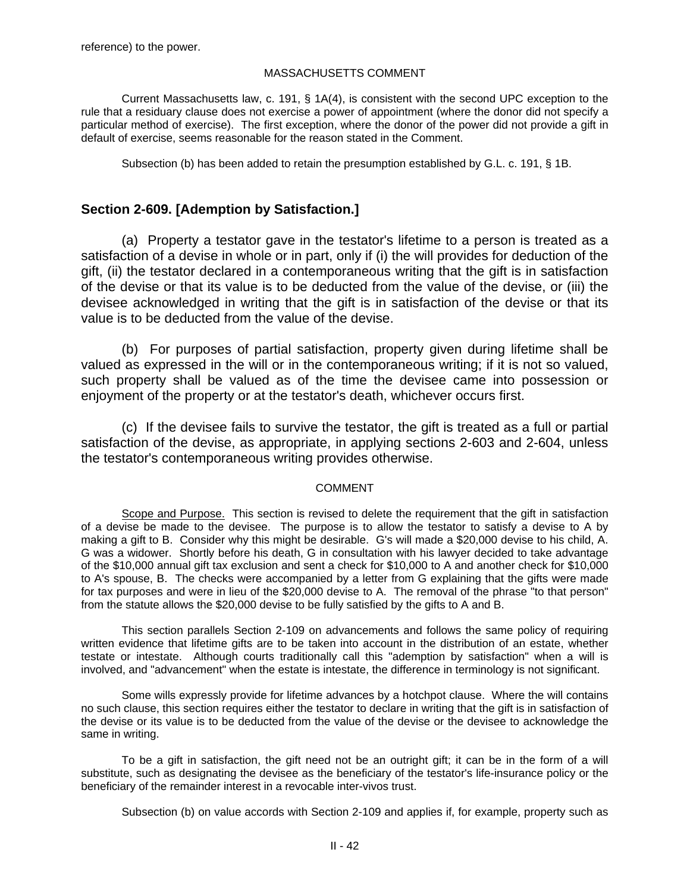#### MASSACHUSETTS COMMENT

 Current Massachusetts law, c. 191, § 1A(4), is consistent with the second UPC exception to the rule that a residuary clause does not exercise a power of appointment (where the donor did not specify a particular method of exercise). The first exception, where the donor of the power did not provide a gift in default of exercise, seems reasonable for the reason stated in the Comment.

Subsection (b) has been added to retain the presumption established by G.L. c. 191, § 1B.

# **Section 2-609. [Ademption by Satisfaction.]**

 (a) Property a testator gave in the testator's lifetime to a person is treated as a satisfaction of a devise in whole or in part, only if (i) the will provides for deduction of the gift, (ii) the testator declared in a contemporaneous writing that the gift is in satisfaction of the devise or that its value is to be deducted from the value of the devise, or (iii) the devisee acknowledged in writing that the gift is in satisfaction of the devise or that its value is to be deducted from the value of the devise.

 (b) For purposes of partial satisfaction, property given during lifetime shall be valued as expressed in the will or in the contemporaneous writing; if it is not so valued, such property shall be valued as of the time the devisee came into possession or enjoyment of the property or at the testator's death, whichever occurs first.

 (c) If the devisee fails to survive the testator, the gift is treated as a full or partial satisfaction of the devise, as appropriate, in applying sections 2-603 and 2-604, unless the testator's contemporaneous writing provides otherwise.

### COMMENT

Scope and Purpose. This section is revised to delete the requirement that the gift in satisfaction of a devise be made to the devisee. The purpose is to allow the testator to satisfy a devise to A by making a gift to B. Consider why this might be desirable. G's will made a \$20,000 devise to his child, A. G was a widower. Shortly before his death, G in consultation with his lawyer decided to take advantage of the \$10,000 annual gift tax exclusion and sent a check for \$10,000 to A and another check for \$10,000 to A's spouse, B. The checks were accompanied by a letter from G explaining that the gifts were made for tax purposes and were in lieu of the \$20,000 devise to A. The removal of the phrase "to that person" from the statute allows the \$20,000 devise to be fully satisfied by the gifts to A and B.

 This section parallels Section 2-109 on advancements and follows the same policy of requiring written evidence that lifetime gifts are to be taken into account in the distribution of an estate, whether testate or intestate. Although courts traditionally call this "ademption by satisfaction" when a will is involved, and "advancement" when the estate is intestate, the difference in terminology is not significant.

 Some wills expressly provide for lifetime advances by a hotchpot clause. Where the will contains no such clause, this section requires either the testator to declare in writing that the gift is in satisfaction of the devise or its value is to be deducted from the value of the devise or the devisee to acknowledge the same in writing.

 To be a gift in satisfaction, the gift need not be an outright gift; it can be in the form of a will substitute, such as designating the devisee as the beneficiary of the testator's life-insurance policy or the beneficiary of the remainder interest in a revocable inter-vivos trust.

Subsection (b) on value accords with Section 2-109 and applies if, for example, property such as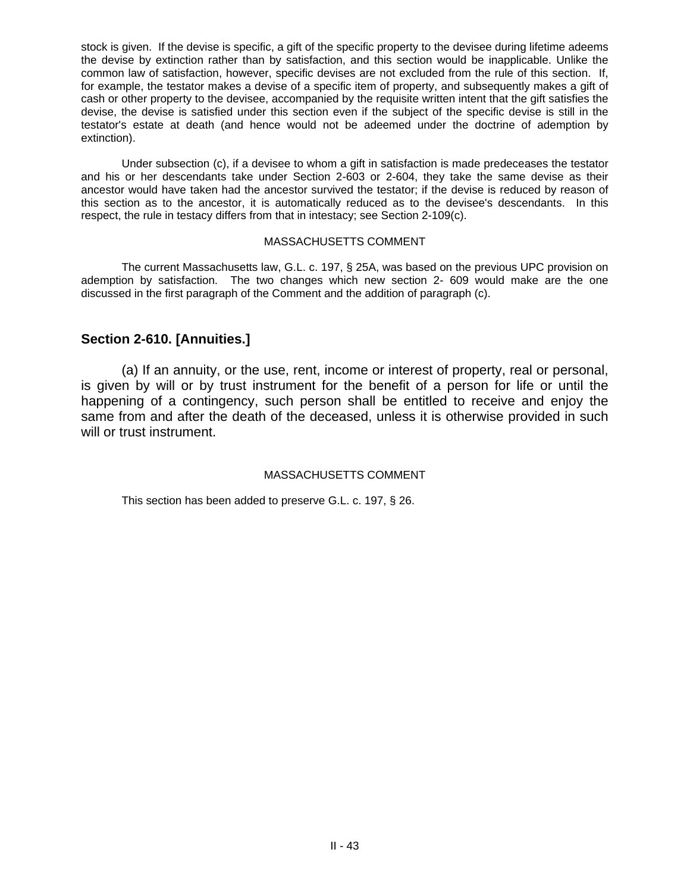stock is given. If the devise is specific, a gift of the specific property to the devisee during lifetime adeems the devise by extinction rather than by satisfaction, and this section would be inapplicable. Unlike the common law of satisfaction, however, specific devises are not excluded from the rule of this section. If, for example, the testator makes a devise of a specific item of property, and subsequently makes a gift of cash or other property to the devisee, accompanied by the requisite written intent that the gift satisfies the devise, the devise is satisfied under this section even if the subject of the specific devise is still in the testator's estate at death (and hence would not be adeemed under the doctrine of ademption by extinction).

 Under subsection (c), if a devisee to whom a gift in satisfaction is made predeceases the testator and his or her descendants take under Section 2-603 or 2-604, they take the same devise as their ancestor would have taken had the ancestor survived the testator; if the devise is reduced by reason of this section as to the ancestor, it is automatically reduced as to the devisee's descendants. In this respect, the rule in testacy differs from that in intestacy; see Section 2-109(c).

#### MASSACHUSETTS COMMENT

 The current Massachusetts law, G.L. c. 197, § 25A, was based on the previous UPC provision on ademption by satisfaction. The two changes which new section 2- 609 would make are the one discussed in the first paragraph of the Comment and the addition of paragraph (c).

### **Section 2-610. [Annuities.]**

 (a) If an annuity, or the use, rent, income or interest of property, real or personal, is given by will or by trust instrument for the benefit of a person for life or until the happening of a contingency, such person shall be entitled to receive and enjoy the same from and after the death of the deceased, unless it is otherwise provided in such will or trust instrument.

### MASSACHUSETTS COMMENT

This section has been added to preserve G.L. c. 197, § 26.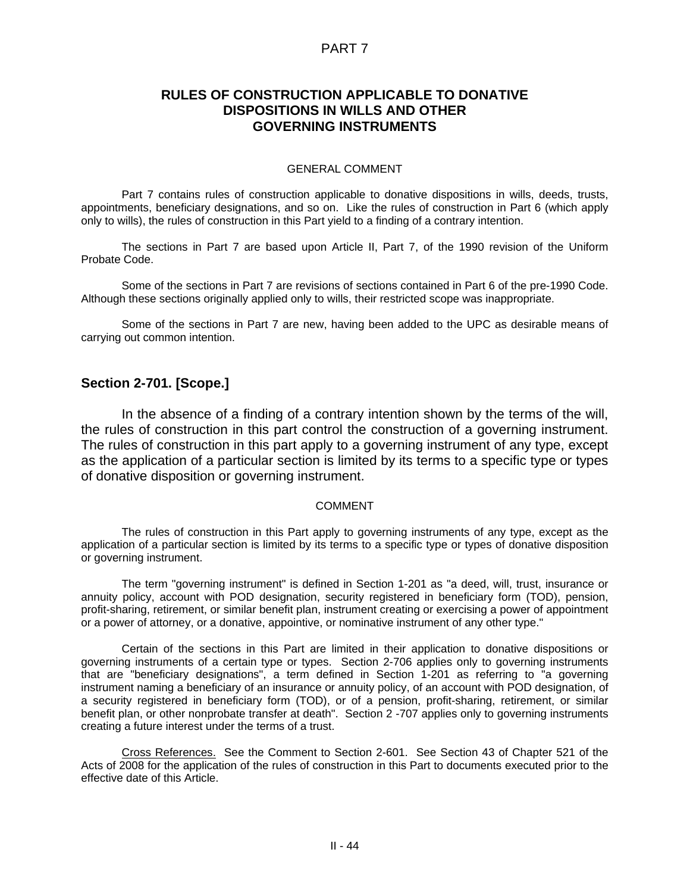### PART 7

### **RULES OF CONSTRUCTION APPLICABLE TO DONATIVE DISPOSITIONS IN WILLS AND OTHER GOVERNING INSTRUMENTS**

#### GENERAL COMMENT

 Part 7 contains rules of construction applicable to donative dispositions in wills, deeds, trusts, appointments, beneficiary designations, and so on. Like the rules of construction in Part 6 (which apply only to wills), the rules of construction in this Part yield to a finding of a contrary intention.

 The sections in Part 7 are based upon Article II, Part 7, of the 1990 revision of the Uniform Probate Code.

 Some of the sections in Part 7 are revisions of sections contained in Part 6 of the pre-1990 Code. Although these sections originally applied only to wills, their restricted scope was inappropriate.

 Some of the sections in Part 7 are new, having been added to the UPC as desirable means of carrying out common intention.

### **Section 2-701. [Scope.]**

 In the absence of a finding of a contrary intention shown by the terms of the will, the rules of construction in this part control the construction of a governing instrument. The rules of construction in this part apply to a governing instrument of any type, except as the application of a particular section is limited by its terms to a specific type or types of donative disposition or governing instrument.

#### COMMENT

 The rules of construction in this Part apply to governing instruments of any type, except as the application of a particular section is limited by its terms to a specific type or types of donative disposition or governing instrument.

 The term "governing instrument" is defined in Section 1-201 as "a deed, will, trust, insurance or annuity policy, account with POD designation, security registered in beneficiary form (TOD), pension, profit-sharing, retirement, or similar benefit plan, instrument creating or exercising a power of appointment or a power of attorney, or a donative, appointive, or nominative instrument of any other type."

 Certain of the sections in this Part are limited in their application to donative dispositions or governing instruments of a certain type or types. Section 2-706 applies only to governing instruments that are "beneficiary designations", a term defined in Section 1-201 as referring to "a governing instrument naming a beneficiary of an insurance or annuity policy, of an account with POD designation, of a security registered in beneficiary form (TOD), or of a pension, profit-sharing, retirement, or similar benefit plan, or other nonprobate transfer at death". Section 2 -707 applies only to governing instruments creating a future interest under the terms of a trust.

Cross References. See the Comment to Section 2-601. See Section 43 of Chapter 521 of the Acts of 2008 for the application of the rules of construction in this Part to documents executed prior to the effective date of this Article.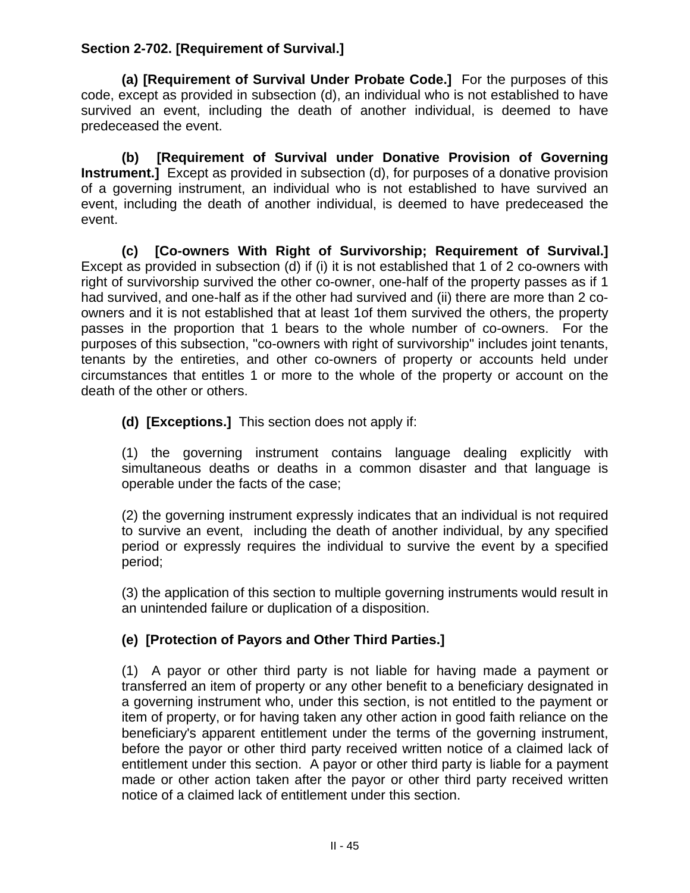# **Section 2-702. [Requirement of Survival.]**

**(a) [Requirement of Survival Under Probate Code.]** For the purposes of this code, except as provided in subsection (d), an individual who is not established to have survived an event, including the death of another individual, is deemed to have predeceased the event.

**(b) [Requirement of Survival under Donative Provision of Governing Instrument.]** Except as provided in subsection (d), for purposes of a donative provision of a governing instrument, an individual who is not established to have survived an event, including the death of another individual, is deemed to have predeceased the event.

**(c) [Co-owners With Right of Survivorship; Requirement of Survival.]**  Except as provided in subsection (d) if (i) it is not established that 1 of 2 co-owners with right of survivorship survived the other co-owner, one-half of the property passes as if 1 had survived, and one-half as if the other had survived and (ii) there are more than 2 coowners and it is not established that at least 1of them survived the others, the property passes in the proportion that 1 bears to the whole number of co-owners. For the purposes of this subsection, "co-owners with right of survivorship" includes joint tenants, tenants by the entireties, and other co-owners of property or accounts held under circumstances that entitles 1 or more to the whole of the property or account on the death of the other or others.

**(d) [Exceptions.]** This section does not apply if:

 (1) the governing instrument contains language dealing explicitly with simultaneous deaths or deaths in a common disaster and that language is operable under the facts of the case;

 (2) the governing instrument expressly indicates that an individual is not required to survive an event, including the death of another individual, by any specified period or expressly requires the individual to survive the event by a specified period;

 (3) the application of this section to multiple governing instruments would result in an unintended failure or duplication of a disposition.

# **(e) [Protection of Payors and Other Third Parties.]**

 (1) A payor or other third party is not liable for having made a payment or transferred an item of property or any other benefit to a beneficiary designated in a governing instrument who, under this section, is not entitled to the payment or item of property, or for having taken any other action in good faith reliance on the beneficiary's apparent entitlement under the terms of the governing instrument, before the payor or other third party received written notice of a claimed lack of entitlement under this section. A payor or other third party is liable for a payment made or other action taken after the payor or other third party received written notice of a claimed lack of entitlement under this section.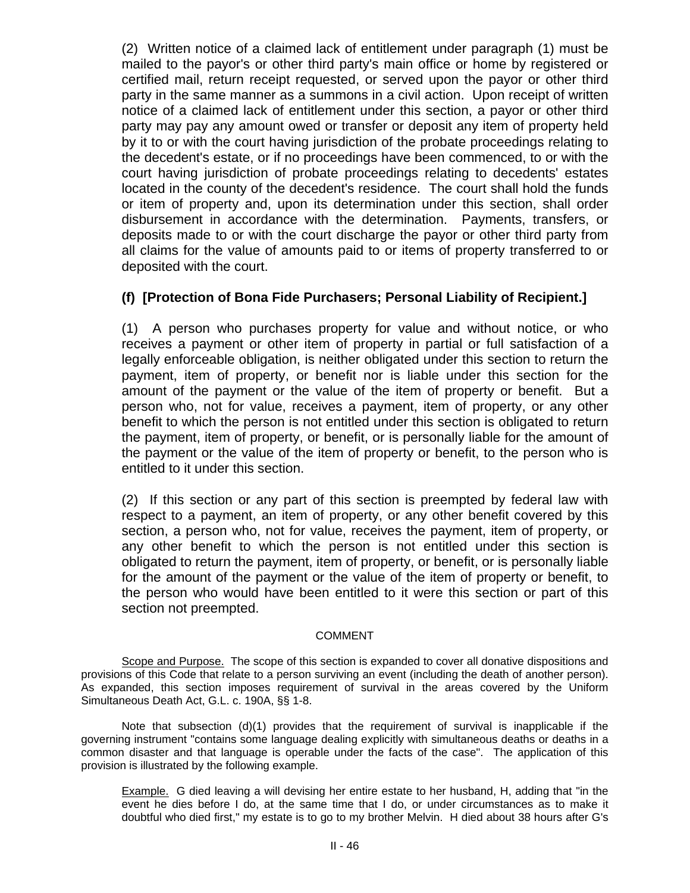(2) Written notice of a claimed lack of entitlement under paragraph (1) must be mailed to the payor's or other third party's main office or home by registered or certified mail, return receipt requested, or served upon the payor or other third party in the same manner as a summons in a civil action. Upon receipt of written notice of a claimed lack of entitlement under this section, a payor or other third party may pay any amount owed or transfer or deposit any item of property held by it to or with the court having jurisdiction of the probate proceedings relating to the decedent's estate, or if no proceedings have been commenced, to or with the court having jurisdiction of probate proceedings relating to decedents' estates located in the county of the decedent's residence. The court shall hold the funds or item of property and, upon its determination under this section, shall order disbursement in accordance with the determination. Payments, transfers, or deposits made to or with the court discharge the payor or other third party from all claims for the value of amounts paid to or items of property transferred to or deposited with the court.

# **(f) [Protection of Bona Fide Purchasers; Personal Liability of Recipient.]**

 (1) A person who purchases property for value and without notice, or who receives a payment or other item of property in partial or full satisfaction of a legally enforceable obligation, is neither obligated under this section to return the payment, item of property, or benefit nor is liable under this section for the amount of the payment or the value of the item of property or benefit. But a person who, not for value, receives a payment, item of property, or any other benefit to which the person is not entitled under this section is obligated to return the payment, item of property, or benefit, or is personally liable for the amount of the payment or the value of the item of property or benefit, to the person who is entitled to it under this section.

 (2) If this section or any part of this section is preempted by federal law with respect to a payment, an item of property, or any other benefit covered by this section, a person who, not for value, receives the payment, item of property, or any other benefit to which the person is not entitled under this section is obligated to return the payment, item of property, or benefit, or is personally liable for the amount of the payment or the value of the item of property or benefit, to the person who would have been entitled to it were this section or part of this section not preempted.

### COMMENT

Scope and Purpose. The scope of this section is expanded to cover all donative dispositions and provisions of this Code that relate to a person surviving an event (including the death of another person). As expanded, this section imposes requirement of survival in the areas covered by the Uniform Simultaneous Death Act, G.L. c. 190A, §§ 1-8.

 Note that subsection (d)(1) provides that the requirement of survival is inapplicable if the governing instrument "contains some language dealing explicitly with simultaneous deaths or deaths in a common disaster and that language is operable under the facts of the case". The application of this provision is illustrated by the following example.

Example. G died leaving a will devising her entire estate to her husband, H, adding that "in the event he dies before I do, at the same time that I do, or under circumstances as to make it doubtful who died first," my estate is to go to my brother Melvin. H died about 38 hours after G's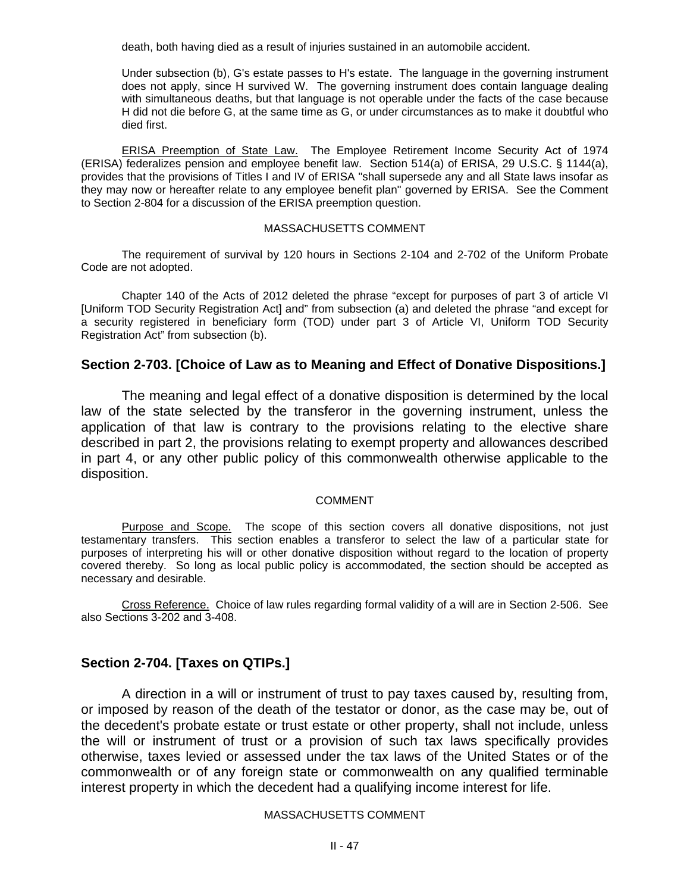death, both having died as a result of injuries sustained in an automobile accident.

Under subsection (b), G's estate passes to H's estate. The language in the governing instrument does not apply, since H survived W. The governing instrument does contain language dealing with simultaneous deaths, but that language is not operable under the facts of the case because H did not die before G, at the same time as G, or under circumstances as to make it doubtful who died first.

ERISA Preemption of State Law. The Employee Retirement Income Security Act of 1974 (ERISA) federalizes pension and employee benefit law. Section 514(a) of ERISA, 29 U.S.C. § 1144(a), provides that the provisions of Titles I and IV of ERISA "shall supersede any and all State laws insofar as they may now or hereafter relate to any employee benefit plan" governed by ERISA. See the Comment to Section 2-804 for a discussion of the ERISA preemption question.

#### MASSACHUSETTS COMMENT

 The requirement of survival by 120 hours in Sections 2-104 and 2-702 of the Uniform Probate Code are not adopted.

Chapter 140 of the Acts of 2012 deleted the phrase "except for purposes of part 3 of article VI [Uniform TOD Security Registration Act] and" from subsection (a) and deleted the phrase "and except for a security registered in beneficiary form (TOD) under part 3 of Article VI, Uniform TOD Security Registration Act" from subsection (b).

### **Section 2-703. [Choice of Law as to Meaning and Effect of Donative Dispositions.]**

 The meaning and legal effect of a donative disposition is determined by the local law of the state selected by the transferor in the governing instrument, unless the application of that law is contrary to the provisions relating to the elective share described in part 2, the provisions relating to exempt property and allowances described in part 4, or any other public policy of this commonwealth otherwise applicable to the disposition.

#### COMMENT

Purpose and Scope. The scope of this section covers all donative dispositions, not just testamentary transfers. This section enables a transferor to select the law of a particular state for purposes of interpreting his will or other donative disposition without regard to the location of property covered thereby. So long as local public policy is accommodated, the section should be accepted as necessary and desirable.

Cross Reference. Choice of law rules regarding formal validity of a will are in Section 2-506. See also Sections 3-202 and 3-408.

### **Section 2-704. [Taxes on QTIPs.]**

 A direction in a will or instrument of trust to pay taxes caused by, resulting from, or imposed by reason of the death of the testator or donor, as the case may be, out of the decedent's probate estate or trust estate or other property, shall not include, unless the will or instrument of trust or a provision of such tax laws specifically provides otherwise, taxes levied or assessed under the tax laws of the United States or of the commonwealth or of any foreign state or commonwealth on any qualified terminable interest property in which the decedent had a qualifying income interest for life.

#### MASSACHUSETTS COMMENT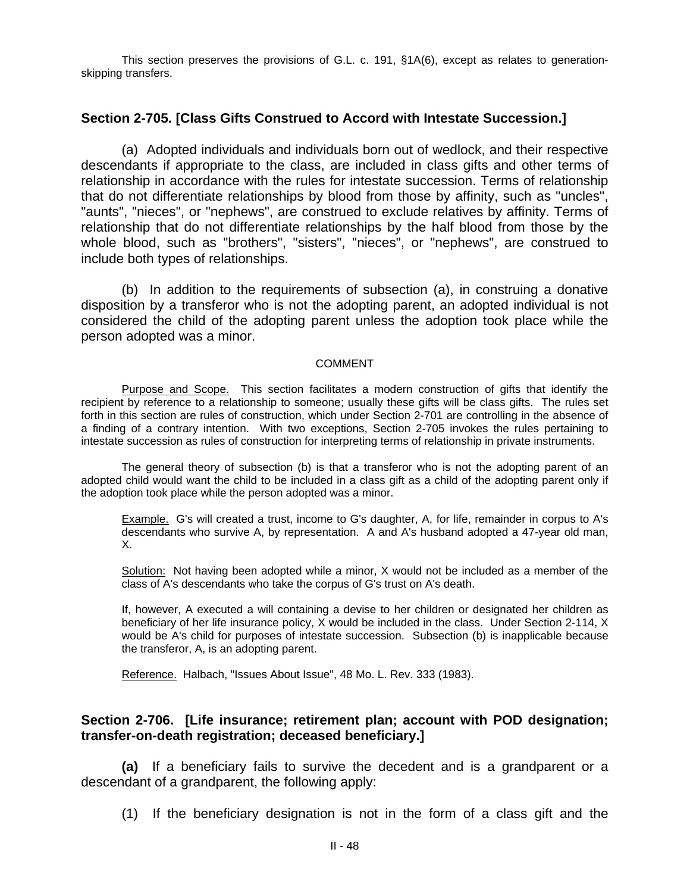This section preserves the provisions of G.L. c. 191, §1A(6), except as relates to generationskipping transfers.

### **Section 2-705. [Class Gifts Construed to Accord with Intestate Succession.]**

 (a) Adopted individuals and individuals born out of wedlock, and their respective descendants if appropriate to the class, are included in class gifts and other terms of relationship in accordance with the rules for intestate succession. Terms of relationship that do not differentiate relationships by blood from those by affinity, such as "uncles", "aunts", "nieces", or "nephews", are construed to exclude relatives by affinity. Terms of relationship that do not differentiate relationships by the half blood from those by the whole blood, such as "brothers", "sisters", "nieces", or "nephews", are construed to include both types of relationships.

 (b) In addition to the requirements of subsection (a), in construing a donative disposition by a transferor who is not the adopting parent, an adopted individual is not considered the child of the adopting parent unless the adoption took place while the person adopted was a minor.

### **COMMENT**

Purpose and Scope. This section facilitates a modern construction of gifts that identify the recipient by reference to a relationship to someone; usually these gifts will be class gifts. The rules set forth in this section are rules of construction, which under Section 2-701 are controlling in the absence of a finding of a contrary intention. With two exceptions, Section 2-705 invokes the rules pertaining to intestate succession as rules of construction for interpreting terms of relationship in private instruments.

 The general theory of subsection (b) is that a transferor who is not the adopting parent of an adopted child would want the child to be included in a class gift as a child of the adopting parent only if the adoption took place while the person adopted was a minor.

Example. G's will created a trust, income to G's daughter, A, for life, remainder in corpus to A's descendants who survive A, by representation. A and A's husband adopted a 47-year old man, X.

Solution: Not having been adopted while a minor, X would not be included as a member of the class of A's descendants who take the corpus of G's trust on A's death.

If, however, A executed a will containing a devise to her children or designated her children as beneficiary of her life insurance policy, X would be included in the class. Under Section 2-114, X would be A's child for purposes of intestate succession. Subsection (b) is inapplicable because the transferor, A, is an adopting parent.

Reference. Halbach, "Issues About Issue", 48 Mo. L. Rev. 333 (1983).

### **Section 2-706. [Life insurance; retirement plan; account with POD designation; transfer-on-death registration; deceased beneficiary.]**

**(a)** If a beneficiary fails to survive the decedent and is a grandparent or a descendant of a grandparent, the following apply:

(1) If the beneficiary designation is not in the form of a class gift and the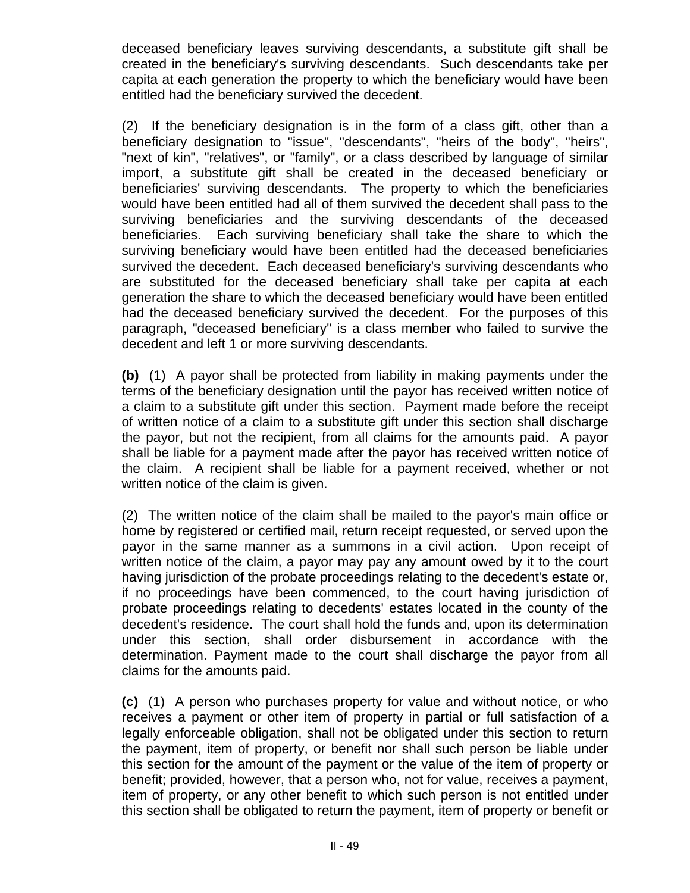deceased beneficiary leaves surviving descendants, a substitute gift shall be created in the beneficiary's surviving descendants. Such descendants take per capita at each generation the property to which the beneficiary would have been entitled had the beneficiary survived the decedent.

(2) If the beneficiary designation is in the form of a class gift, other than a beneficiary designation to "issue", "descendants", "heirs of the body", "heirs", "next of kin", "relatives", or "family", or a class described by language of similar import, a substitute gift shall be created in the deceased beneficiary or beneficiaries' surviving descendants. The property to which the beneficiaries would have been entitled had all of them survived the decedent shall pass to the surviving beneficiaries and the surviving descendants of the deceased beneficiaries. Each surviving beneficiary shall take the share to which the surviving beneficiary would have been entitled had the deceased beneficiaries survived the decedent. Each deceased beneficiary's surviving descendants who are substituted for the deceased beneficiary shall take per capita at each generation the share to which the deceased beneficiary would have been entitled had the deceased beneficiary survived the decedent. For the purposes of this paragraph, "deceased beneficiary" is a class member who failed to survive the decedent and left 1 or more surviving descendants.

**(b)** (1) A payor shall be protected from liability in making payments under the terms of the beneficiary designation until the payor has received written notice of a claim to a substitute gift under this section. Payment made before the receipt of written notice of a claim to a substitute gift under this section shall discharge the payor, but not the recipient, from all claims for the amounts paid. A payor shall be liable for a payment made after the payor has received written notice of the claim. A recipient shall be liable for a payment received, whether or not written notice of the claim is given.

(2) The written notice of the claim shall be mailed to the payor's main office or home by registered or certified mail, return receipt requested, or served upon the payor in the same manner as a summons in a civil action. Upon receipt of written notice of the claim, a payor may pay any amount owed by it to the court having jurisdiction of the probate proceedings relating to the decedent's estate or, if no proceedings have been commenced, to the court having jurisdiction of probate proceedings relating to decedents' estates located in the county of the decedent's residence. The court shall hold the funds and, upon its determination under this section, shall order disbursement in accordance with the determination. Payment made to the court shall discharge the payor from all claims for the amounts paid.

**(c)** (1) A person who purchases property for value and without notice, or who receives a payment or other item of property in partial or full satisfaction of a legally enforceable obligation, shall not be obligated under this section to return the payment, item of property, or benefit nor shall such person be liable under this section for the amount of the payment or the value of the item of property or benefit; provided, however, that a person who, not for value, receives a payment, item of property, or any other benefit to which such person is not entitled under this section shall be obligated to return the payment, item of property or benefit or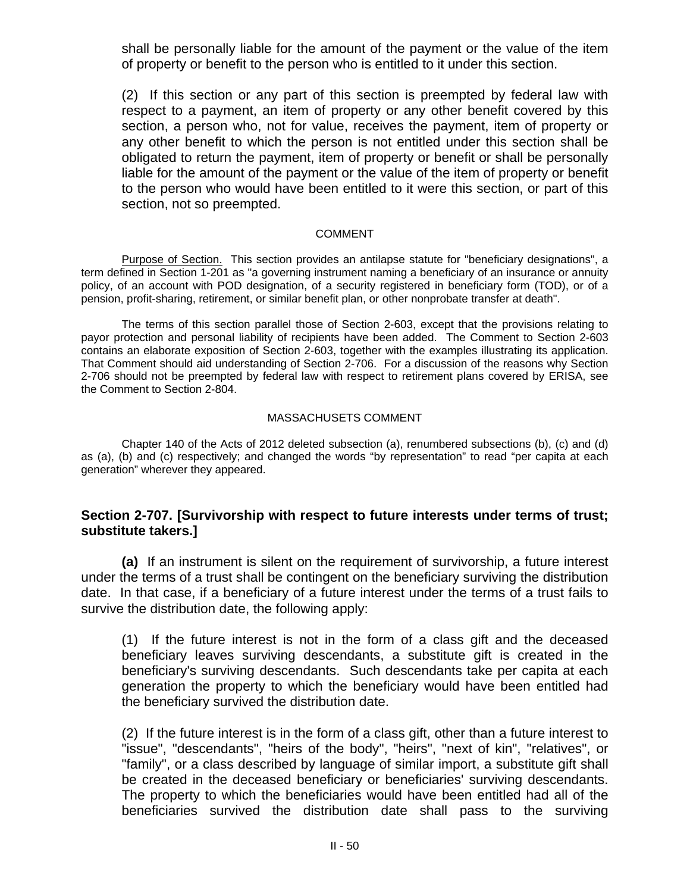shall be personally liable for the amount of the payment or the value of the item of property or benefit to the person who is entitled to it under this section.

(2) If this section or any part of this section is preempted by federal law with respect to a payment, an item of property or any other benefit covered by this section, a person who, not for value, receives the payment, item of property or any other benefit to which the person is not entitled under this section shall be obligated to return the payment, item of property or benefit or shall be personally liable for the amount of the payment or the value of the item of property or benefit to the person who would have been entitled to it were this section, or part of this section, not so preempted.

#### COMMENT

Purpose of Section. This section provides an antilapse statute for "beneficiary designations", a term defined in Section 1-201 as "a governing instrument naming a beneficiary of an insurance or annuity policy, of an account with POD designation, of a security registered in beneficiary form (TOD), or of a pension, profit-sharing, retirement, or similar benefit plan, or other nonprobate transfer at death".

 The terms of this section parallel those of Section 2-603, except that the provisions relating to payor protection and personal liability of recipients have been added. The Comment to Section 2-603 contains an elaborate exposition of Section 2-603, together with the examples illustrating its application. That Comment should aid understanding of Section 2-706. For a discussion of the reasons why Section 2-706 should not be preempted by federal law with respect to retirement plans covered by ERISA, see the Comment to Section 2-804.

#### MASSACHUSETS COMMENT

 Chapter 140 of the Acts of 2012 deleted subsection (a), renumbered subsections (b), (c) and (d) as (a), (b) and (c) respectively; and changed the words "by representation" to read "per capita at each generation" wherever they appeared.

### **Section 2-707. [Survivorship with respect to future interests under terms of trust; substitute takers.]**

**(a)** If an instrument is silent on the requirement of survivorship, a future interest under the terms of a trust shall be contingent on the beneficiary surviving the distribution date. In that case, if a beneficiary of a future interest under the terms of a trust fails to survive the distribution date, the following apply:

(1) If the future interest is not in the form of a class gift and the deceased beneficiary leaves surviving descendants, a substitute gift is created in the beneficiary's surviving descendants. Such descendants take per capita at each generation the property to which the beneficiary would have been entitled had the beneficiary survived the distribution date.

(2) If the future interest is in the form of a class gift, other than a future interest to "issue", "descendants", "heirs of the body", "heirs", "next of kin", "relatives", or "family", or a class described by language of similar import, a substitute gift shall be created in the deceased beneficiary or beneficiaries' surviving descendants. The property to which the beneficiaries would have been entitled had all of the beneficiaries survived the distribution date shall pass to the surviving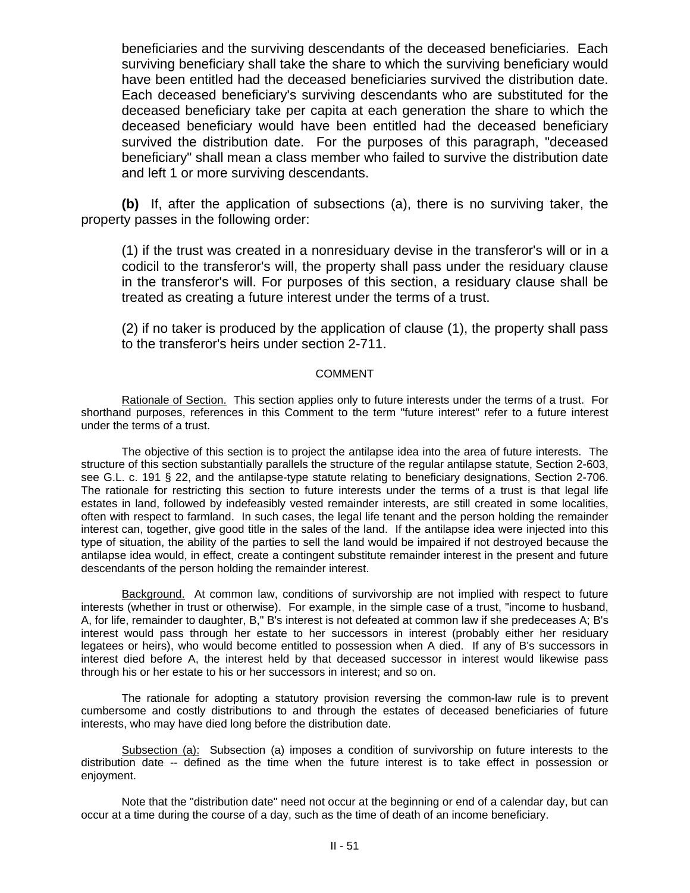beneficiaries and the surviving descendants of the deceased beneficiaries. Each surviving beneficiary shall take the share to which the surviving beneficiary would have been entitled had the deceased beneficiaries survived the distribution date. Each deceased beneficiary's surviving descendants who are substituted for the deceased beneficiary take per capita at each generation the share to which the deceased beneficiary would have been entitled had the deceased beneficiary survived the distribution date. For the purposes of this paragraph, "deceased beneficiary" shall mean a class member who failed to survive the distribution date and left 1 or more surviving descendants.

**(b)** If, after the application of subsections (a), there is no surviving taker, the property passes in the following order:

(1) if the trust was created in a nonresiduary devise in the transferor's will or in a codicil to the transferor's will, the property shall pass under the residuary clause in the transferor's will. For purposes of this section, a residuary clause shall be treated as creating a future interest under the terms of a trust.

(2) if no taker is produced by the application of clause (1), the property shall pass to the transferor's heirs under section 2-711.

### COMMENT

Rationale of Section. This section applies only to future interests under the terms of a trust. For shorthand purposes, references in this Comment to the term "future interest" refer to a future interest under the terms of a trust.

 The objective of this section is to project the antilapse idea into the area of future interests. The structure of this section substantially parallels the structure of the regular antilapse statute, Section 2-603, see G.L. c. 191 § 22, and the antilapse-type statute relating to beneficiary designations, Section 2-706. The rationale for restricting this section to future interests under the terms of a trust is that legal life estates in land, followed by indefeasibly vested remainder interests, are still created in some localities, often with respect to farmland. In such cases, the legal life tenant and the person holding the remainder interest can, together, give good title in the sales of the land. If the antilapse idea were injected into this type of situation, the ability of the parties to sell the land would be impaired if not destroyed because the antilapse idea would, in effect, create a contingent substitute remainder interest in the present and future descendants of the person holding the remainder interest.

Background. At common law, conditions of survivorship are not implied with respect to future interests (whether in trust or otherwise). For example, in the simple case of a trust, "income to husband, A, for life, remainder to daughter, B," B's interest is not defeated at common law if she predeceases A; B's interest would pass through her estate to her successors in interest (probably either her residuary legatees or heirs), who would become entitled to possession when A died. If any of B's successors in interest died before A, the interest held by that deceased successor in interest would likewise pass through his or her estate to his or her successors in interest; and so on.

 The rationale for adopting a statutory provision reversing the common-law rule is to prevent cumbersome and costly distributions to and through the estates of deceased beneficiaries of future interests, who may have died long before the distribution date.

Subsection (a): Subsection (a) imposes a condition of survivorship on future interests to the distribution date -- defined as the time when the future interest is to take effect in possession or enjoyment.

 Note that the "distribution date" need not occur at the beginning or end of a calendar day, but can occur at a time during the course of a day, such as the time of death of an income beneficiary.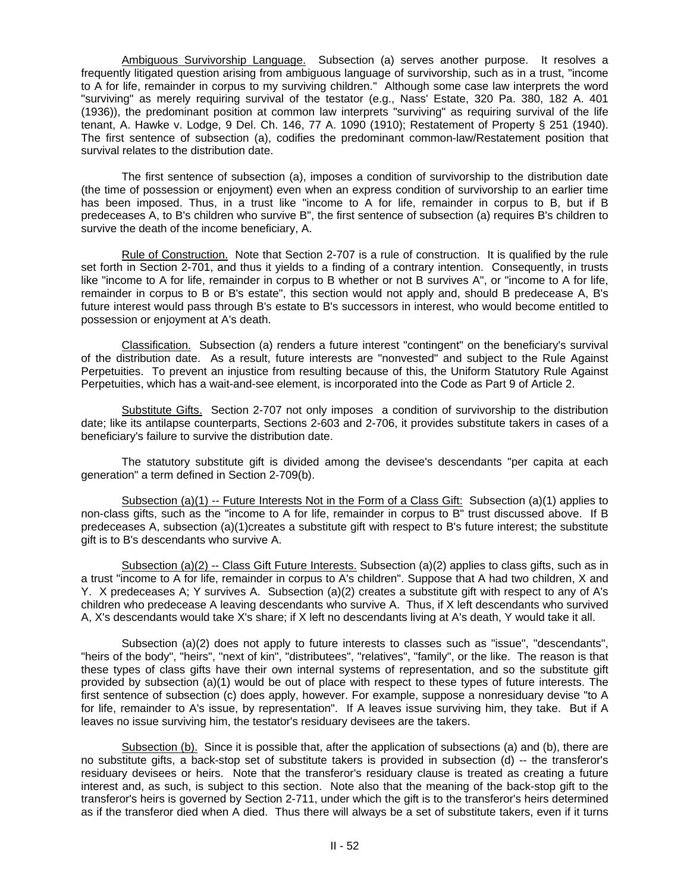Ambiguous Survivorship Language. Subsection (a) serves another purpose. It resolves a frequently litigated question arising from ambiguous language of survivorship, such as in a trust, "income to A for life, remainder in corpus to my surviving children." Although some case law interprets the word "surviving" as merely requiring survival of the testator (e.g., Nass' Estate, 320 Pa. 380, 182 A. 401 (1936)), the predominant position at common law interprets "surviving" as requiring survival of the life tenant, A. Hawke v. Lodge, 9 Del. Ch. 146, 77 A. 1090 (1910); Restatement of Property § 251 (1940). The first sentence of subsection (a), codifies the predominant common-law/Restatement position that survival relates to the distribution date.

 The first sentence of subsection (a), imposes a condition of survivorship to the distribution date (the time of possession or enjoyment) even when an express condition of survivorship to an earlier time has been imposed. Thus, in a trust like "income to A for life, remainder in corpus to B, but if B predeceases A, to B's children who survive B", the first sentence of subsection (a) requires B's children to survive the death of the income beneficiary, A.

Rule of Construction. Note that Section 2-707 is a rule of construction. It is qualified by the rule set forth in Section 2-701, and thus it yields to a finding of a contrary intention. Consequently, in trusts like "income to A for life, remainder in corpus to B whether or not B survives A", or "income to A for life, remainder in corpus to B or B's estate", this section would not apply and, should B predecease A, B's future interest would pass through B's estate to B's successors in interest, who would become entitled to possession or enjoyment at A's death.

Classification. Subsection (a) renders a future interest "contingent" on the beneficiary's survival of the distribution date. As a result, future interests are "nonvested" and subject to the Rule Against Perpetuities. To prevent an injustice from resulting because of this, the Uniform Statutory Rule Against Perpetuities, which has a wait-and-see element, is incorporated into the Code as Part 9 of Article 2.

Substitute Gifts. Section 2-707 not only imposes a condition of survivorship to the distribution date; like its antilapse counterparts, Sections 2-603 and 2-706, it provides substitute takers in cases of a beneficiary's failure to survive the distribution date.

 The statutory substitute gift is divided among the devisee's descendants "per capita at each generation" a term defined in Section 2-709(b).

Subsection (a)(1) -- Future Interests Not in the Form of a Class Gift: Subsection (a)(1) applies to non-class gifts, such as the "income to A for life, remainder in corpus to B" trust discussed above. If B predeceases A, subsection (a)(1)creates a substitute gift with respect to B's future interest; the substitute gift is to B's descendants who survive A.

Subsection (a)(2) -- Class Gift Future Interests. Subsection (a)(2) applies to class gifts, such as in a trust "income to A for life, remainder in corpus to A's children". Suppose that A had two children, X and Y. X predeceases A; Y survives A. Subsection (a)(2) creates a substitute gift with respect to any of A's children who predecease A leaving descendants who survive A. Thus, if X left descendants who survived A, X's descendants would take X's share; if X left no descendants living at A's death, Y would take it all.

 Subsection (a)(2) does not apply to future interests to classes such as "issue", "descendants", "heirs of the body", "heirs", "next of kin", "distributees", "relatives", "family", or the like. The reason is that these types of class gifts have their own internal systems of representation, and so the substitute gift provided by subsection (a)(1) would be out of place with respect to these types of future interests. The first sentence of subsection (c) does apply, however. For example, suppose a nonresiduary devise "to A for life, remainder to A's issue, by representation". If A leaves issue surviving him, they take. But if A leaves no issue surviving him, the testator's residuary devisees are the takers.

Subsection (b). Since it is possible that, after the application of subsections (a) and (b), there are no substitute gifts, a back-stop set of substitute takers is provided in subsection (d) -- the transferor's residuary devisees or heirs. Note that the transferor's residuary clause is treated as creating a future interest and, as such, is subject to this section. Note also that the meaning of the back-stop gift to the transferor's heirs is governed by Section 2-711, under which the gift is to the transferor's heirs determined as if the transferor died when A died. Thus there will always be a set of substitute takers, even if it turns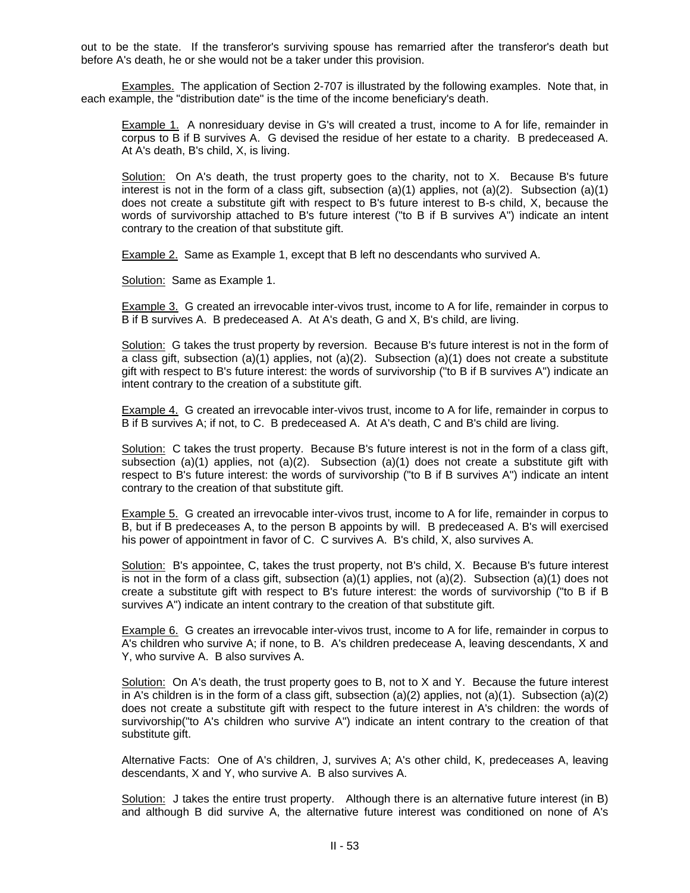out to be the state. If the transferor's surviving spouse has remarried after the transferor's death but before A's death, he or she would not be a taker under this provision.

Examples. The application of Section 2-707 is illustrated by the following examples. Note that, in each example, the "distribution date" is the time of the income beneficiary's death.

Example 1. A nonresiduary devise in G's will created a trust, income to A for life, remainder in corpus to B if B survives A. G devised the residue of her estate to a charity. B predeceased A. At A's death, B's child, X, is living.

Solution: On A's death, the trust property goes to the charity, not to X. Because B's future interest is not in the form of a class gift, subsection (a)(1) applies, not (a)(2). Subsection (a)(1) does not create a substitute gift with respect to B's future interest to B-s child, X, because the words of survivorship attached to B's future interest ("to B if B survives A") indicate an intent contrary to the creation of that substitute gift.

Example 2. Same as Example 1, except that B left no descendants who survived A.

Solution: Same as Example 1.

Example 3. G created an irrevocable inter-vivos trust, income to A for life, remainder in corpus to B if B survives A. B predeceased A. At A's death, G and X, B's child, are living.

Solution: G takes the trust property by reversion. Because B's future interest is not in the form of a class gift, subsection (a)(1) applies, not (a)(2). Subsection (a)(1) does not create a substitute gift with respect to B's future interest: the words of survivorship ("to B if B survives A") indicate an intent contrary to the creation of a substitute gift.

Example 4. G created an irrevocable inter-vivos trust, income to A for life, remainder in corpus to B if B survives A; if not, to C. B predeceased A. At A's death, C and B's child are living.

Solution: C takes the trust property. Because B's future interest is not in the form of a class gift, subsection (a)(1) applies, not (a)(2). Subsection (a)(1) does not create a substitute gift with respect to B's future interest: the words of survivorship ("to B if B survives A") indicate an intent contrary to the creation of that substitute gift.

Example 5. G created an irrevocable inter-vivos trust, income to A for life, remainder in corpus to B, but if B predeceases A, to the person B appoints by will. B predeceased A. B's will exercised his power of appointment in favor of C. C survives A. B's child, X, also survives A.

Solution: B's appointee, C, takes the trust property, not B's child, X. Because B's future interest is not in the form of a class gift, subsection  $(a)(1)$  applies, not  $(a)(2)$ . Subsection  $(a)(1)$  does not create a substitute gift with respect to B's future interest: the words of survivorship ("to B if B survives A") indicate an intent contrary to the creation of that substitute gift.

Example 6. G creates an irrevocable inter-vivos trust, income to A for life, remainder in corpus to A's children who survive A; if none, to B. A's children predecease A, leaving descendants, X and Y, who survive A. B also survives A.

Solution: On A's death, the trust property goes to B, not to X and Y. Because the future interest in A's children is in the form of a class gift, subsection (a)(2) applies, not (a)(1). Subsection (a)(2) does not create a substitute gift with respect to the future interest in A's children: the words of survivorship("to A's children who survive A") indicate an intent contrary to the creation of that substitute gift.

Alternative Facts: One of A's children, J, survives A; A's other child, K, predeceases A, leaving descendants, X and Y, who survive A. B also survives A.

Solution: J takes the entire trust property. Although there is an alternative future interest (in B) and although B did survive A, the alternative future interest was conditioned on none of A's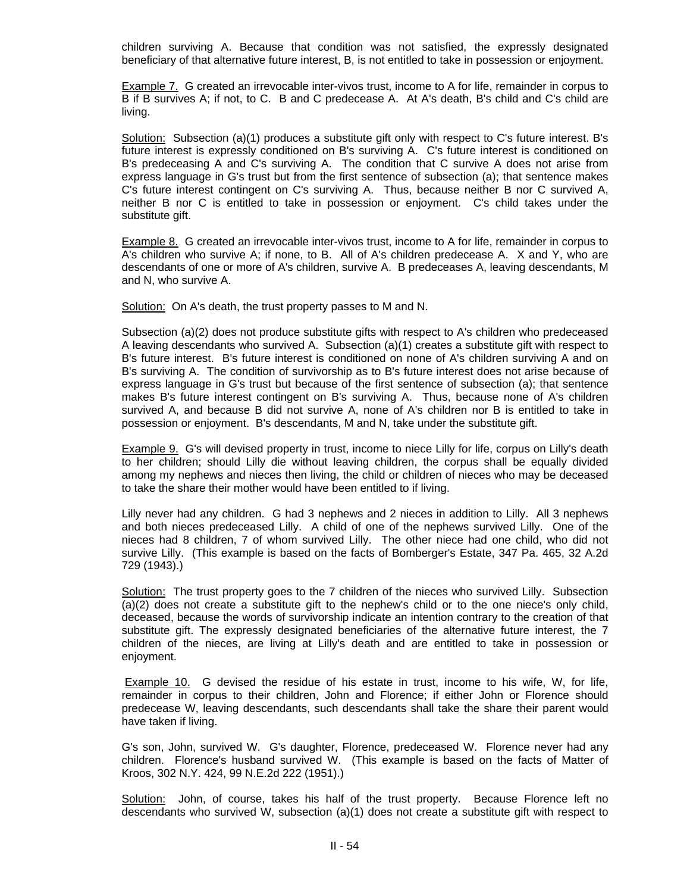children surviving A. Because that condition was not satisfied, the expressly designated beneficiary of that alternative future interest, B, is not entitled to take in possession or enjoyment.

Example 7. G created an irrevocable inter-vivos trust, income to A for life, remainder in corpus to B if B survives A; if not, to C. B and C predecease A. At A's death, B's child and C's child are living.

Solution: Subsection (a)(1) produces a substitute gift only with respect to C's future interest. B's future interest is expressly conditioned on B's surviving A. C's future interest is conditioned on B's predeceasing A and C's surviving A. The condition that C survive A does not arise from express language in G's trust but from the first sentence of subsection (a); that sentence makes C's future interest contingent on C's surviving A. Thus, because neither B nor C survived A, neither B nor C is entitled to take in possession or enjoyment. C's child takes under the substitute gift.

Example 8. G created an irrevocable inter-vivos trust, income to A for life, remainder in corpus to A's children who survive A; if none, to B. All of A's children predecease A. X and Y, who are descendants of one or more of A's children, survive A. B predeceases A, leaving descendants, M and N, who survive A.

Solution: On A's death, the trust property passes to M and N.

Subsection (a)(2) does not produce substitute gifts with respect to A's children who predeceased A leaving descendants who survived A. Subsection (a)(1) creates a substitute gift with respect to B's future interest. B's future interest is conditioned on none of A's children surviving A and on B's surviving A. The condition of survivorship as to B's future interest does not arise because of express language in G's trust but because of the first sentence of subsection (a); that sentence makes B's future interest contingent on B's surviving A. Thus, because none of A's children survived A, and because B did not survive A, none of A's children nor B is entitled to take in possession or enjoyment. B's descendants, M and N, take under the substitute gift.

Example 9. G's will devised property in trust, income to niece Lilly for life, corpus on Lilly's death to her children; should Lilly die without leaving children, the corpus shall be equally divided among my nephews and nieces then living, the child or children of nieces who may be deceased to take the share their mother would have been entitled to if living.

Lilly never had any children. G had 3 nephews and 2 nieces in addition to Lilly. All 3 nephews and both nieces predeceased Lilly. A child of one of the nephews survived Lilly. One of the nieces had 8 children, 7 of whom survived Lilly. The other niece had one child, who did not survive Lilly. (This example is based on the facts of Bomberger's Estate, 347 Pa. 465, 32 A.2d 729 (1943).)

Solution: The trust property goes to the 7 children of the nieces who survived Lilly. Subsection (a)(2) does not create a substitute gift to the nephew's child or to the one niece's only child, deceased, because the words of survivorship indicate an intention contrary to the creation of that substitute gift. The expressly designated beneficiaries of the alternative future interest, the 7 children of the nieces, are living at Lilly's death and are entitled to take in possession or enjoyment.

**Example 10.** G devised the residue of his estate in trust, income to his wife, W, for life, remainder in corpus to their children, John and Florence; if either John or Florence should predecease W, leaving descendants, such descendants shall take the share their parent would have taken if living.

G's son, John, survived W. G's daughter, Florence, predeceased W. Florence never had any children. Florence's husband survived W. (This example is based on the facts of Matter of Kroos, 302 N.Y. 424, 99 N.E.2d 222 (1951).)

Solution: John, of course, takes his half of the trust property. Because Florence left no descendants who survived W, subsection  $(a)(1)$  does not create a substitute gift with respect to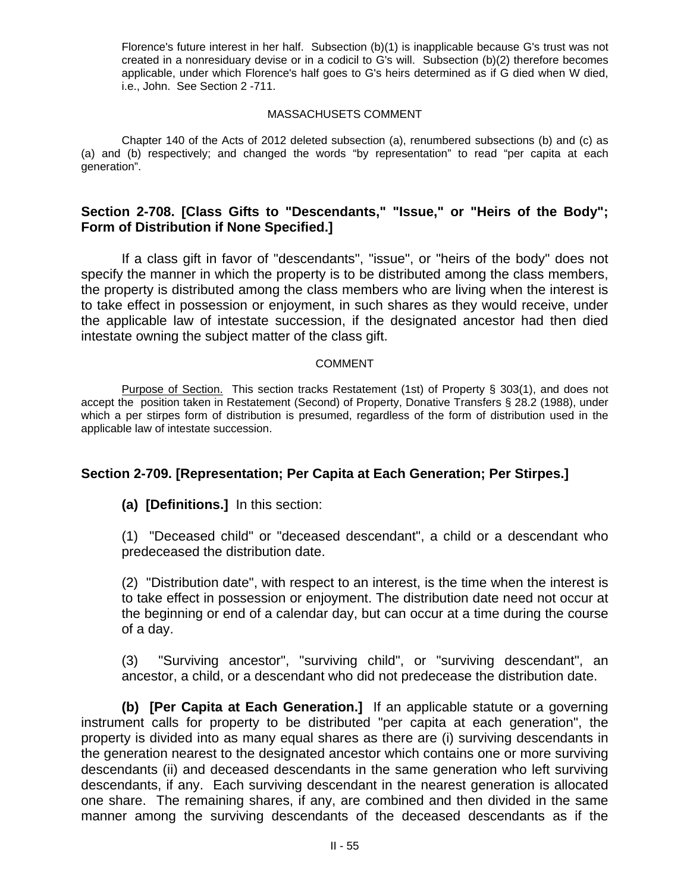Florence's future interest in her half. Subsection (b)(1) is inapplicable because G's trust was not created in a nonresiduary devise or in a codicil to G's will. Subsection (b)(2) therefore becomes applicable, under which Florence's half goes to G's heirs determined as if G died when W died, i.e., John. See Section 2 -711.

#### MASSACHUSETS COMMENT

 Chapter 140 of the Acts of 2012 deleted subsection (a), renumbered subsections (b) and (c) as (a) and (b) respectively; and changed the words "by representation" to read "per capita at each generation".

### **Section 2-708. [Class Gifts to "Descendants," "Issue," or "Heirs of the Body"; Form of Distribution if None Specified.]**

 If a class gift in favor of "descendants", "issue", or "heirs of the body" does not specify the manner in which the property is to be distributed among the class members, the property is distributed among the class members who are living when the interest is to take effect in possession or enjoyment, in such shares as they would receive, under the applicable law of intestate succession, if the designated ancestor had then died intestate owning the subject matter of the class gift.

### COMMENT

Purpose of Section. This section tracks Restatement (1st) of Property § 303(1), and does not accept the position taken in Restatement (Second) of Property, Donative Transfers § 28.2 (1988), under which a per stirpes form of distribution is presumed, regardless of the form of distribution used in the applicable law of intestate succession.

### **Section 2-709. [Representation; Per Capita at Each Generation; Per Stirpes.]**

### **(a) [Definitions.]** In this section:

(1) "Deceased child" or "deceased descendant", a child or a descendant who predeceased the distribution date.

(2) "Distribution date", with respect to an interest, is the time when the interest is to take effect in possession or enjoyment. The distribution date need not occur at the beginning or end of a calendar day, but can occur at a time during the course of a day.

(3) "Surviving ancestor", "surviving child", or "surviving descendant", an ancestor, a child, or a descendant who did not predecease the distribution date.

**(b) [Per Capita at Each Generation.]** If an applicable statute or a governing instrument calls for property to be distributed "per capita at each generation", the property is divided into as many equal shares as there are (i) surviving descendants in the generation nearest to the designated ancestor which contains one or more surviving descendants (ii) and deceased descendants in the same generation who left surviving descendants, if any. Each surviving descendant in the nearest generation is allocated one share. The remaining shares, if any, are combined and then divided in the same manner among the surviving descendants of the deceased descendants as if the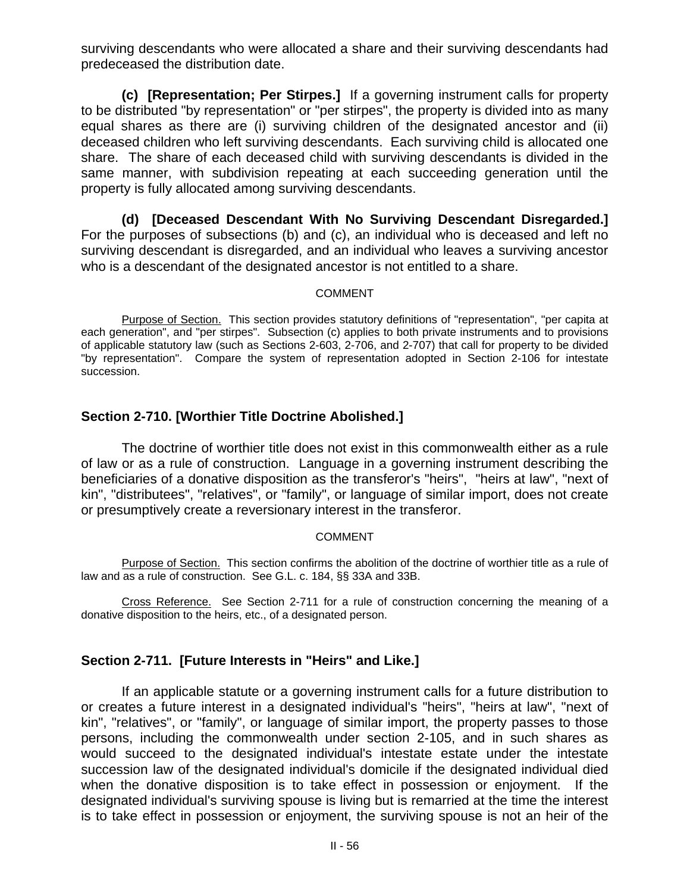surviving descendants who were allocated a share and their surviving descendants had predeceased the distribution date.

**(c) [Representation; Per Stirpes.]** If a governing instrument calls for property to be distributed "by representation" or "per stirpes", the property is divided into as many equal shares as there are (i) surviving children of the designated ancestor and (ii) deceased children who left surviving descendants. Each surviving child is allocated one share. The share of each deceased child with surviving descendants is divided in the same manner, with subdivision repeating at each succeeding generation until the property is fully allocated among surviving descendants.

 **(d) [Deceased Descendant With No Surviving Descendant Disregarded.]**  For the purposes of subsections (b) and (c), an individual who is deceased and left no surviving descendant is disregarded, and an individual who leaves a surviving ancestor who is a descendant of the designated ancestor is not entitled to a share.

### COMMENT

Purpose of Section. This section provides statutory definitions of "representation", "per capita at each generation", and "per stirpes". Subsection (c) applies to both private instruments and to provisions of applicable statutory law (such as Sections 2-603, 2-706, and 2-707) that call for property to be divided "by representation". Compare the system of representation adopted in Section 2-106 for intestate succession.

### **Section 2-710. [Worthier Title Doctrine Abolished.]**

 The doctrine of worthier title does not exist in this commonwealth either as a rule of law or as a rule of construction. Language in a governing instrument describing the beneficiaries of a donative disposition as the transferor's "heirs", "heirs at law", "next of kin", "distributees", "relatives", or "family", or language of similar import, does not create or presumptively create a reversionary interest in the transferor.

### COMMENT

Purpose of Section. This section confirms the abolition of the doctrine of worthier title as a rule of law and as a rule of construction. See G.L. c. 184, §§ 33A and 33B.

Cross Reference. See Section 2-711 for a rule of construction concerning the meaning of a donative disposition to the heirs, etc., of a designated person.

# **Section 2-711. [Future Interests in "Heirs" and Like.]**

 If an applicable statute or a governing instrument calls for a future distribution to or creates a future interest in a designated individual's "heirs", "heirs at law", "next of kin", "relatives", or "family", or language of similar import, the property passes to those persons, including the commonwealth under section 2-105, and in such shares as would succeed to the designated individual's intestate estate under the intestate succession law of the designated individual's domicile if the designated individual died when the donative disposition is to take effect in possession or enjoyment. If the designated individual's surviving spouse is living but is remarried at the time the interest is to take effect in possession or enjoyment, the surviving spouse is not an heir of the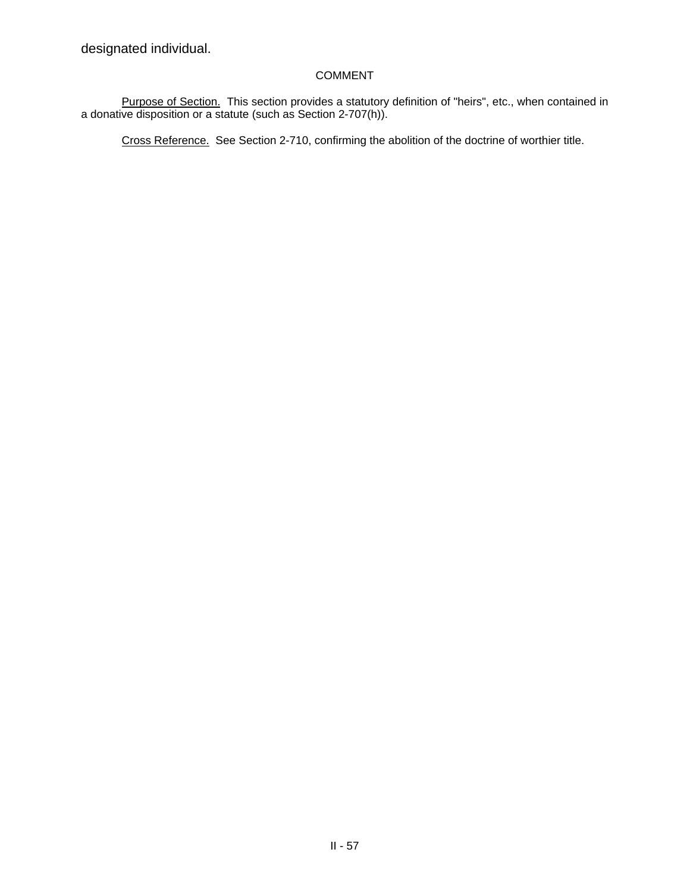### COMMENT

Purpose of Section. This section provides a statutory definition of "heirs", etc., when contained in a donative disposition or a statute (such as Section 2-707(h)).

Cross Reference. See Section 2-710, confirming the abolition of the doctrine of worthier title.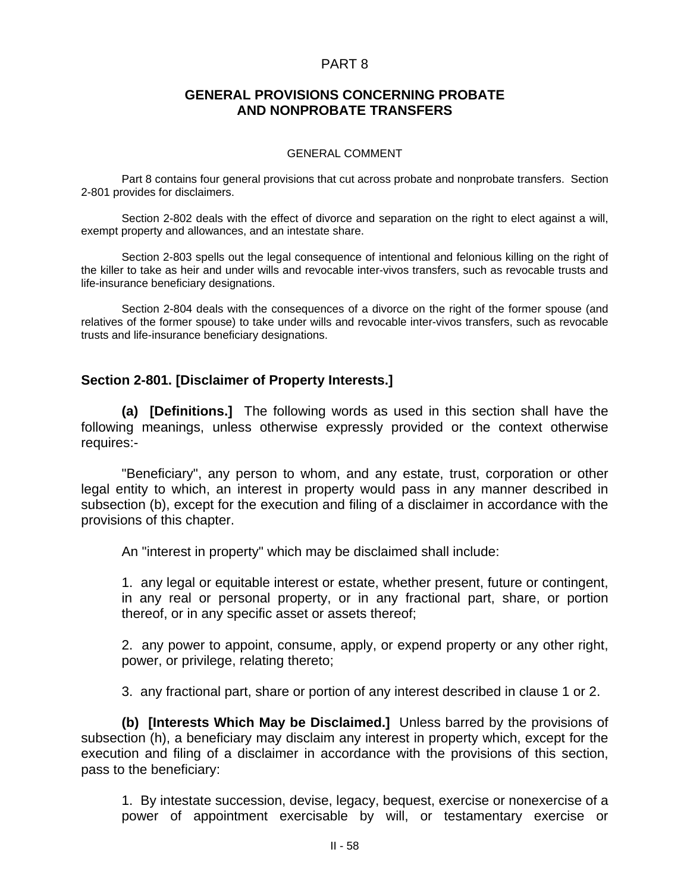### PART 8

### **GENERAL PROVISIONS CONCERNING PROBATE AND NONPROBATE TRANSFERS**

#### GENERAL COMMENT

 Part 8 contains four general provisions that cut across probate and nonprobate transfers. Section 2-801 provides for disclaimers.

 Section 2-802 deals with the effect of divorce and separation on the right to elect against a will, exempt property and allowances, and an intestate share.

 Section 2-803 spells out the legal consequence of intentional and felonious killing on the right of the killer to take as heir and under wills and revocable inter-vivos transfers, such as revocable trusts and life-insurance beneficiary designations.

 Section 2-804 deals with the consequences of a divorce on the right of the former spouse (and relatives of the former spouse) to take under wills and revocable inter-vivos transfers, such as revocable trusts and life-insurance beneficiary designations.

### **Section 2-801. [Disclaimer of Property Interests.]**

**(a) [Definitions.]** The following words as used in this section shall have the following meanings, unless otherwise expressly provided or the context otherwise requires:-

 "Beneficiary", any person to whom, and any estate, trust, corporation or other legal entity to which, an interest in property would pass in any manner described in subsection (b), except for the execution and filing of a disclaimer in accordance with the provisions of this chapter.

An "interest in property" which may be disclaimed shall include:

1. any legal or equitable interest or estate, whether present, future or contingent, in any real or personal property, or in any fractional part, share, or portion thereof, or in any specific asset or assets thereof;

2. any power to appoint, consume, apply, or expend property or any other right, power, or privilege, relating thereto;

3. any fractional part, share or portion of any interest described in clause 1 or 2.

**(b) [Interests Which May be Disclaimed.]** Unless barred by the provisions of subsection (h), a beneficiary may disclaim any interest in property which, except for the execution and filing of a disclaimer in accordance with the provisions of this section, pass to the beneficiary:

1. By intestate succession, devise, legacy, bequest, exercise or nonexercise of a power of appointment exercisable by will, or testamentary exercise or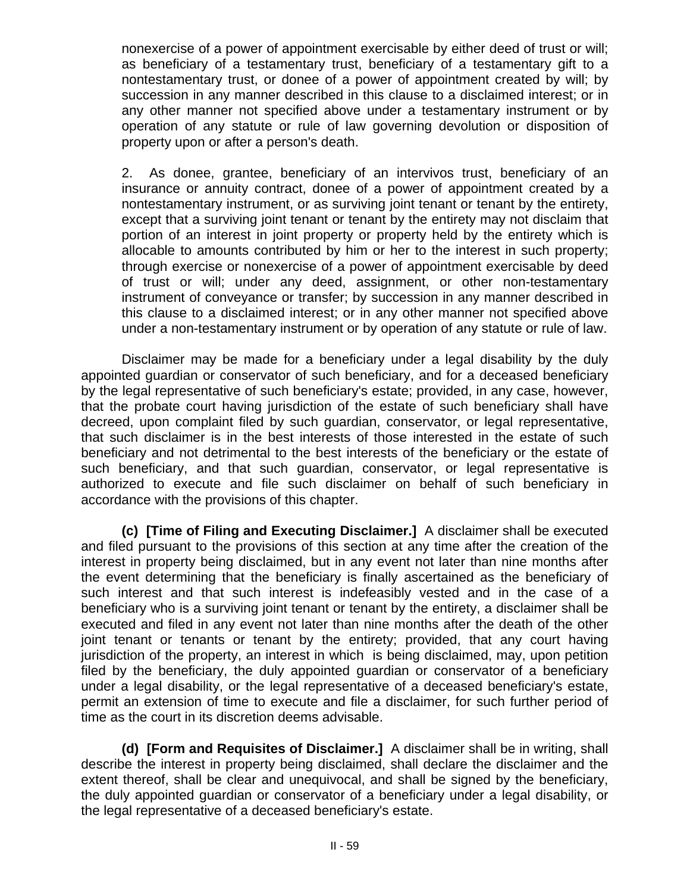nonexercise of a power of appointment exercisable by either deed of trust or will; as beneficiary of a testamentary trust, beneficiary of a testamentary gift to a nontestamentary trust, or donee of a power of appointment created by will; by succession in any manner described in this clause to a disclaimed interest; or in any other manner not specified above under a testamentary instrument or by operation of any statute or rule of law governing devolution or disposition of property upon or after a person's death.

2. As donee, grantee, beneficiary of an intervivos trust, beneficiary of an insurance or annuity contract, donee of a power of appointment created by a nontestamentary instrument, or as surviving joint tenant or tenant by the entirety, except that a surviving joint tenant or tenant by the entirety may not disclaim that portion of an interest in joint property or property held by the entirety which is allocable to amounts contributed by him or her to the interest in such property; through exercise or nonexercise of a power of appointment exercisable by deed of trust or will; under any deed, assignment, or other non-testamentary instrument of conveyance or transfer; by succession in any manner described in this clause to a disclaimed interest; or in any other manner not specified above under a non-testamentary instrument or by operation of any statute or rule of law.

 Disclaimer may be made for a beneficiary under a legal disability by the duly appointed guardian or conservator of such beneficiary, and for a deceased beneficiary by the legal representative of such beneficiary's estate; provided, in any case, however, that the probate court having jurisdiction of the estate of such beneficiary shall have decreed, upon complaint filed by such guardian, conservator, or legal representative, that such disclaimer is in the best interests of those interested in the estate of such beneficiary and not detrimental to the best interests of the beneficiary or the estate of such beneficiary, and that such guardian, conservator, or legal representative is authorized to execute and file such disclaimer on behalf of such beneficiary in accordance with the provisions of this chapter.

**(c) [Time of Filing and Executing Disclaimer.]** A disclaimer shall be executed and filed pursuant to the provisions of this section at any time after the creation of the interest in property being disclaimed, but in any event not later than nine months after the event determining that the beneficiary is finally ascertained as the beneficiary of such interest and that such interest is indefeasibly vested and in the case of a beneficiary who is a surviving joint tenant or tenant by the entirety, a disclaimer shall be executed and filed in any event not later than nine months after the death of the other joint tenant or tenants or tenant by the entirety; provided, that any court having jurisdiction of the property, an interest in which is being disclaimed, may, upon petition filed by the beneficiary, the duly appointed guardian or conservator of a beneficiary under a legal disability, or the legal representative of a deceased beneficiary's estate, permit an extension of time to execute and file a disclaimer, for such further period of time as the court in its discretion deems advisable.

**(d) [Form and Requisites of Disclaimer.]** A disclaimer shall be in writing, shall describe the interest in property being disclaimed, shall declare the disclaimer and the extent thereof, shall be clear and unequivocal, and shall be signed by the beneficiary, the duly appointed guardian or conservator of a beneficiary under a legal disability, or the legal representative of a deceased beneficiary's estate.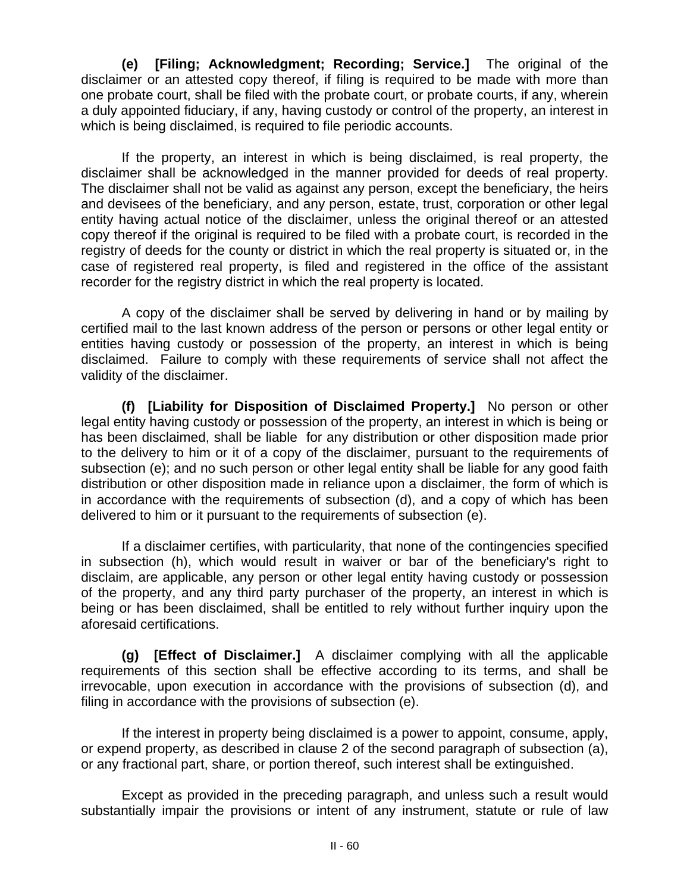**(e) [Filing; Acknowledgment; Recording; Service.]** The original of the disclaimer or an attested copy thereof, if filing is required to be made with more than one probate court, shall be filed with the probate court, or probate courts, if any, wherein a duly appointed fiduciary, if any, having custody or control of the property, an interest in which is being disclaimed, is required to file periodic accounts.

 If the property, an interest in which is being disclaimed, is real property, the disclaimer shall be acknowledged in the manner provided for deeds of real property. The disclaimer shall not be valid as against any person, except the beneficiary, the heirs and devisees of the beneficiary, and any person, estate, trust, corporation or other legal entity having actual notice of the disclaimer, unless the original thereof or an attested copy thereof if the original is required to be filed with a probate court, is recorded in the registry of deeds for the county or district in which the real property is situated or, in the case of registered real property, is filed and registered in the office of the assistant recorder for the registry district in which the real property is located.

 A copy of the disclaimer shall be served by delivering in hand or by mailing by certified mail to the last known address of the person or persons or other legal entity or entities having custody or possession of the property, an interest in which is being disclaimed. Failure to comply with these requirements of service shall not affect the validity of the disclaimer.

**(f) [Liability for Disposition of Disclaimed Property.]** No person or other legal entity having custody or possession of the property, an interest in which is being or has been disclaimed, shall be liable for any distribution or other disposition made prior to the delivery to him or it of a copy of the disclaimer, pursuant to the requirements of subsection (e); and no such person or other legal entity shall be liable for any good faith distribution or other disposition made in reliance upon a disclaimer, the form of which is in accordance with the requirements of subsection (d), and a copy of which has been delivered to him or it pursuant to the requirements of subsection (e).

 If a disclaimer certifies, with particularity, that none of the contingencies specified in subsection (h), which would result in waiver or bar of the beneficiary's right to disclaim, are applicable, any person or other legal entity having custody or possession of the property, and any third party purchaser of the property, an interest in which is being or has been disclaimed, shall be entitled to rely without further inquiry upon the aforesaid certifications.

**(g) [Effect of Disclaimer.]** A disclaimer complying with all the applicable requirements of this section shall be effective according to its terms, and shall be irrevocable, upon execution in accordance with the provisions of subsection (d), and filing in accordance with the provisions of subsection (e).

 If the interest in property being disclaimed is a power to appoint, consume, apply, or expend property, as described in clause 2 of the second paragraph of subsection (a), or any fractional part, share, or portion thereof, such interest shall be extinguished.

 Except as provided in the preceding paragraph, and unless such a result would substantially impair the provisions or intent of any instrument, statute or rule of law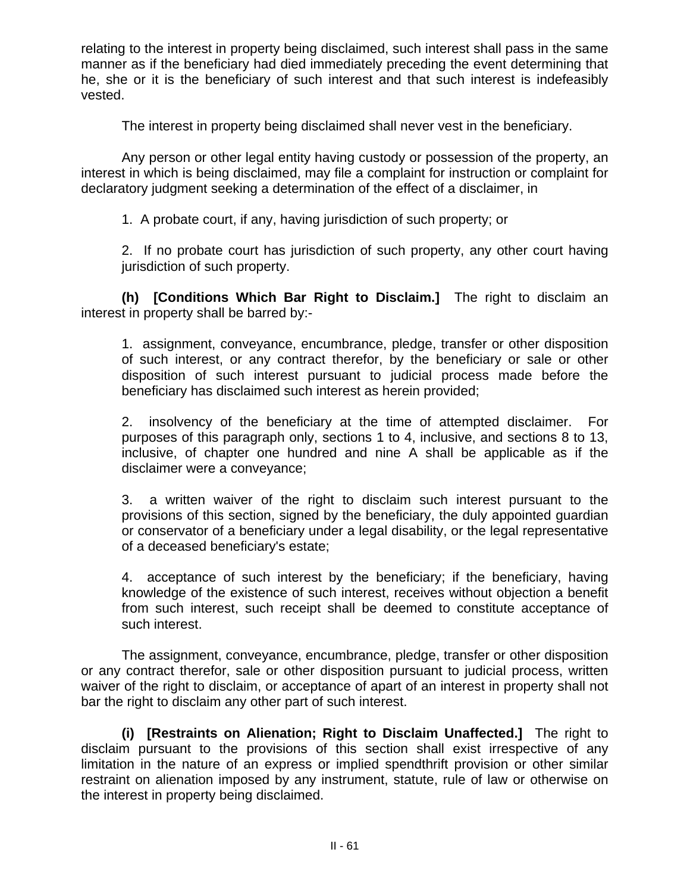relating to the interest in property being disclaimed, such interest shall pass in the same manner as if the beneficiary had died immediately preceding the event determining that he, she or it is the beneficiary of such interest and that such interest is indefeasibly vested.

The interest in property being disclaimed shall never vest in the beneficiary.

 Any person or other legal entity having custody or possession of the property, an interest in which is being disclaimed, may file a complaint for instruction or complaint for declaratory judgment seeking a determination of the effect of a disclaimer, in

1. A probate court, if any, having jurisdiction of such property; or

2. If no probate court has jurisdiction of such property, any other court having jurisdiction of such property.

**(h) [Conditions Which Bar Right to Disclaim.]** The right to disclaim an interest in property shall be barred by:-

1. assignment, conveyance, encumbrance, pledge, transfer or other disposition of such interest, or any contract therefor, by the beneficiary or sale or other disposition of such interest pursuant to judicial process made before the beneficiary has disclaimed such interest as herein provided;

2. insolvency of the beneficiary at the time of attempted disclaimer. For purposes of this paragraph only, sections 1 to 4, inclusive, and sections 8 to 13, inclusive, of chapter one hundred and nine A shall be applicable as if the disclaimer were a conveyance;

3. a written waiver of the right to disclaim such interest pursuant to the provisions of this section, signed by the beneficiary, the duly appointed guardian or conservator of a beneficiary under a legal disability, or the legal representative of a deceased beneficiary's estate;

4. acceptance of such interest by the beneficiary; if the beneficiary, having knowledge of the existence of such interest, receives without objection a benefit from such interest, such receipt shall be deemed to constitute acceptance of such interest.

 The assignment, conveyance, encumbrance, pledge, transfer or other disposition or any contract therefor, sale or other disposition pursuant to judicial process, written waiver of the right to disclaim, or acceptance of apart of an interest in property shall not bar the right to disclaim any other part of such interest.

**(i) [Restraints on Alienation; Right to Disclaim Unaffected.]** The right to disclaim pursuant to the provisions of this section shall exist irrespective of any limitation in the nature of an express or implied spendthrift provision or other similar restraint on alienation imposed by any instrument, statute, rule of law or otherwise on the interest in property being disclaimed.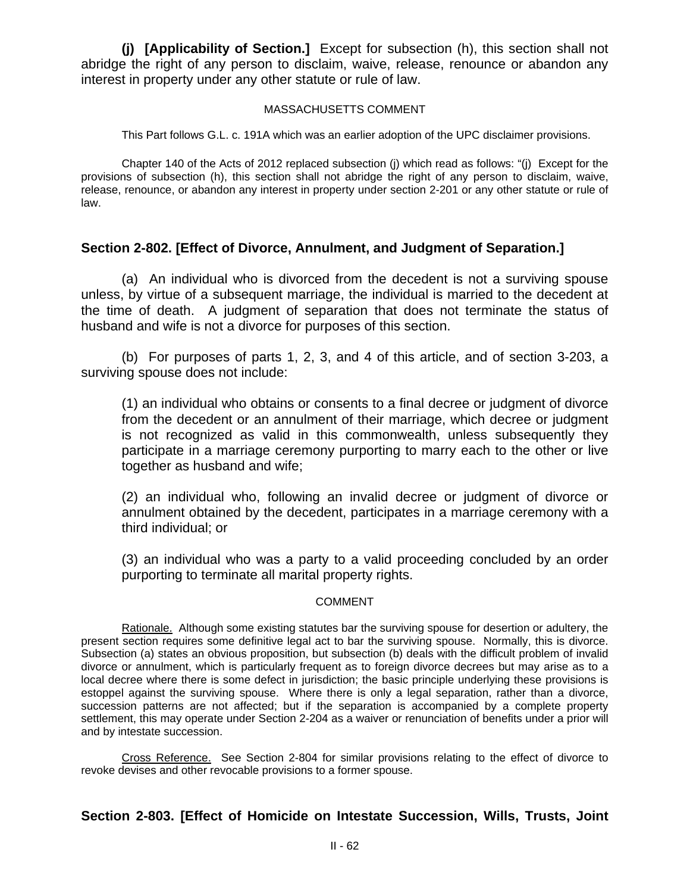**(j) [Applicability of Section.]** Except for subsection (h), this section shall not abridge the right of any person to disclaim, waive, release, renounce or abandon any interest in property under any other statute or rule of law.

### MASSACHUSETTS COMMENT

This Part follows G.L. c. 191A which was an earlier adoption of the UPC disclaimer provisions.

 Chapter 140 of the Acts of 2012 replaced subsection (j) which read as follows: "(j) Except for the provisions of subsection (h), this section shall not abridge the right of any person to disclaim, waive, release, renounce, or abandon any interest in property under section 2-201 or any other statute or rule of law.

### **Section 2-802. [Effect of Divorce, Annulment, and Judgment of Separation.]**

 (a) An individual who is divorced from the decedent is not a surviving spouse unless, by virtue of a subsequent marriage, the individual is married to the decedent at the time of death. A judgment of separation that does not terminate the status of husband and wife is not a divorce for purposes of this section.

 (b) For purposes of parts 1, 2, 3, and 4 of this article, and of section 3-203, a surviving spouse does not include:

(1) an individual who obtains or consents to a final decree or judgment of divorce from the decedent or an annulment of their marriage, which decree or judgment is not recognized as valid in this commonwealth, unless subsequently they participate in a marriage ceremony purporting to marry each to the other or live together as husband and wife;

(2) an individual who, following an invalid decree or judgment of divorce or annulment obtained by the decedent, participates in a marriage ceremony with a third individual; or

(3) an individual who was a party to a valid proceeding concluded by an order purporting to terminate all marital property rights.

### COMMENT

Rationale. Although some existing statutes bar the surviving spouse for desertion or adultery, the present section requires some definitive legal act to bar the surviving spouse. Normally, this is divorce. Subsection (a) states an obvious proposition, but subsection (b) deals with the difficult problem of invalid divorce or annulment, which is particularly frequent as to foreign divorce decrees but may arise as to a local decree where there is some defect in jurisdiction; the basic principle underlying these provisions is estoppel against the surviving spouse. Where there is only a legal separation, rather than a divorce, succession patterns are not affected; but if the separation is accompanied by a complete property settlement, this may operate under Section 2-204 as a waiver or renunciation of benefits under a prior will and by intestate succession.

Cross Reference. See Section 2-804 for similar provisions relating to the effect of divorce to revoke devises and other revocable provisions to a former spouse.

### **Section 2-803. [Effect of Homicide on Intestate Succession, Wills, Trusts, Joint**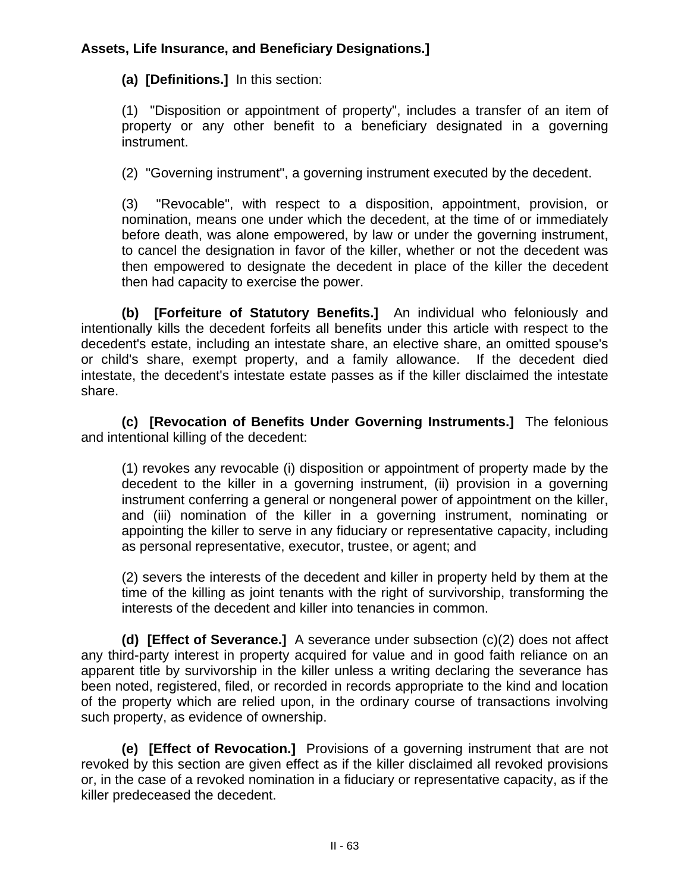**(a) [Definitions.]** In this section:

(1) "Disposition or appointment of property", includes a transfer of an item of property or any other benefit to a beneficiary designated in a governing instrument.

(2) "Governing instrument", a governing instrument executed by the decedent.

(3) "Revocable", with respect to a disposition, appointment, provision, or nomination, means one under which the decedent, at the time of or immediately before death, was alone empowered, by law or under the governing instrument, to cancel the designation in favor of the killer, whether or not the decedent was then empowered to designate the decedent in place of the killer the decedent then had capacity to exercise the power.

**(b) [Forfeiture of Statutory Benefits.]** An individual who feloniously and intentionally kills the decedent forfeits all benefits under this article with respect to the decedent's estate, including an intestate share, an elective share, an omitted spouse's or child's share, exempt property, and a family allowance. If the decedent died intestate, the decedent's intestate estate passes as if the killer disclaimed the intestate share.

**(c) [Revocation of Benefits Under Governing Instruments.]** The felonious and intentional killing of the decedent:

(1) revokes any revocable (i) disposition or appointment of property made by the decedent to the killer in a governing instrument, (ii) provision in a governing instrument conferring a general or nongeneral power of appointment on the killer, and (iii) nomination of the killer in a governing instrument, nominating or appointing the killer to serve in any fiduciary or representative capacity, including as personal representative, executor, trustee, or agent; and

(2) severs the interests of the decedent and killer in property held by them at the time of the killing as joint tenants with the right of survivorship, transforming the interests of the decedent and killer into tenancies in common.

**(d) [Effect of Severance.]** A severance under subsection (c)(2) does not affect any third-party interest in property acquired for value and in good faith reliance on an apparent title by survivorship in the killer unless a writing declaring the severance has been noted, registered, filed, or recorded in records appropriate to the kind and location of the property which are relied upon, in the ordinary course of transactions involving such property, as evidence of ownership.

**(e) [Effect of Revocation.]** Provisions of a governing instrument that are not revoked by this section are given effect as if the killer disclaimed all revoked provisions or, in the case of a revoked nomination in a fiduciary or representative capacity, as if the killer predeceased the decedent.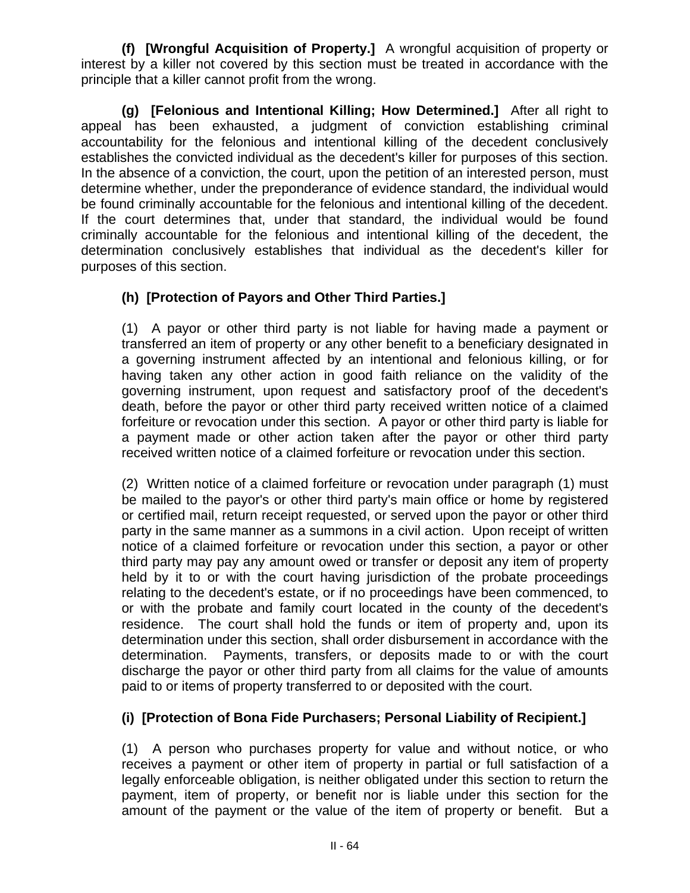**(f) [Wrongful Acquisition of Property.]** A wrongful acquisition of property or interest by a killer not covered by this section must be treated in accordance with the principle that a killer cannot profit from the wrong.

**(g) [Felonious and Intentional Killing; How Determined.]** After all right to appeal has been exhausted, a judgment of conviction establishing criminal accountability for the felonious and intentional killing of the decedent conclusively establishes the convicted individual as the decedent's killer for purposes of this section. In the absence of a conviction, the court, upon the petition of an interested person, must determine whether, under the preponderance of evidence standard, the individual would be found criminally accountable for the felonious and intentional killing of the decedent. If the court determines that, under that standard, the individual would be found criminally accountable for the felonious and intentional killing of the decedent, the determination conclusively establishes that individual as the decedent's killer for purposes of this section.

# **(h) [Protection of Payors and Other Third Parties.]**

(1) A payor or other third party is not liable for having made a payment or transferred an item of property or any other benefit to a beneficiary designated in a governing instrument affected by an intentional and felonious killing, or for having taken any other action in good faith reliance on the validity of the governing instrument, upon request and satisfactory proof of the decedent's death, before the payor or other third party received written notice of a claimed forfeiture or revocation under this section. A payor or other third party is liable for a payment made or other action taken after the payor or other third party received written notice of a claimed forfeiture or revocation under this section.

(2) Written notice of a claimed forfeiture or revocation under paragraph (1) must be mailed to the payor's or other third party's main office or home by registered or certified mail, return receipt requested, or served upon the payor or other third party in the same manner as a summons in a civil action. Upon receipt of written notice of a claimed forfeiture or revocation under this section, a payor or other third party may pay any amount owed or transfer or deposit any item of property held by it to or with the court having jurisdiction of the probate proceedings relating to the decedent's estate, or if no proceedings have been commenced, to or with the probate and family court located in the county of the decedent's residence. The court shall hold the funds or item of property and, upon its determination under this section, shall order disbursement in accordance with the determination. Payments, transfers, or deposits made to or with the court discharge the payor or other third party from all claims for the value of amounts paid to or items of property transferred to or deposited with the court.

# **(i) [Protection of Bona Fide Purchasers; Personal Liability of Recipient.]**

(1) A person who purchases property for value and without notice, or who receives a payment or other item of property in partial or full satisfaction of a legally enforceable obligation, is neither obligated under this section to return the payment, item of property, or benefit nor is liable under this section for the amount of the payment or the value of the item of property or benefit. But a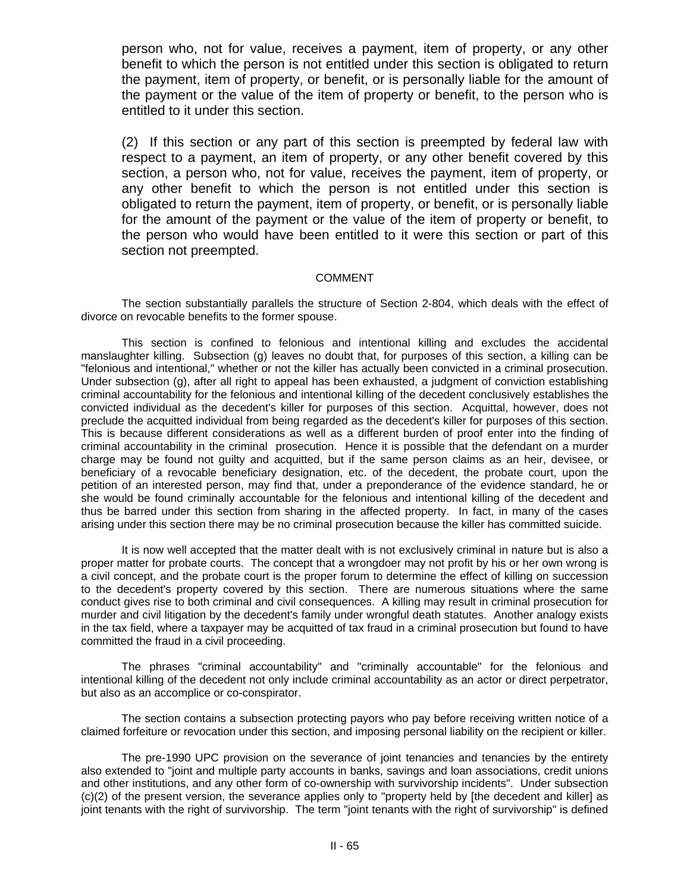person who, not for value, receives a payment, item of property, or any other benefit to which the person is not entitled under this section is obligated to return the payment, item of property, or benefit, or is personally liable for the amount of the payment or the value of the item of property or benefit, to the person who is entitled to it under this section.

(2) If this section or any part of this section is preempted by federal law with respect to a payment, an item of property, or any other benefit covered by this section, a person who, not for value, receives the payment, item of property, or any other benefit to which the person is not entitled under this section is obligated to return the payment, item of property, or benefit, or is personally liable for the amount of the payment or the value of the item of property or benefit, to the person who would have been entitled to it were this section or part of this section not preempted.

#### COMMENT

 The section substantially parallels the structure of Section 2-804, which deals with the effect of divorce on revocable benefits to the former spouse.

 This section is confined to felonious and intentional killing and excludes the accidental manslaughter killing. Subsection (g) leaves no doubt that, for purposes of this section, a killing can be "felonious and intentional," whether or not the killer has actually been convicted in a criminal prosecution. Under subsection (g), after all right to appeal has been exhausted, a judgment of conviction establishing criminal accountability for the felonious and intentional killing of the decedent conclusively establishes the convicted individual as the decedent's killer for purposes of this section. Acquittal, however, does not preclude the acquitted individual from being regarded as the decedent's killer for purposes of this section. This is because different considerations as well as a different burden of proof enter into the finding of criminal accountability in the criminal prosecution. Hence it is possible that the defendant on a murder charge may be found not guilty and acquitted, but if the same person claims as an heir, devisee, or beneficiary of a revocable beneficiary designation, etc. of the decedent, the probate court, upon the petition of an interested person, may find that, under a preponderance of the evidence standard, he or she would be found criminally accountable for the felonious and intentional killing of the decedent and thus be barred under this section from sharing in the affected property. In fact, in many of the cases arising under this section there may be no criminal prosecution because the killer has committed suicide.

 It is now well accepted that the matter dealt with is not exclusively criminal in nature but is also a proper matter for probate courts. The concept that a wrongdoer may not profit by his or her own wrong is a civil concept, and the probate court is the proper forum to determine the effect of killing on succession to the decedent's property covered by this section. There are numerous situations where the same conduct gives rise to both criminal and civil consequences. A killing may result in criminal prosecution for murder and civil litigation by the decedent's family under wrongful death statutes. Another analogy exists in the tax field, where a taxpayer may be acquitted of tax fraud in a criminal prosecution but found to have committed the fraud in a civil proceeding.

 The phrases "criminal accountability" and "criminally accountable" for the felonious and intentional killing of the decedent not only include criminal accountability as an actor or direct perpetrator, but also as an accomplice or co-conspirator.

 The section contains a subsection protecting payors who pay before receiving written notice of a claimed forfeiture or revocation under this section, and imposing personal liability on the recipient or killer.

 The pre-1990 UPC provision on the severance of joint tenancies and tenancies by the entirety also extended to "joint and multiple party accounts in banks, savings and loan associations, credit unions and other institutions, and any other form of co-ownership with survivorship incidents". Under subsection (c)(2) of the present version, the severance applies only to "property held by [the decedent and killer] as joint tenants with the right of survivorship. The term "joint tenants with the right of survivorship" is defined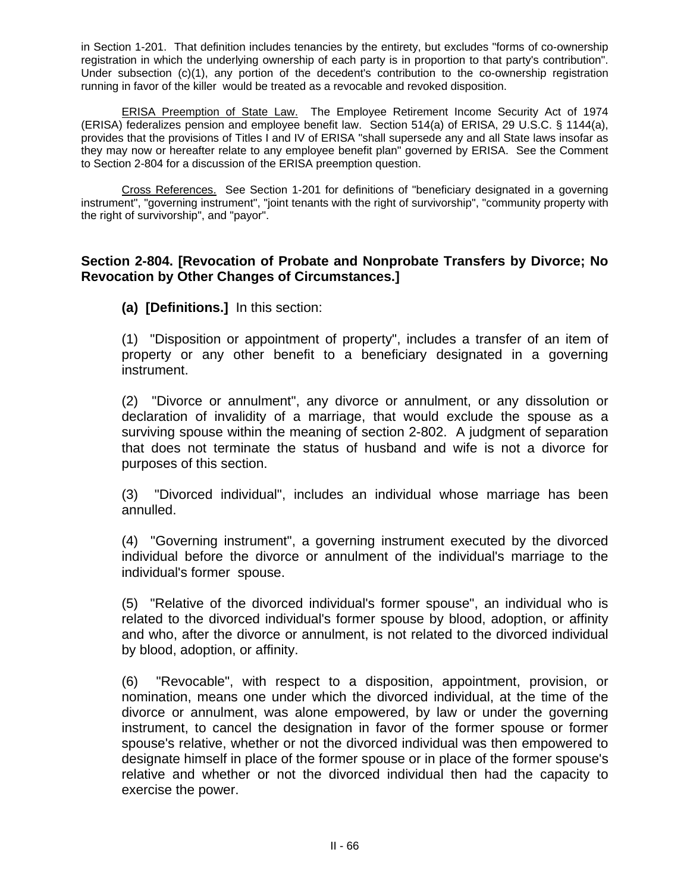in Section 1-201. That definition includes tenancies by the entirety, but excludes "forms of co-ownership registration in which the underlying ownership of each party is in proportion to that party's contribution". Under subsection (c)(1), any portion of the decedent's contribution to the co-ownership registration running in favor of the killer would be treated as a revocable and revoked disposition.

ERISA Preemption of State Law. The Employee Retirement Income Security Act of 1974 (ERISA) federalizes pension and employee benefit law. Section 514(a) of ERISA, 29 U.S.C. § 1144(a), provides that the provisions of Titles I and IV of ERISA "shall supersede any and all State laws insofar as they may now or hereafter relate to any employee benefit plan" governed by ERISA. See the Comment to Section 2-804 for a discussion of the ERISA preemption question.

Cross References. See Section 1-201 for definitions of "beneficiary designated in a governing instrument", "governing instrument", "joint tenants with the right of survivorship", "community property with the right of survivorship", and "payor".

# **Section 2-804. [Revocation of Probate and Nonprobate Transfers by Divorce; No Revocation by Other Changes of Circumstances.]**

**(a) [Definitions.]** In this section:

(1) "Disposition or appointment of property", includes a transfer of an item of property or any other benefit to a beneficiary designated in a governing instrument.

(2) "Divorce or annulment", any divorce or annulment, or any dissolution or declaration of invalidity of a marriage, that would exclude the spouse as a surviving spouse within the meaning of section 2-802. A judgment of separation that does not terminate the status of husband and wife is not a divorce for purposes of this section.

(3) "Divorced individual", includes an individual whose marriage has been annulled.

(4) "Governing instrument", a governing instrument executed by the divorced individual before the divorce or annulment of the individual's marriage to the individual's former spouse.

(5) "Relative of the divorced individual's former spouse", an individual who is related to the divorced individual's former spouse by blood, adoption, or affinity and who, after the divorce or annulment, is not related to the divorced individual by blood, adoption, or affinity.

(6) "Revocable", with respect to a disposition, appointment, provision, or nomination, means one under which the divorced individual, at the time of the divorce or annulment, was alone empowered, by law or under the governing instrument, to cancel the designation in favor of the former spouse or former spouse's relative, whether or not the divorced individual was then empowered to designate himself in place of the former spouse or in place of the former spouse's relative and whether or not the divorced individual then had the capacity to exercise the power.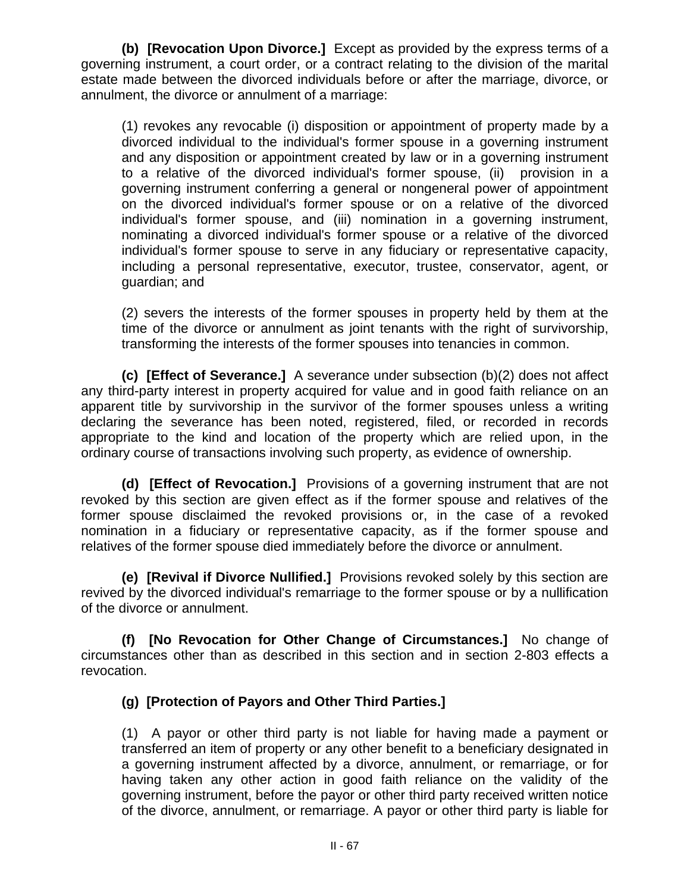**(b) [Revocation Upon Divorce.]** Except as provided by the express terms of a governing instrument, a court order, or a contract relating to the division of the marital estate made between the divorced individuals before or after the marriage, divorce, or annulment, the divorce or annulment of a marriage:

(1) revokes any revocable (i) disposition or appointment of property made by a divorced individual to the individual's former spouse in a governing instrument and any disposition or appointment created by law or in a governing instrument to a relative of the divorced individual's former spouse, (ii) provision in a governing instrument conferring a general or nongeneral power of appointment on the divorced individual's former spouse or on a relative of the divorced individual's former spouse, and (iii) nomination in a governing instrument, nominating a divorced individual's former spouse or a relative of the divorced individual's former spouse to serve in any fiduciary or representative capacity, including a personal representative, executor, trustee, conservator, agent, or guardian; and

(2) severs the interests of the former spouses in property held by them at the time of the divorce or annulment as joint tenants with the right of survivorship, transforming the interests of the former spouses into tenancies in common.

**(c) [Effect of Severance.]** A severance under subsection (b)(2) does not affect any third-party interest in property acquired for value and in good faith reliance on an apparent title by survivorship in the survivor of the former spouses unless a writing declaring the severance has been noted, registered, filed, or recorded in records appropriate to the kind and location of the property which are relied upon, in the ordinary course of transactions involving such property, as evidence of ownership.

**(d) [Effect of Revocation.]** Provisions of a governing instrument that are not revoked by this section are given effect as if the former spouse and relatives of the former spouse disclaimed the revoked provisions or, in the case of a revoked nomination in a fiduciary or representative capacity, as if the former spouse and relatives of the former spouse died immediately before the divorce or annulment.

**(e) [Revival if Divorce Nullified.]** Provisions revoked solely by this section are revived by the divorced individual's remarriage to the former spouse or by a nullification of the divorce or annulment.

**(f) [No Revocation for Other Change of Circumstances.]** No change of circumstances other than as described in this section and in section 2-803 effects a revocation.

# **(g) [Protection of Payors and Other Third Parties.]**

(1) A payor or other third party is not liable for having made a payment or transferred an item of property or any other benefit to a beneficiary designated in a governing instrument affected by a divorce, annulment, or remarriage, or for having taken any other action in good faith reliance on the validity of the governing instrument, before the payor or other third party received written notice of the divorce, annulment, or remarriage. A payor or other third party is liable for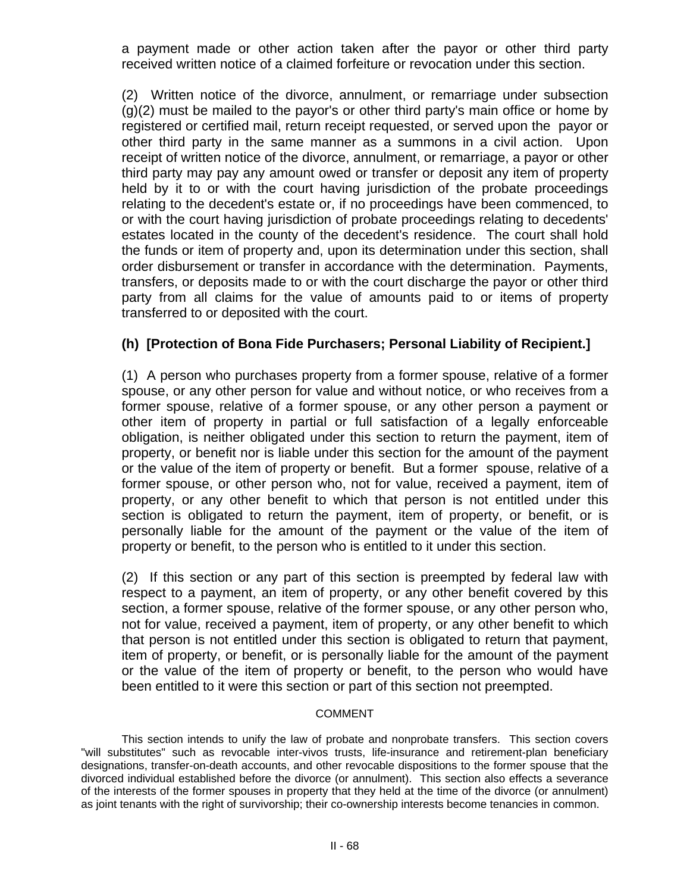a payment made or other action taken after the payor or other third party received written notice of a claimed forfeiture or revocation under this section.

(2) Written notice of the divorce, annulment, or remarriage under subsection (g)(2) must be mailed to the payor's or other third party's main office or home by registered or certified mail, return receipt requested, or served upon the payor or other third party in the same manner as a summons in a civil action. Upon receipt of written notice of the divorce, annulment, or remarriage, a payor or other third party may pay any amount owed or transfer or deposit any item of property held by it to or with the court having jurisdiction of the probate proceedings relating to the decedent's estate or, if no proceedings have been commenced, to or with the court having jurisdiction of probate proceedings relating to decedents' estates located in the county of the decedent's residence. The court shall hold the funds or item of property and, upon its determination under this section, shall order disbursement or transfer in accordance with the determination. Payments, transfers, or deposits made to or with the court discharge the payor or other third party from all claims for the value of amounts paid to or items of property transferred to or deposited with the court.

# **(h) [Protection of Bona Fide Purchasers; Personal Liability of Recipient.]**

(1) A person who purchases property from a former spouse, relative of a former spouse, or any other person for value and without notice, or who receives from a former spouse, relative of a former spouse, or any other person a payment or other item of property in partial or full satisfaction of a legally enforceable obligation, is neither obligated under this section to return the payment, item of property, or benefit nor is liable under this section for the amount of the payment or the value of the item of property or benefit. But a former spouse, relative of a former spouse, or other person who, not for value, received a payment, item of property, or any other benefit to which that person is not entitled under this section is obligated to return the payment, item of property, or benefit, or is personally liable for the amount of the payment or the value of the item of property or benefit, to the person who is entitled to it under this section.

(2) If this section or any part of this section is preempted by federal law with respect to a payment, an item of property, or any other benefit covered by this section, a former spouse, relative of the former spouse, or any other person who, not for value, received a payment, item of property, or any other benefit to which that person is not entitled under this section is obligated to return that payment, item of property, or benefit, or is personally liable for the amount of the payment or the value of the item of property or benefit, to the person who would have been entitled to it were this section or part of this section not preempted.

### COMMENT

 This section intends to unify the law of probate and nonprobate transfers. This section covers "will substitutes" such as revocable inter-vivos trusts, life-insurance and retirement-plan beneficiary designations, transfer-on-death accounts, and other revocable dispositions to the former spouse that the divorced individual established before the divorce (or annulment). This section also effects a severance of the interests of the former spouses in property that they held at the time of the divorce (or annulment) as joint tenants with the right of survivorship; their co-ownership interests become tenancies in common.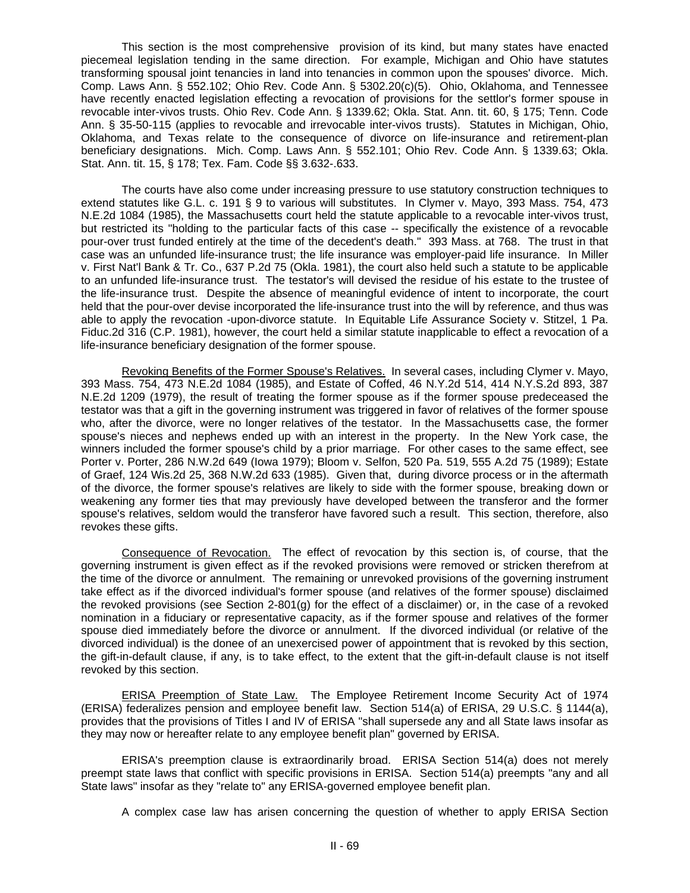This section is the most comprehensive provision of its kind, but many states have enacted piecemeal legislation tending in the same direction. For example, Michigan and Ohio have statutes transforming spousal joint tenancies in land into tenancies in common upon the spouses' divorce. Mich. Comp. Laws Ann. § 552.102; Ohio Rev. Code Ann. § 5302.20(c)(5). Ohio, Oklahoma, and Tennessee have recently enacted legislation effecting a revocation of provisions for the settlor's former spouse in revocable inter-vivos trusts. Ohio Rev. Code Ann. § 1339.62; Okla. Stat. Ann. tit. 60, § 175; Tenn. Code Ann. § 35-50-115 (applies to revocable and irrevocable inter-vivos trusts). Statutes in Michigan, Ohio, Oklahoma, and Texas relate to the consequence of divorce on life-insurance and retirement-plan beneficiary designations. Mich. Comp. Laws Ann. § 552.101; Ohio Rev. Code Ann. § 1339.63; Okla. Stat. Ann. tit. 15, § 178; Tex. Fam. Code §§ 3.632-.633.

 The courts have also come under increasing pressure to use statutory construction techniques to extend statutes like G.L. c. 191 § 9 to various will substitutes. In Clymer v. Mayo, 393 Mass. 754, 473 N.E.2d 1084 (1985), the Massachusetts court held the statute applicable to a revocable inter-vivos trust, but restricted its "holding to the particular facts of this case -- specifically the existence of a revocable pour-over trust funded entirely at the time of the decedent's death." 393 Mass. at 768. The trust in that case was an unfunded life-insurance trust; the life insurance was employer-paid life insurance. In Miller v. First Nat'l Bank & Tr. Co., 637 P.2d 75 (Okla. 1981), the court also held such a statute to be applicable to an unfunded life-insurance trust. The testator's will devised the residue of his estate to the trustee of the life-insurance trust. Despite the absence of meaningful evidence of intent to incorporate, the court held that the pour-over devise incorporated the life-insurance trust into the will by reference, and thus was able to apply the revocation -upon-divorce statute. In Equitable Life Assurance Society v. Stitzel, 1 Pa. Fiduc.2d 316 (C.P. 1981), however, the court held a similar statute inapplicable to effect a revocation of a life-insurance beneficiary designation of the former spouse.

Revoking Benefits of the Former Spouse's Relatives. In several cases, including Clymer v. Mayo, 393 Mass. 754, 473 N.E.2d 1084 (1985), and Estate of Coffed, 46 N.Y.2d 514, 414 N.Y.S.2d 893, 387 N.E.2d 1209 (1979), the result of treating the former spouse as if the former spouse predeceased the testator was that a gift in the governing instrument was triggered in favor of relatives of the former spouse who, after the divorce, were no longer relatives of the testator. In the Massachusetts case, the former spouse's nieces and nephews ended up with an interest in the property. In the New York case, the winners included the former spouse's child by a prior marriage. For other cases to the same effect, see Porter v. Porter, 286 N.W.2d 649 (Iowa 1979); Bloom v. Selfon, 520 Pa. 519, 555 A.2d 75 (1989); Estate of Graef, 124 Wis.2d 25, 368 N.W.2d 633 (1985). Given that, during divorce process or in the aftermath of the divorce, the former spouse's relatives are likely to side with the former spouse, breaking down or weakening any former ties that may previously have developed between the transferor and the former spouse's relatives, seldom would the transferor have favored such a result. This section, therefore, also revokes these gifts.

Consequence of Revocation. The effect of revocation by this section is, of course, that the governing instrument is given effect as if the revoked provisions were removed or stricken therefrom at the time of the divorce or annulment. The remaining or unrevoked provisions of the governing instrument take effect as if the divorced individual's former spouse (and relatives of the former spouse) disclaimed the revoked provisions (see Section 2-801(g) for the effect of a disclaimer) or, in the case of a revoked nomination in a fiduciary or representative capacity, as if the former spouse and relatives of the former spouse died immediately before the divorce or annulment. If the divorced individual (or relative of the divorced individual) is the donee of an unexercised power of appointment that is revoked by this section, the gift-in-default clause, if any, is to take effect, to the extent that the gift-in-default clause is not itself revoked by this section.

ERISA Preemption of State Law. The Employee Retirement Income Security Act of 1974 (ERISA) federalizes pension and employee benefit law. Section 514(a) of ERISA, 29 U.S.C. § 1144(a), provides that the provisions of Titles I and IV of ERISA "shall supersede any and all State laws insofar as they may now or hereafter relate to any employee benefit plan" governed by ERISA.

 ERISA's preemption clause is extraordinarily broad. ERISA Section 514(a) does not merely preempt state laws that conflict with specific provisions in ERISA. Section 514(a) preempts "any and all State laws" insofar as they "relate to" any ERISA-governed employee benefit plan.

A complex case law has arisen concerning the question of whether to apply ERISA Section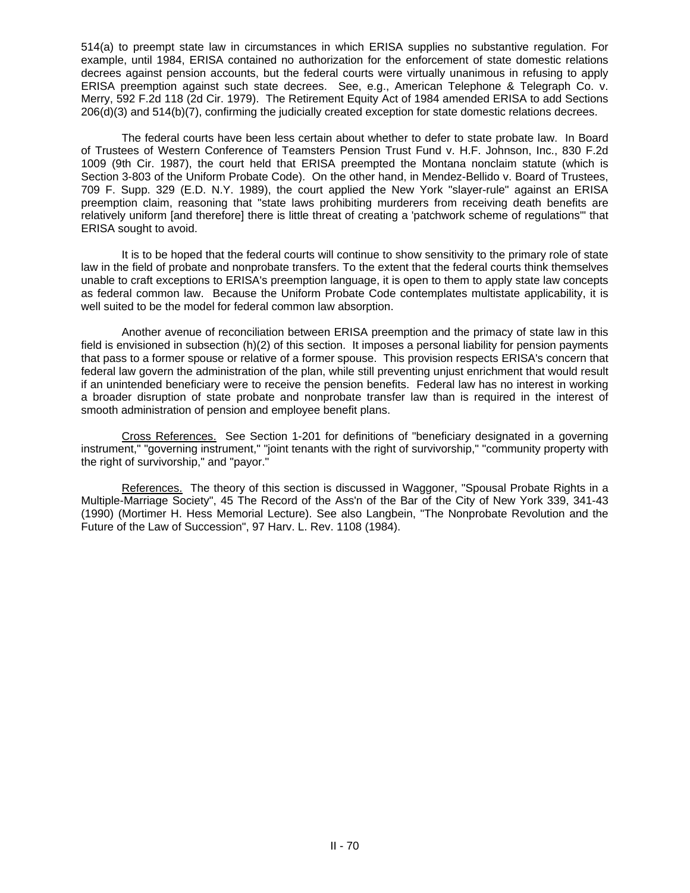514(a) to preempt state law in circumstances in which ERISA supplies no substantive regulation. For example, until 1984, ERISA contained no authorization for the enforcement of state domestic relations decrees against pension accounts, but the federal courts were virtually unanimous in refusing to apply ERISA preemption against such state decrees. See, e.g., American Telephone & Telegraph Co. v. Merry, 592 F.2d 118 (2d Cir. 1979). The Retirement Equity Act of 1984 amended ERISA to add Sections 206(d)(3) and 514(b)(7), confirming the judicially created exception for state domestic relations decrees.

 The federal courts have been less certain about whether to defer to state probate law. In Board of Trustees of Western Conference of Teamsters Pension Trust Fund v. H.F. Johnson, Inc., 830 F.2d 1009 (9th Cir. 1987), the court held that ERISA preempted the Montana nonclaim statute (which is Section 3-803 of the Uniform Probate Code). On the other hand, in Mendez-Bellido v. Board of Trustees, 709 F. Supp. 329 (E.D. N.Y. 1989), the court applied the New York "slayer-rule" against an ERISA preemption claim, reasoning that "state laws prohibiting murderers from receiving death benefits are relatively uniform [and therefore] there is little threat of creating a 'patchwork scheme of regulations'" that ERISA sought to avoid.

 It is to be hoped that the federal courts will continue to show sensitivity to the primary role of state law in the field of probate and nonprobate transfers. To the extent that the federal courts think themselves unable to craft exceptions to ERISA's preemption language, it is open to them to apply state law concepts as federal common law. Because the Uniform Probate Code contemplates multistate applicability, it is well suited to be the model for federal common law absorption.

 Another avenue of reconciliation between ERISA preemption and the primacy of state law in this field is envisioned in subsection (h)(2) of this section. It imposes a personal liability for pension payments that pass to a former spouse or relative of a former spouse. This provision respects ERISA's concern that federal law govern the administration of the plan, while still preventing unjust enrichment that would result if an unintended beneficiary were to receive the pension benefits. Federal law has no interest in working a broader disruption of state probate and nonprobate transfer law than is required in the interest of smooth administration of pension and employee benefit plans.

Cross References. See Section 1-201 for definitions of "beneficiary designated in a governing instrument," "governing instrument," "joint tenants with the right of survivorship," "community property with the right of survivorship," and "payor."

References. The theory of this section is discussed in Waggoner, "Spousal Probate Rights in a Multiple-Marriage Society", 45 The Record of the Ass'n of the Bar of the City of New York 339, 341-43 (1990) (Mortimer H. Hess Memorial Lecture). See also Langbein, "The Nonprobate Revolution and the Future of the Law of Succession", 97 Harv. L. Rev. 1108 (1984).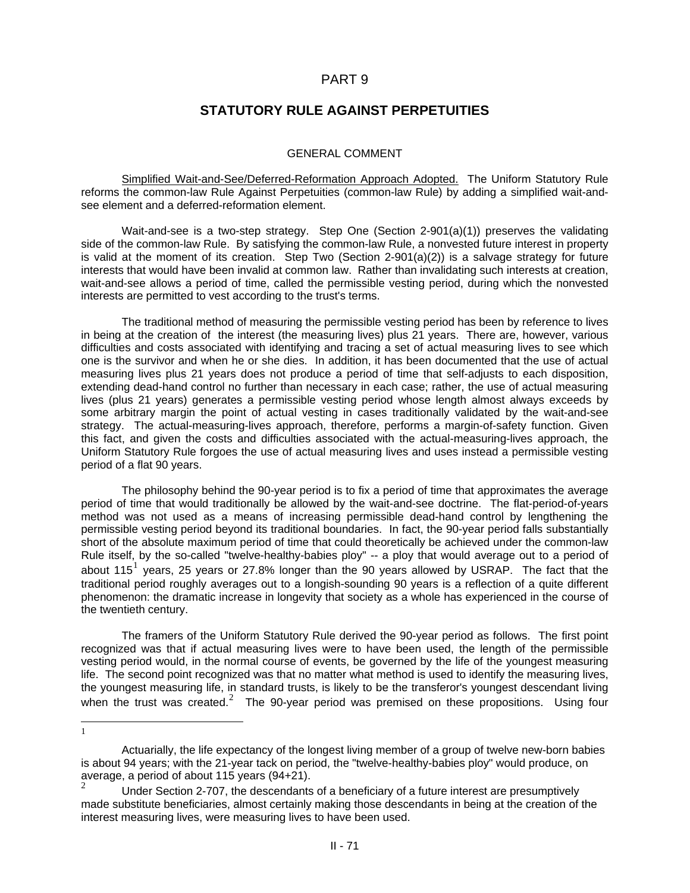### PART 9

### **STATUTORY RULE AGAINST PERPETUITIES**

#### GENERAL COMMENT

Simplified Wait-and-See/Deferred-Reformation Approach Adopted. The Uniform Statutory Rule reforms the common-law Rule Against Perpetuities (common-law Rule) by adding a simplified wait-andsee element and a deferred-reformation element.

Wait-and-see is a two-step strategy. Step One (Section 2-901(a)(1)) preserves the validating side of the common-law Rule. By satisfying the common-law Rule, a nonvested future interest in property is valid at the moment of its creation. Step Two (Section 2-901(a)(2)) is a salvage strategy for future interests that would have been invalid at common law. Rather than invalidating such interests at creation, wait-and-see allows a period of time, called the permissible vesting period, during which the nonvested interests are permitted to vest according to the trust's terms.

 The traditional method of measuring the permissible vesting period has been by reference to lives in being at the creation of the interest (the measuring lives) plus 21 years. There are, however, various difficulties and costs associated with identifying and tracing a set of actual measuring lives to see which one is the survivor and when he or she dies. In addition, it has been documented that the use of actual measuring lives plus 21 years does not produce a period of time that self-adjusts to each disposition, extending dead-hand control no further than necessary in each case; rather, the use of actual measuring lives (plus 21 years) generates a permissible vesting period whose length almost always exceeds by some arbitrary margin the point of actual vesting in cases traditionally validated by the wait-and-see strategy. The actual-measuring-lives approach, therefore, performs a margin-of-safety function. Given this fact, and given the costs and difficulties associated with the actual-measuring-lives approach, the Uniform Statutory Rule forgoes the use of actual measuring lives and uses instead a permissible vesting period of a flat 90 years.

 The philosophy behind the 90-year period is to fix a period of time that approximates the average period of time that would traditionally be allowed by the wait-and-see doctrine. The flat-period-of-years method was not used as a means of increasing permissible dead-hand control by lengthening the permissible vesting period beyond its traditional boundaries. In fact, the 90-year period falls substantially short of the absolute maximum period of time that could theoretically be achieved under the common-law Rule itself, by the so-called "twelve-healthy-babies ploy" -- a ploy that would average out to a period of about [1](#page-70-0)15<sup>1</sup> years, 25 years or 27.8% longer than the 90 years allowed by USRAP. The fact that the traditional period roughly averages out to a longish-sounding 90 years is a reflection of a quite different phenomenon: the dramatic increase in longevity that society as a whole has experienced in the course of the twentieth century.

 The framers of the Uniform Statutory Rule derived the 90-year period as follows. The first point recognized was that if actual measuring lives were to have been used, the length of the permissible vesting period would, in the normal course of events, be governed by the life of the youngest measuring life. The second point recognized was that no matter what method is used to identify the measuring lives, the youngest measuring life, in standard trusts, is likely to be the transferor's youngest descendant living when the trust was created.<sup>[2](#page-70-1)</sup> The 90-year period was premised on these propositions. Using four

<span id="page-70-0"></span> $\frac{1}{1}$ 

Actuarially, the life expectancy of the longest living member of a group of twelve new-born babies is about 94 years; with the 21-year tack on period, the "twelve-healthy-babies ploy" would produce, on average, a period of about 115 years (94+21).

<span id="page-70-1"></span><sup>2</sup> Under Section 2-707, the descendants of a beneficiary of a future interest are presumptively made substitute beneficiaries, almost certainly making those descendants in being at the creation of the interest measuring lives, were measuring lives to have been used.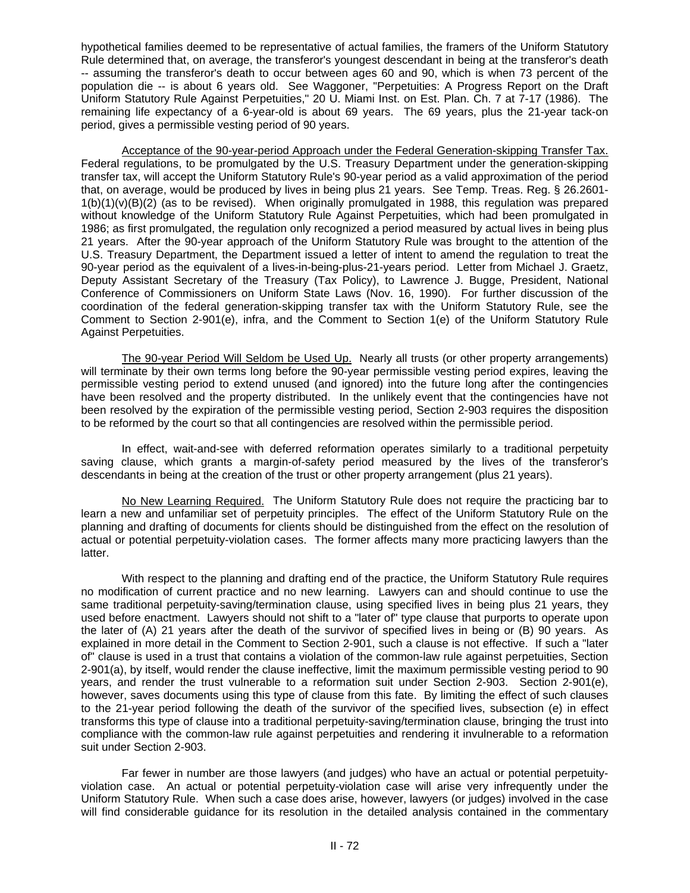hypothetical families deemed to be representative of actual families, the framers of the Uniform Statutory Rule determined that, on average, the transferor's youngest descendant in being at the transferor's death -- assuming the transferor's death to occur between ages 60 and 90, which is when 73 percent of the population die -- is about 6 years old. See Waggoner, "Perpetuities: A Progress Report on the Draft Uniform Statutory Rule Against Perpetuities," 20 U. Miami Inst. on Est. Plan. Ch. 7 at 7-17 (1986). The remaining life expectancy of a 6-year-old is about 69 years. The 69 years, plus the 21-year tack-on period, gives a permissible vesting period of 90 years.

Acceptance of the 90-year-period Approach under the Federal Generation-skipping Transfer Tax. Federal regulations, to be promulgated by the U.S. Treasury Department under the generation-skipping transfer tax, will accept the Uniform Statutory Rule's 90-year period as a valid approximation of the period that, on average, would be produced by lives in being plus 21 years. See Temp. Treas. Reg. § 26.2601- 1(b)(1)(v)(B)(2) (as to be revised). When originally promulgated in 1988, this regulation was prepared without knowledge of the Uniform Statutory Rule Against Perpetuities, which had been promulgated in 1986; as first promulgated, the regulation only recognized a period measured by actual lives in being plus 21 years. After the 90-year approach of the Uniform Statutory Rule was brought to the attention of the U.S. Treasury Department, the Department issued a letter of intent to amend the regulation to treat the 90-year period as the equivalent of a lives-in-being-plus-21-years period. Letter from Michael J. Graetz, Deputy Assistant Secretary of the Treasury (Tax Policy), to Lawrence J. Bugge, President, National Conference of Commissioners on Uniform State Laws (Nov. 16, 1990). For further discussion of the coordination of the federal generation-skipping transfer tax with the Uniform Statutory Rule, see the Comment to Section 2-901(e), infra, and the Comment to Section 1(e) of the Uniform Statutory Rule Against Perpetuities.

The 90-year Period Will Seldom be Used Up. Nearly all trusts (or other property arrangements) will terminate by their own terms long before the 90-year permissible vesting period expires, leaving the permissible vesting period to extend unused (and ignored) into the future long after the contingencies have been resolved and the property distributed. In the unlikely event that the contingencies have not been resolved by the expiration of the permissible vesting period, Section 2-903 requires the disposition to be reformed by the court so that all contingencies are resolved within the permissible period.

 In effect, wait-and-see with deferred reformation operates similarly to a traditional perpetuity saving clause, which grants a margin-of-safety period measured by the lives of the transferor's descendants in being at the creation of the trust or other property arrangement (plus 21 years).

No New Learning Required. The Uniform Statutory Rule does not require the practicing bar to learn a new and unfamiliar set of perpetuity principles. The effect of the Uniform Statutory Rule on the planning and drafting of documents for clients should be distinguished from the effect on the resolution of actual or potential perpetuity-violation cases. The former affects many more practicing lawyers than the latter.

 With respect to the planning and drafting end of the practice, the Uniform Statutory Rule requires no modification of current practice and no new learning. Lawyers can and should continue to use the same traditional perpetuity-saving/termination clause, using specified lives in being plus 21 years, they used before enactment. Lawyers should not shift to a "later of" type clause that purports to operate upon the later of (A) 21 years after the death of the survivor of specified lives in being or (B) 90 years. As explained in more detail in the Comment to Section 2-901, such a clause is not effective. If such a "later of" clause is used in a trust that contains a violation of the common-law rule against perpetuities, Section 2-901(a), by itself, would render the clause ineffective, limit the maximum permissible vesting period to 90 years, and render the trust vulnerable to a reformation suit under Section 2-903. Section 2-901(e), however, saves documents using this type of clause from this fate. By limiting the effect of such clauses to the 21-year period following the death of the survivor of the specified lives, subsection (e) in effect transforms this type of clause into a traditional perpetuity-saving/termination clause, bringing the trust into compliance with the common-law rule against perpetuities and rendering it invulnerable to a reformation suit under Section 2-903.

 Far fewer in number are those lawyers (and judges) who have an actual or potential perpetuityviolation case. An actual or potential perpetuity-violation case will arise very infrequently under the Uniform Statutory Rule. When such a case does arise, however, lawyers (or judges) involved in the case will find considerable guidance for its resolution in the detailed analysis contained in the commentary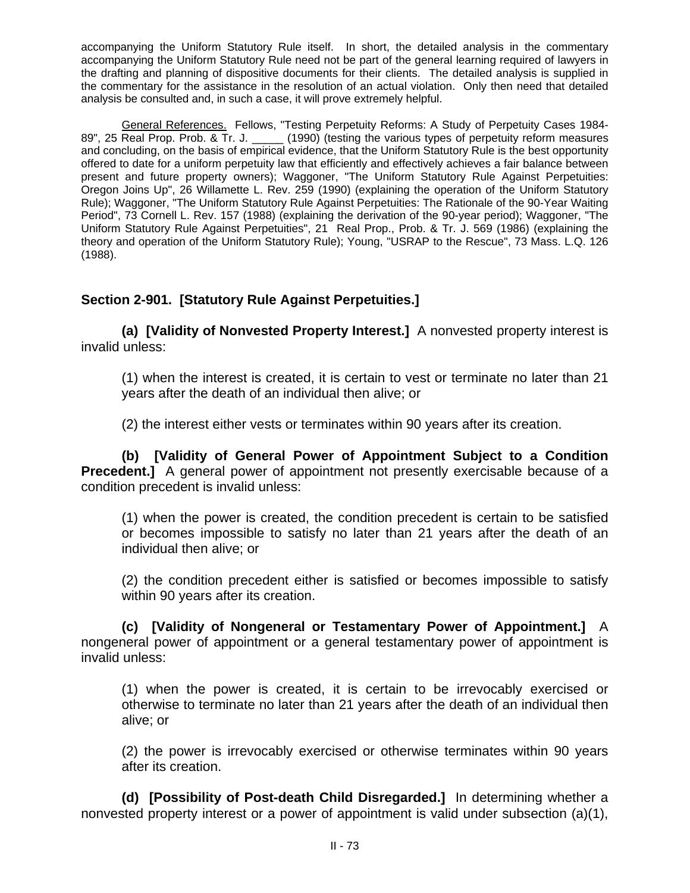accompanying the Uniform Statutory Rule itself. In short, the detailed analysis in the commentary accompanying the Uniform Statutory Rule need not be part of the general learning required of lawyers in the drafting and planning of dispositive documents for their clients. The detailed analysis is supplied in the commentary for the assistance in the resolution of an actual violation. Only then need that detailed analysis be consulted and, in such a case, it will prove extremely helpful.

General References. Fellows, "Testing Perpetuity Reforms: A Study of Perpetuity Cases 1984- 89", 25 Real Prop. Prob. & Tr. J. \_\_\_\_\_ (1990) (testing the various types of perpetuity reform measures and concluding, on the basis of empirical evidence, that the Uniform Statutory Rule is the best opportunity offered to date for a uniform perpetuity law that efficiently and effectively achieves a fair balance between present and future property owners); Waggoner, "The Uniform Statutory Rule Against Perpetuities: Oregon Joins Up", 26 Willamette L. Rev. 259 (1990) (explaining the operation of the Uniform Statutory Rule); Waggoner, "The Uniform Statutory Rule Against Perpetuities: The Rationale of the 90-Year Waiting Period", 73 Cornell L. Rev. 157 (1988) (explaining the derivation of the 90-year period); Waggoner, "The Uniform Statutory Rule Against Perpetuities", 21 Real Prop., Prob. & Tr. J. 569 (1986) (explaining the theory and operation of the Uniform Statutory Rule); Young, "USRAP to the Rescue", 73 Mass. L.Q. 126 (1988).

# **Section 2-901. [Statutory Rule Against Perpetuities.]**

**(a) [Validity of Nonvested Property Interest.]** A nonvested property interest is invalid unless:

(1) when the interest is created, it is certain to vest or terminate no later than 21 years after the death of an individual then alive; or

(2) the interest either vests or terminates within 90 years after its creation.

**(b) [Validity of General Power of Appointment Subject to a Condition Precedent.** A general power of appointment not presently exercisable because of a condition precedent is invalid unless:

(1) when the power is created, the condition precedent is certain to be satisfied or becomes impossible to satisfy no later than 21 years after the death of an individual then alive; or

(2) the condition precedent either is satisfied or becomes impossible to satisfy within 90 years after its creation.

**(c) [Validity of Nongeneral or Testamentary Power of Appointment.]** A nongeneral power of appointment or a general testamentary power of appointment is invalid unless:

(1) when the power is created, it is certain to be irrevocably exercised or otherwise to terminate no later than 21 years after the death of an individual then alive; or

(2) the power is irrevocably exercised or otherwise terminates within 90 years after its creation.

**(d) [Possibility of Post-death Child Disregarded.]** In determining whether a nonvested property interest or a power of appointment is valid under subsection (a)(1),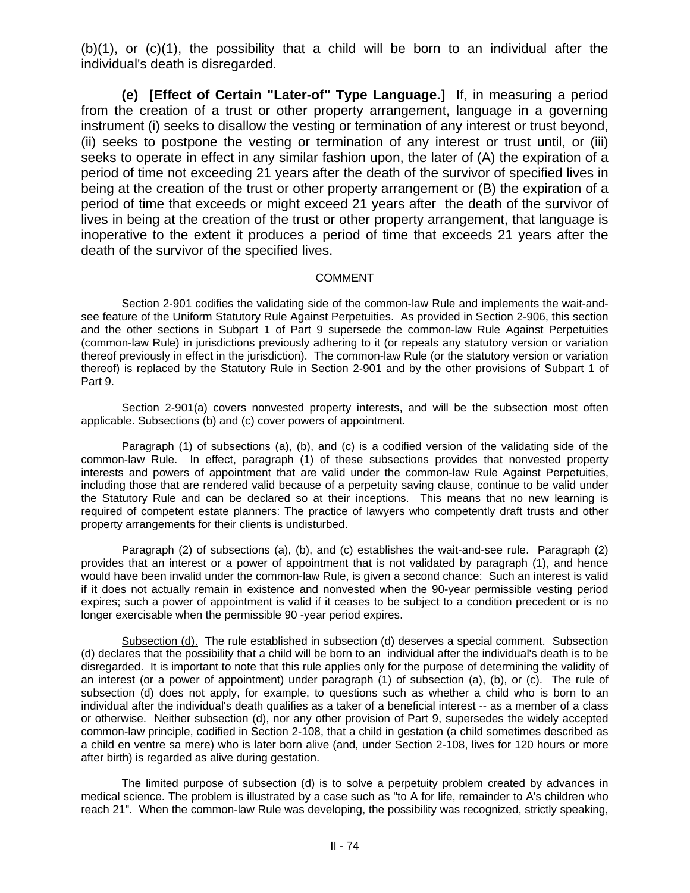(b)(1), or (c)(1), the possibility that a child will be born to an individual after the individual's death is disregarded.

**(e) [Effect of Certain "Later-of" Type Language.]** If, in measuring a period from the creation of a trust or other property arrangement, language in a governing instrument (i) seeks to disallow the vesting or termination of any interest or trust beyond, (ii) seeks to postpone the vesting or termination of any interest or trust until, or (iii) seeks to operate in effect in any similar fashion upon, the later of (A) the expiration of a period of time not exceeding 21 years after the death of the survivor of specified lives in being at the creation of the trust or other property arrangement or (B) the expiration of a period of time that exceeds or might exceed 21 years after the death of the survivor of lives in being at the creation of the trust or other property arrangement, that language is inoperative to the extent it produces a period of time that exceeds 21 years after the death of the survivor of the specified lives.

### COMMENT

 Section 2-901 codifies the validating side of the common-law Rule and implements the wait-andsee feature of the Uniform Statutory Rule Against Perpetuities. As provided in Section 2-906, this section and the other sections in Subpart 1 of Part 9 supersede the common-law Rule Against Perpetuities (common-law Rule) in jurisdictions previously adhering to it (or repeals any statutory version or variation thereof previously in effect in the jurisdiction). The common-law Rule (or the statutory version or variation thereof) is replaced by the Statutory Rule in Section 2-901 and by the other provisions of Subpart 1 of Part 9.

 Section 2-901(a) covers nonvested property interests, and will be the subsection most often applicable. Subsections (b) and (c) cover powers of appointment.

 Paragraph (1) of subsections (a), (b), and (c) is a codified version of the validating side of the common-law Rule. In effect, paragraph (1) of these subsections provides that nonvested property interests and powers of appointment that are valid under the common-law Rule Against Perpetuities, including those that are rendered valid because of a perpetuity saving clause, continue to be valid under the Statutory Rule and can be declared so at their inceptions. This means that no new learning is required of competent estate planners: The practice of lawyers who competently draft trusts and other property arrangements for their clients is undisturbed.

 Paragraph (2) of subsections (a), (b), and (c) establishes the wait-and-see rule. Paragraph (2) provides that an interest or a power of appointment that is not validated by paragraph (1), and hence would have been invalid under the common-law Rule, is given a second chance: Such an interest is valid if it does not actually remain in existence and nonvested when the 90-year permissible vesting period expires; such a power of appointment is valid if it ceases to be subject to a condition precedent or is no longer exercisable when the permissible 90 -year period expires.

Subsection (d). The rule established in subsection (d) deserves a special comment. Subsection (d) declares that the possibility that a child will be born to an individual after the individual's death is to be disregarded. It is important to note that this rule applies only for the purpose of determining the validity of an interest (or a power of appointment) under paragraph (1) of subsection (a), (b), or (c). The rule of subsection (d) does not apply, for example, to questions such as whether a child who is born to an individual after the individual's death qualifies as a taker of a beneficial interest -- as a member of a class or otherwise. Neither subsection (d), nor any other provision of Part 9, supersedes the widely accepted common-law principle, codified in Section 2-108, that a child in gestation (a child sometimes described as a child en ventre sa mere) who is later born alive (and, under Section 2-108, lives for 120 hours or more after birth) is regarded as alive during gestation.

 The limited purpose of subsection (d) is to solve a perpetuity problem created by advances in medical science. The problem is illustrated by a case such as "to A for life, remainder to A's children who reach 21". When the common-law Rule was developing, the possibility was recognized, strictly speaking,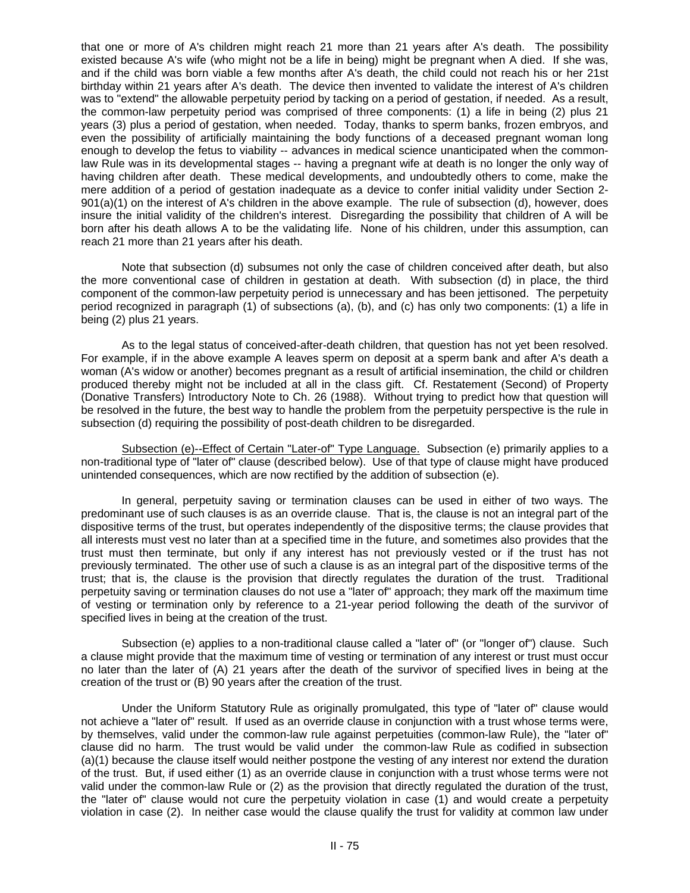that one or more of A's children might reach 21 more than 21 years after A's death. The possibility existed because A's wife (who might not be a life in being) might be pregnant when A died. If she was, and if the child was born viable a few months after A's death, the child could not reach his or her 21st birthday within 21 years after A's death. The device then invented to validate the interest of A's children was to "extend" the allowable perpetuity period by tacking on a period of gestation, if needed. As a result, the common-law perpetuity period was comprised of three components: (1) a life in being (2) plus 21 years (3) plus a period of gestation, when needed. Today, thanks to sperm banks, frozen embryos, and even the possibility of artificially maintaining the body functions of a deceased pregnant woman long enough to develop the fetus to viability -- advances in medical science unanticipated when the commonlaw Rule was in its developmental stages -- having a pregnant wife at death is no longer the only way of having children after death. These medical developments, and undoubtedly others to come, make the mere addition of a period of gestation inadequate as a device to confer initial validity under Section 2- 901(a)(1) on the interest of A's children in the above example. The rule of subsection (d), however, does insure the initial validity of the children's interest. Disregarding the possibility that children of A will be born after his death allows A to be the validating life. None of his children, under this assumption, can reach 21 more than 21 years after his death.

 Note that subsection (d) subsumes not only the case of children conceived after death, but also the more conventional case of children in gestation at death. With subsection (d) in place, the third component of the common-law perpetuity period is unnecessary and has been jettisoned. The perpetuity period recognized in paragraph (1) of subsections (a), (b), and (c) has only two components: (1) a life in being (2) plus 21 years.

 As to the legal status of conceived-after-death children, that question has not yet been resolved. For example, if in the above example A leaves sperm on deposit at a sperm bank and after A's death a woman (A's widow or another) becomes pregnant as a result of artificial insemination, the child or children produced thereby might not be included at all in the class gift. Cf. Restatement (Second) of Property (Donative Transfers) Introductory Note to Ch. 26 (1988). Without trying to predict how that question will be resolved in the future, the best way to handle the problem from the perpetuity perspective is the rule in subsection (d) requiring the possibility of post-death children to be disregarded.

Subsection (e)--Effect of Certain "Later-of" Type Language. Subsection (e) primarily applies to a non-traditional type of "later of" clause (described below). Use of that type of clause might have produced unintended consequences, which are now rectified by the addition of subsection (e).

 In general, perpetuity saving or termination clauses can be used in either of two ways. The predominant use of such clauses is as an override clause. That is, the clause is not an integral part of the dispositive terms of the trust, but operates independently of the dispositive terms; the clause provides that all interests must vest no later than at a specified time in the future, and sometimes also provides that the trust must then terminate, but only if any interest has not previously vested or if the trust has not previously terminated. The other use of such a clause is as an integral part of the dispositive terms of the trust; that is, the clause is the provision that directly regulates the duration of the trust. Traditional perpetuity saving or termination clauses do not use a "later of" approach; they mark off the maximum time of vesting or termination only by reference to a 21-year period following the death of the survivor of specified lives in being at the creation of the trust.

 Subsection (e) applies to a non-traditional clause called a "later of" (or "longer of") clause. Such a clause might provide that the maximum time of vesting or termination of any interest or trust must occur no later than the later of (A) 21 years after the death of the survivor of specified lives in being at the creation of the trust or (B) 90 years after the creation of the trust.

 Under the Uniform Statutory Rule as originally promulgated, this type of "later of" clause would not achieve a "later of" result. If used as an override clause in conjunction with a trust whose terms were, by themselves, valid under the common-law rule against perpetuities (common-law Rule), the "later of" clause did no harm. The trust would be valid under the common-law Rule as codified in subsection (a)(1) because the clause itself would neither postpone the vesting of any interest nor extend the duration of the trust. But, if used either (1) as an override clause in conjunction with a trust whose terms were not valid under the common-law Rule or (2) as the provision that directly regulated the duration of the trust, the "later of" clause would not cure the perpetuity violation in case (1) and would create a perpetuity violation in case (2). In neither case would the clause qualify the trust for validity at common law under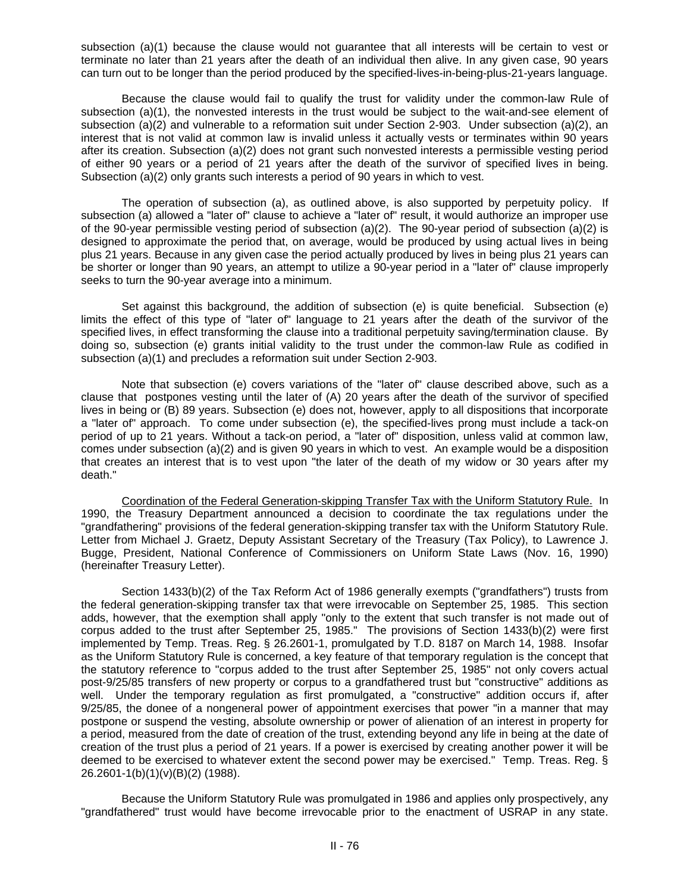subsection (a)(1) because the clause would not guarantee that all interests will be certain to vest or terminate no later than 21 years after the death of an individual then alive. In any given case, 90 years can turn out to be longer than the period produced by the specified-lives-in-being-plus-21-years language.

 Because the clause would fail to qualify the trust for validity under the common-law Rule of subsection (a)(1), the nonvested interests in the trust would be subject to the wait-and-see element of subsection (a)(2) and vulnerable to a reformation suit under Section 2-903. Under subsection (a)(2), an interest that is not valid at common law is invalid unless it actually vests or terminates within 90 years after its creation. Subsection (a)(2) does not grant such nonvested interests a permissible vesting period of either 90 years or a period of 21 years after the death of the survivor of specified lives in being. Subsection (a)(2) only grants such interests a period of 90 years in which to vest.

 The operation of subsection (a), as outlined above, is also supported by perpetuity policy. If subsection (a) allowed a "later of" clause to achieve a "later of" result, it would authorize an improper use of the 90-year permissible vesting period of subsection (a)(2). The 90-year period of subsection (a)(2) is designed to approximate the period that, on average, would be produced by using actual lives in being plus 21 years. Because in any given case the period actually produced by lives in being plus 21 years can be shorter or longer than 90 years, an attempt to utilize a 90-year period in a "later of" clause improperly seeks to turn the 90-year average into a minimum.

 Set against this background, the addition of subsection (e) is quite beneficial. Subsection (e) limits the effect of this type of "later of" language to 21 years after the death of the survivor of the specified lives, in effect transforming the clause into a traditional perpetuity saving/termination clause. By doing so, subsection (e) grants initial validity to the trust under the common-law Rule as codified in subsection (a)(1) and precludes a reformation suit under Section 2-903.

 Note that subsection (e) covers variations of the "later of" clause described above, such as a clause that postpones vesting until the later of (A) 20 years after the death of the survivor of specified lives in being or (B) 89 years. Subsection (e) does not, however, apply to all dispositions that incorporate a "later of" approach. To come under subsection (e), the specified-lives prong must include a tack-on period of up to 21 years. Without a tack-on period, a "later of" disposition, unless valid at common law, comes under subsection (a)(2) and is given 90 years in which to vest. An example would be a disposition that creates an interest that is to vest upon "the later of the death of my widow or 30 years after my death."

Coordination of the Federal Generation-skipping Transfer Tax with the Uniform Statutory Rule. In 1990, the Treasury Department announced a decision to coordinate the tax regulations under the "grandfathering" provisions of the federal generation-skipping transfer tax with the Uniform Statutory Rule. Letter from Michael J. Graetz, Deputy Assistant Secretary of the Treasury (Tax Policy), to Lawrence J. Bugge, President, National Conference of Commissioners on Uniform State Laws (Nov. 16, 1990) (hereinafter Treasury Letter).

 Section 1433(b)(2) of the Tax Reform Act of 1986 generally exempts ("grandfathers") trusts from the federal generation-skipping transfer tax that were irrevocable on September 25, 1985. This section adds, however, that the exemption shall apply "only to the extent that such transfer is not made out of corpus added to the trust after September 25, 1985." The provisions of Section 1433(b)(2) were first implemented by Temp. Treas. Reg. § 26.2601-1, promulgated by T.D. 8187 on March 14, 1988. Insofar as the Uniform Statutory Rule is concerned, a key feature of that temporary regulation is the concept that the statutory reference to "corpus added to the trust after September 25, 1985" not only covers actual post-9/25/85 transfers of new property or corpus to a grandfathered trust but "constructive" additions as well. Under the temporary regulation as first promulgated, a "constructive" addition occurs if, after 9/25/85, the donee of a nongeneral power of appointment exercises that power "in a manner that may postpone or suspend the vesting, absolute ownership or power of alienation of an interest in property for a period, measured from the date of creation of the trust, extending beyond any life in being at the date of creation of the trust plus a period of 21 years. If a power is exercised by creating another power it will be deemed to be exercised to whatever extent the second power may be exercised." Temp. Treas. Reg. § 26.2601-1(b)(1)(v)(B)(2) (1988).

 Because the Uniform Statutory Rule was promulgated in 1986 and applies only prospectively, any "grandfathered" trust would have become irrevocable prior to the enactment of USRAP in any state.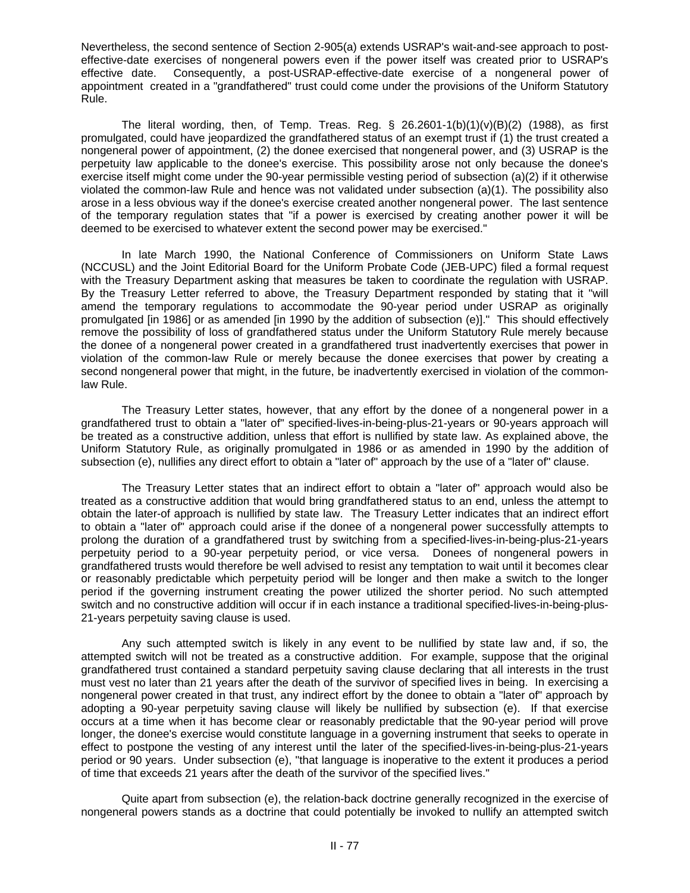Nevertheless, the second sentence of Section 2-905(a) extends USRAP's wait-and-see approach to posteffective-date exercises of nongeneral powers even if the power itself was created prior to USRAP's effective date. Consequently, a post-USRAP-effective-date exercise of a nongeneral power of appointment created in a "grandfathered" trust could come under the provisions of the Uniform Statutory Rule.

The literal wording, then, of Temp. Treas. Reg.  $\S$  26.2601-1(b)(1)(v)(B)(2) (1988), as first promulgated, could have jeopardized the grandfathered status of an exempt trust if (1) the trust created a nongeneral power of appointment, (2) the donee exercised that nongeneral power, and (3) USRAP is the perpetuity law applicable to the donee's exercise. This possibility arose not only because the donee's exercise itself might come under the 90-year permissible vesting period of subsection  $(a)(2)$  if it otherwise violated the common-law Rule and hence was not validated under subsection (a)(1). The possibility also arose in a less obvious way if the donee's exercise created another nongeneral power. The last sentence of the temporary regulation states that "if a power is exercised by creating another power it will be deemed to be exercised to whatever extent the second power may be exercised."

 In late March 1990, the National Conference of Commissioners on Uniform State Laws (NCCUSL) and the Joint Editorial Board for the Uniform Probate Code (JEB-UPC) filed a formal request with the Treasury Department asking that measures be taken to coordinate the regulation with USRAP. By the Treasury Letter referred to above, the Treasury Department responded by stating that it "will amend the temporary regulations to accommodate the 90-year period under USRAP as originally promulgated [in 1986] or as amended [in 1990 by the addition of subsection (e)]." This should effectively remove the possibility of loss of grandfathered status under the Uniform Statutory Rule merely because the donee of a nongeneral power created in a grandfathered trust inadvertently exercises that power in violation of the common-law Rule or merely because the donee exercises that power by creating a second nongeneral power that might, in the future, be inadvertently exercised in violation of the commonlaw Rule.

 The Treasury Letter states, however, that any effort by the donee of a nongeneral power in a grandfathered trust to obtain a "later of" specified-lives-in-being-plus-21-years or 90-years approach will be treated as a constructive addition, unless that effort is nullified by state law. As explained above, the Uniform Statutory Rule, as originally promulgated in 1986 or as amended in 1990 by the addition of subsection (e), nullifies any direct effort to obtain a "later of" approach by the use of a "later of" clause.

 The Treasury Letter states that an indirect effort to obtain a "later of" approach would also be treated as a constructive addition that would bring grandfathered status to an end, unless the attempt to obtain the later-of approach is nullified by state law. The Treasury Letter indicates that an indirect effort to obtain a "later of" approach could arise if the donee of a nongeneral power successfully attempts to prolong the duration of a grandfathered trust by switching from a specified-lives-in-being-plus-21-years perpetuity period to a 90-year perpetuity period, or vice versa. Donees of nongeneral powers in grandfathered trusts would therefore be well advised to resist any temptation to wait until it becomes clear or reasonably predictable which perpetuity period will be longer and then make a switch to the longer period if the governing instrument creating the power utilized the shorter period. No such attempted switch and no constructive addition will occur if in each instance a traditional specified-lives-in-being-plus-21-years perpetuity saving clause is used.

 Any such attempted switch is likely in any event to be nullified by state law and, if so, the attempted switch will not be treated as a constructive addition. For example, suppose that the original grandfathered trust contained a standard perpetuity saving clause declaring that all interests in the trust must vest no later than 21 years after the death of the survivor of specified lives in being. In exercising a nongeneral power created in that trust, any indirect effort by the donee to obtain a "later of" approach by adopting a 90-year perpetuity saving clause will likely be nullified by subsection (e). If that exercise occurs at a time when it has become clear or reasonably predictable that the 90-year period will prove longer, the donee's exercise would constitute language in a governing instrument that seeks to operate in effect to postpone the vesting of any interest until the later of the specified-lives-in-being-plus-21-years period or 90 years. Under subsection (e), "that language is inoperative to the extent it produces a period of time that exceeds 21 years after the death of the survivor of the specified lives."

 Quite apart from subsection (e), the relation-back doctrine generally recognized in the exercise of nongeneral powers stands as a doctrine that could potentially be invoked to nullify an attempted switch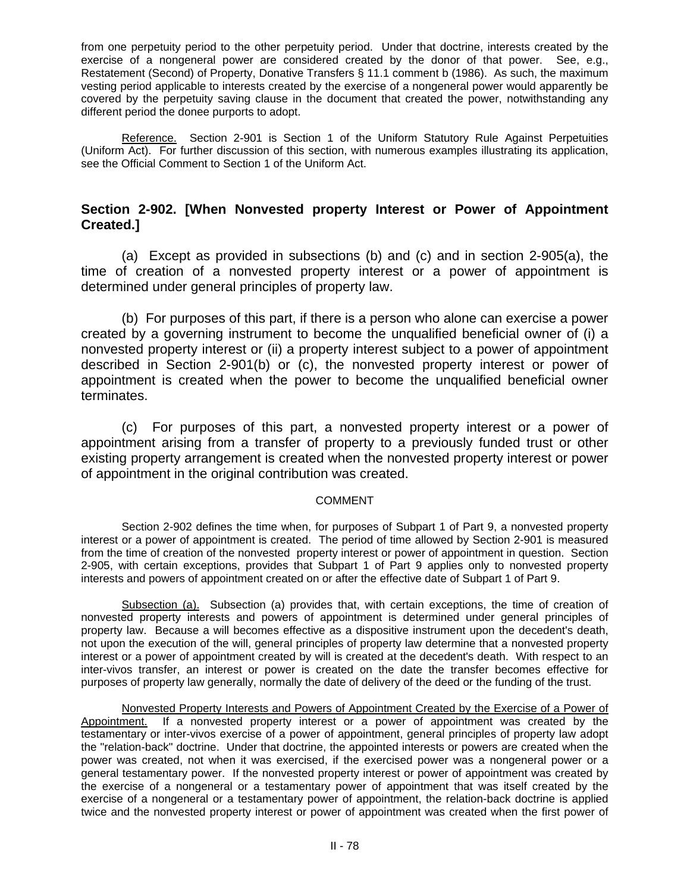from one perpetuity period to the other perpetuity period. Under that doctrine, interests created by the exercise of a nongeneral power are considered created by the donor of that power. See, e.g., Restatement (Second) of Property, Donative Transfers § 11.1 comment b (1986). As such, the maximum vesting period applicable to interests created by the exercise of a nongeneral power would apparently be covered by the perpetuity saving clause in the document that created the power, notwithstanding any different period the donee purports to adopt.

Reference. Section 2-901 is Section 1 of the Uniform Statutory Rule Against Perpetuities (Uniform Act). For further discussion of this section, with numerous examples illustrating its application, see the Official Comment to Section 1 of the Uniform Act.

## **Section 2-902. [When Nonvested property Interest or Power of Appointment Created.]**

 (a) Except as provided in subsections (b) and (c) and in section 2-905(a), the time of creation of a nonvested property interest or a power of appointment is determined under general principles of property law.

 (b) For purposes of this part, if there is a person who alone can exercise a power created by a governing instrument to become the unqualified beneficial owner of (i) a nonvested property interest or (ii) a property interest subject to a power of appointment described in Section 2-901(b) or (c), the nonvested property interest or power of appointment is created when the power to become the unqualified beneficial owner terminates.

 (c) For purposes of this part, a nonvested property interest or a power of appointment arising from a transfer of property to a previously funded trust or other existing property arrangement is created when the nonvested property interest or power of appointment in the original contribution was created.

### **COMMENT**

 Section 2-902 defines the time when, for purposes of Subpart 1 of Part 9, a nonvested property interest or a power of appointment is created. The period of time allowed by Section 2-901 is measured from the time of creation of the nonvested property interest or power of appointment in question. Section 2-905, with certain exceptions, provides that Subpart 1 of Part 9 applies only to nonvested property interests and powers of appointment created on or after the effective date of Subpart 1 of Part 9.

Subsection (a). Subsection (a) provides that, with certain exceptions, the time of creation of nonvested property interests and powers of appointment is determined under general principles of property law. Because a will becomes effective as a dispositive instrument upon the decedent's death, not upon the execution of the will, general principles of property law determine that a nonvested property interest or a power of appointment created by will is created at the decedent's death. With respect to an inter-vivos transfer, an interest or power is created on the date the transfer becomes effective for purposes of property law generally, normally the date of delivery of the deed or the funding of the trust.

Nonvested Property Interests and Powers of Appointment Created by the Exercise of a Power of Appointment. If a nonvested property interest or a power of appointment was created by the testamentary or inter-vivos exercise of a power of appointment, general principles of property law adopt the "relation-back" doctrine. Under that doctrine, the appointed interests or powers are created when the power was created, not when it was exercised, if the exercised power was a nongeneral power or a general testamentary power. If the nonvested property interest or power of appointment was created by the exercise of a nongeneral or a testamentary power of appointment that was itself created by the exercise of a nongeneral or a testamentary power of appointment, the relation-back doctrine is applied twice and the nonvested property interest or power of appointment was created when the first power of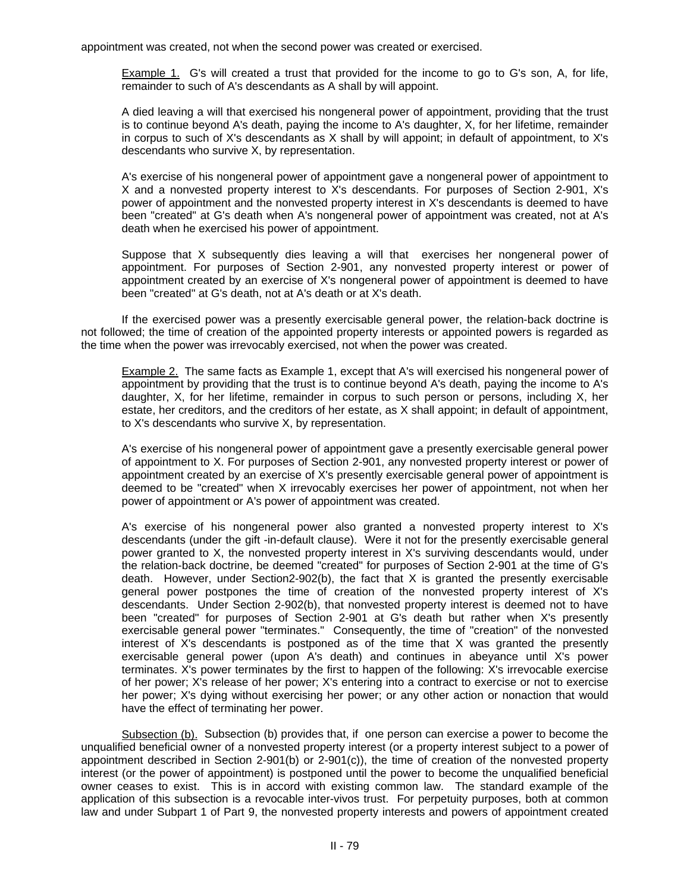appointment was created, not when the second power was created or exercised.

Example 1. G's will created a trust that provided for the income to go to G's son, A, for life, remainder to such of A's descendants as A shall by will appoint.

A died leaving a will that exercised his nongeneral power of appointment, providing that the trust is to continue beyond A's death, paying the income to A's daughter, X, for her lifetime, remainder in corpus to such of X's descendants as X shall by will appoint; in default of appointment, to X's descendants who survive X, by representation.

A's exercise of his nongeneral power of appointment gave a nongeneral power of appointment to X and a nonvested property interest to X's descendants. For purposes of Section 2-901, X's power of appointment and the nonvested property interest in X's descendants is deemed to have been "created" at G's death when A's nongeneral power of appointment was created, not at A's death when he exercised his power of appointment.

Suppose that X subsequently dies leaving a will that exercises her nongeneral power of appointment. For purposes of Section 2-901, any nonvested property interest or power of appointment created by an exercise of X's nongeneral power of appointment is deemed to have been "created" at G's death, not at A's death or at X's death.

 If the exercised power was a presently exercisable general power, the relation-back doctrine is not followed; the time of creation of the appointed property interests or appointed powers is regarded as the time when the power was irrevocably exercised, not when the power was created.

Example 2. The same facts as Example 1, except that A's will exercised his nongeneral power of appointment by providing that the trust is to continue beyond A's death, paying the income to A's daughter, X, for her lifetime, remainder in corpus to such person or persons, including X, her estate, her creditors, and the creditors of her estate, as X shall appoint; in default of appointment, to X's descendants who survive X, by representation.

A's exercise of his nongeneral power of appointment gave a presently exercisable general power of appointment to X. For purposes of Section 2-901, any nonvested property interest or power of appointment created by an exercise of X's presently exercisable general power of appointment is deemed to be "created" when X irrevocably exercises her power of appointment, not when her power of appointment or A's power of appointment was created.

A's exercise of his nongeneral power also granted a nonvested property interest to X's descendants (under the gift -in-default clause). Were it not for the presently exercisable general power granted to X, the nonvested property interest in X's surviving descendants would, under the relation-back doctrine, be deemed "created" for purposes of Section 2-901 at the time of G's death. However, under Section2-902(b), the fact that  $X$  is granted the presently exercisable general power postpones the time of creation of the nonvested property interest of X's descendants. Under Section 2-902(b), that nonvested property interest is deemed not to have been "created" for purposes of Section 2-901 at G's death but rather when X's presently exercisable general power "terminates." Consequently, the time of "creation" of the nonvested interest of X's descendants is postponed as of the time that X was granted the presently exercisable general power (upon A's death) and continues in abeyance until X's power terminates. X's power terminates by the first to happen of the following: X's irrevocable exercise of her power; X's release of her power; X's entering into a contract to exercise or not to exercise her power; X's dying without exercising her power; or any other action or nonaction that would have the effect of terminating her power.

Subsection (b). Subsection (b) provides that, if one person can exercise a power to become the unqualified beneficial owner of a nonvested property interest (or a property interest subject to a power of appointment described in Section 2-901(b) or 2-901(c)), the time of creation of the nonvested property interest (or the power of appointment) is postponed until the power to become the unqualified beneficial owner ceases to exist. This is in accord with existing common law. The standard example of the application of this subsection is a revocable inter-vivos trust. For perpetuity purposes, both at common law and under Subpart 1 of Part 9, the nonvested property interests and powers of appointment created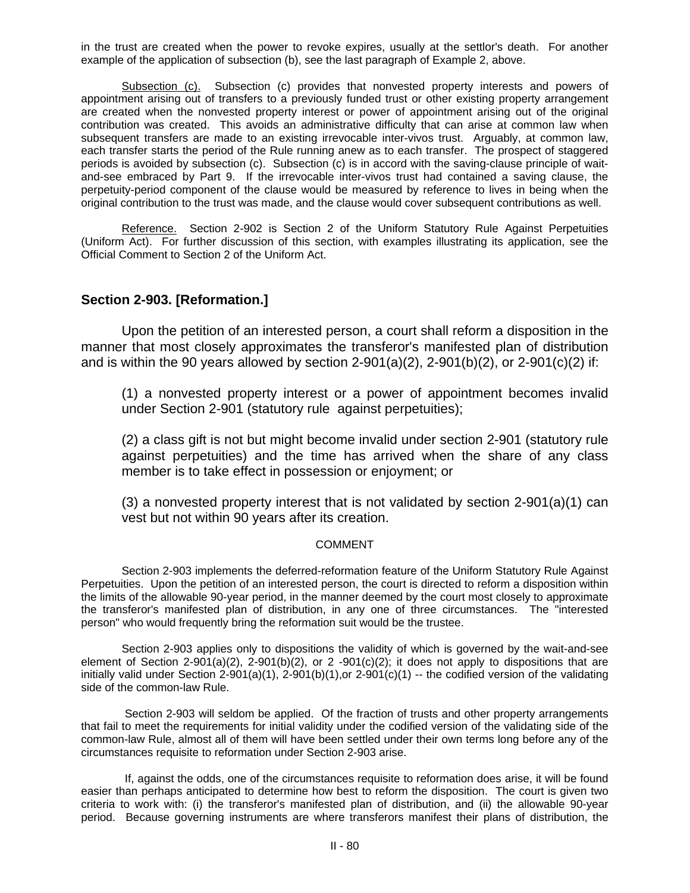in the trust are created when the power to revoke expires, usually at the settlor's death. For another example of the application of subsection (b), see the last paragraph of Example 2, above.

Subsection (c). Subsection (c) provides that nonvested property interests and powers of appointment arising out of transfers to a previously funded trust or other existing property arrangement are created when the nonvested property interest or power of appointment arising out of the original contribution was created. This avoids an administrative difficulty that can arise at common law when subsequent transfers are made to an existing irrevocable inter-vivos trust. Arguably, at common law, each transfer starts the period of the Rule running anew as to each transfer. The prospect of staggered periods is avoided by subsection (c). Subsection (c) is in accord with the saving-clause principle of waitand-see embraced by Part 9. If the irrevocable inter-vivos trust had contained a saving clause, the perpetuity-period component of the clause would be measured by reference to lives in being when the original contribution to the trust was made, and the clause would cover subsequent contributions as well.

Reference. Section 2-902 is Section 2 of the Uniform Statutory Rule Against Perpetuities (Uniform Act). For further discussion of this section, with examples illustrating its application, see the Official Comment to Section 2 of the Uniform Act.

## **Section 2-903. [Reformation.]**

 Upon the petition of an interested person, a court shall reform a disposition in the manner that most closely approximates the transferor's manifested plan of distribution and is within the 90 years allowed by section  $2-901(a)(2)$ ,  $2-901(b)(2)$ , or  $2-901(c)(2)$  if:

 (1) a nonvested property interest or a power of appointment becomes invalid under Section 2-901 (statutory rule against perpetuities);

 (2) a class gift is not but might become invalid under section 2-901 (statutory rule against perpetuities) and the time has arrived when the share of any class member is to take effect in possession or enjoyment; or

 (3) a nonvested property interest that is not validated by section 2-901(a)(1) can vest but not within 90 years after its creation.

#### COMMENT

 Section 2-903 implements the deferred-reformation feature of the Uniform Statutory Rule Against Perpetuities. Upon the petition of an interested person, the court is directed to reform a disposition within the limits of the allowable 90-year period, in the manner deemed by the court most closely to approximate the transferor's manifested plan of distribution, in any one of three circumstances. The "interested person" who would frequently bring the reformation suit would be the trustee.

 Section 2-903 applies only to dispositions the validity of which is governed by the wait-and-see element of Section 2-901(a)(2), 2-901(b)(2), or 2-901(c)(2); it does not apply to dispositions that are initially valid under Section  $2-901(a)(1)$ ,  $2-901(b)(1)$ , or  $2-901(c)(1)$  -- the codified version of the validating side of the common-law Rule.

 Section 2-903 will seldom be applied. Of the fraction of trusts and other property arrangements that fail to meet the requirements for initial validity under the codified version of the validating side of the common-law Rule, almost all of them will have been settled under their own terms long before any of the circumstances requisite to reformation under Section 2-903 arise.

 If, against the odds, one of the circumstances requisite to reformation does arise, it will be found easier than perhaps anticipated to determine how best to reform the disposition. The court is given two criteria to work with: (i) the transferor's manifested plan of distribution, and (ii) the allowable 90-year period. Because governing instruments are where transferors manifest their plans of distribution, the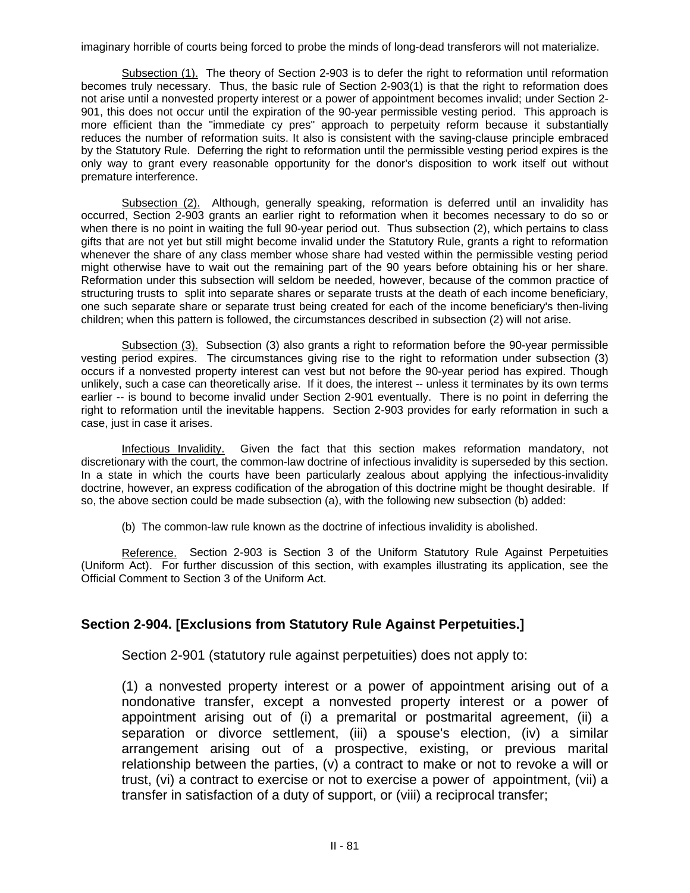imaginary horrible of courts being forced to probe the minds of long-dead transferors will not materialize.

Subsection (1). The theory of Section 2-903 is to defer the right to reformation until reformation becomes truly necessary. Thus, the basic rule of Section 2-903(1) is that the right to reformation does not arise until a nonvested property interest or a power of appointment becomes invalid; under Section 2- 901, this does not occur until the expiration of the 90-year permissible vesting period. This approach is more efficient than the "immediate cy pres" approach to perpetuity reform because it substantially reduces the number of reformation suits. It also is consistent with the saving-clause principle embraced by the Statutory Rule. Deferring the right to reformation until the permissible vesting period expires is the only way to grant every reasonable opportunity for the donor's disposition to work itself out without premature interference.

Subsection (2). Although, generally speaking, reformation is deferred until an invalidity has occurred, Section 2-903 grants an earlier right to reformation when it becomes necessary to do so or when there is no point in waiting the full 90-year period out. Thus subsection (2), which pertains to class gifts that are not yet but still might become invalid under the Statutory Rule, grants a right to reformation whenever the share of any class member whose share had vested within the permissible vesting period might otherwise have to wait out the remaining part of the 90 years before obtaining his or her share. Reformation under this subsection will seldom be needed, however, because of the common practice of structuring trusts to split into separate shares or separate trusts at the death of each income beneficiary, one such separate share or separate trust being created for each of the income beneficiary's then-living children; when this pattern is followed, the circumstances described in subsection (2) will not arise.

Subsection (3). Subsection (3) also grants a right to reformation before the 90-year permissible vesting period expires. The circumstances giving rise to the right to reformation under subsection (3) occurs if a nonvested property interest can vest but not before the 90-year period has expired. Though unlikely, such a case can theoretically arise. If it does, the interest -- unless it terminates by its own terms earlier -- is bound to become invalid under Section 2-901 eventually. There is no point in deferring the right to reformation until the inevitable happens. Section 2-903 provides for early reformation in such a case, just in case it arises.

Infectious Invalidity. Given the fact that this section makes reformation mandatory, not discretionary with the court, the common-law doctrine of infectious invalidity is superseded by this section. In a state in which the courts have been particularly zealous about applying the infectious-invalidity doctrine, however, an express codification of the abrogation of this doctrine might be thought desirable. If so, the above section could be made subsection (a), with the following new subsection (b) added:

(b) The common-law rule known as the doctrine of infectious invalidity is abolished.

Reference. Section 2-903 is Section 3 of the Uniform Statutory Rule Against Perpetuities (Uniform Act). For further discussion of this section, with examples illustrating its application, see the Official Comment to Section 3 of the Uniform Act.

## **Section 2-904. [Exclusions from Statutory Rule Against Perpetuities.]**

Section 2-901 (statutory rule against perpetuities) does not apply to:

(1) a nonvested property interest or a power of appointment arising out of a nondonative transfer, except a nonvested property interest or a power of appointment arising out of (i) a premarital or postmarital agreement, (ii) a separation or divorce settlement, (iii) a spouse's election, (iv) a similar arrangement arising out of a prospective, existing, or previous marital relationship between the parties, (v) a contract to make or not to revoke a will or trust, (vi) a contract to exercise or not to exercise a power of appointment, (vii) a transfer in satisfaction of a duty of support, or (viii) a reciprocal transfer;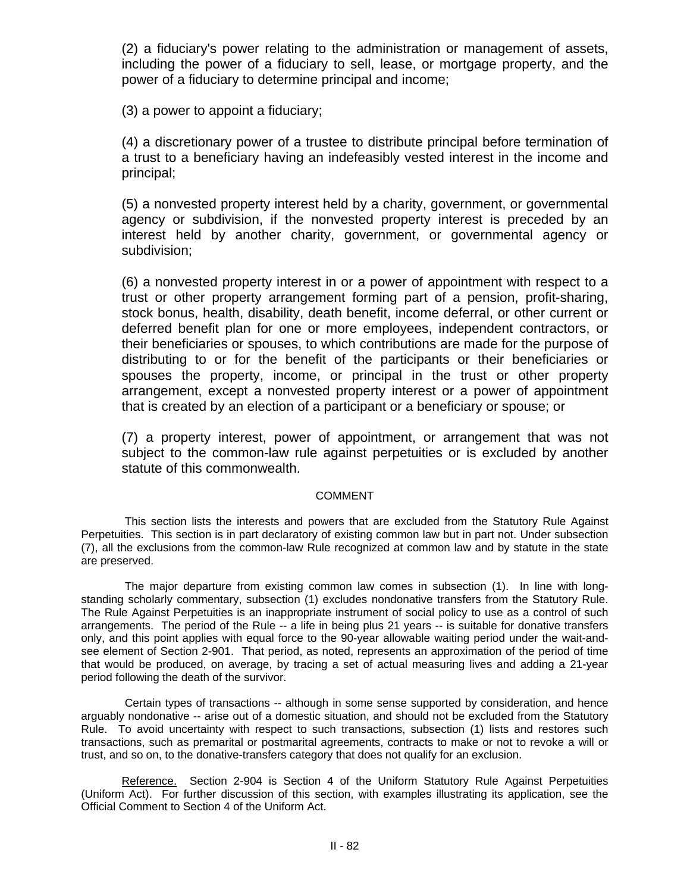(2) a fiduciary's power relating to the administration or management of assets, including the power of a fiduciary to sell, lease, or mortgage property, and the power of a fiduciary to determine principal and income;

(3) a power to appoint a fiduciary;

(4) a discretionary power of a trustee to distribute principal before termination of a trust to a beneficiary having an indefeasibly vested interest in the income and principal;

(5) a nonvested property interest held by a charity, government, or governmental agency or subdivision, if the nonvested property interest is preceded by an interest held by another charity, government, or governmental agency or subdivision;

(6) a nonvested property interest in or a power of appointment with respect to a trust or other property arrangement forming part of a pension, profit-sharing, stock bonus, health, disability, death benefit, income deferral, or other current or deferred benefit plan for one or more employees, independent contractors, or their beneficiaries or spouses, to which contributions are made for the purpose of distributing to or for the benefit of the participants or their beneficiaries or spouses the property, income, or principal in the trust or other property arrangement, except a nonvested property interest or a power of appointment that is created by an election of a participant or a beneficiary or spouse; or

(7) a property interest, power of appointment, or arrangement that was not subject to the common-law rule against perpetuities or is excluded by another statute of this commonwealth.

### COMMENT

 This section lists the interests and powers that are excluded from the Statutory Rule Against Perpetuities. This section is in part declaratory of existing common law but in part not. Under subsection (7), all the exclusions from the common-law Rule recognized at common law and by statute in the state are preserved.

 The major departure from existing common law comes in subsection (1). In line with longstanding scholarly commentary, subsection (1) excludes nondonative transfers from the Statutory Rule. The Rule Against Perpetuities is an inappropriate instrument of social policy to use as a control of such arrangements. The period of the Rule -- a life in being plus 21 years -- is suitable for donative transfers only, and this point applies with equal force to the 90-year allowable waiting period under the wait-andsee element of Section 2-901. That period, as noted, represents an approximation of the period of time that would be produced, on average, by tracing a set of actual measuring lives and adding a 21-year period following the death of the survivor.

 Certain types of transactions -- although in some sense supported by consideration, and hence arguably nondonative -- arise out of a domestic situation, and should not be excluded from the Statutory Rule. To avoid uncertainty with respect to such transactions, subsection (1) lists and restores such transactions, such as premarital or postmarital agreements, contracts to make or not to revoke a will or trust, and so on, to the donative-transfers category that does not qualify for an exclusion.

Reference. Section 2-904 is Section 4 of the Uniform Statutory Rule Against Perpetuities (Uniform Act). For further discussion of this section, with examples illustrating its application, see the Official Comment to Section 4 of the Uniform Act.